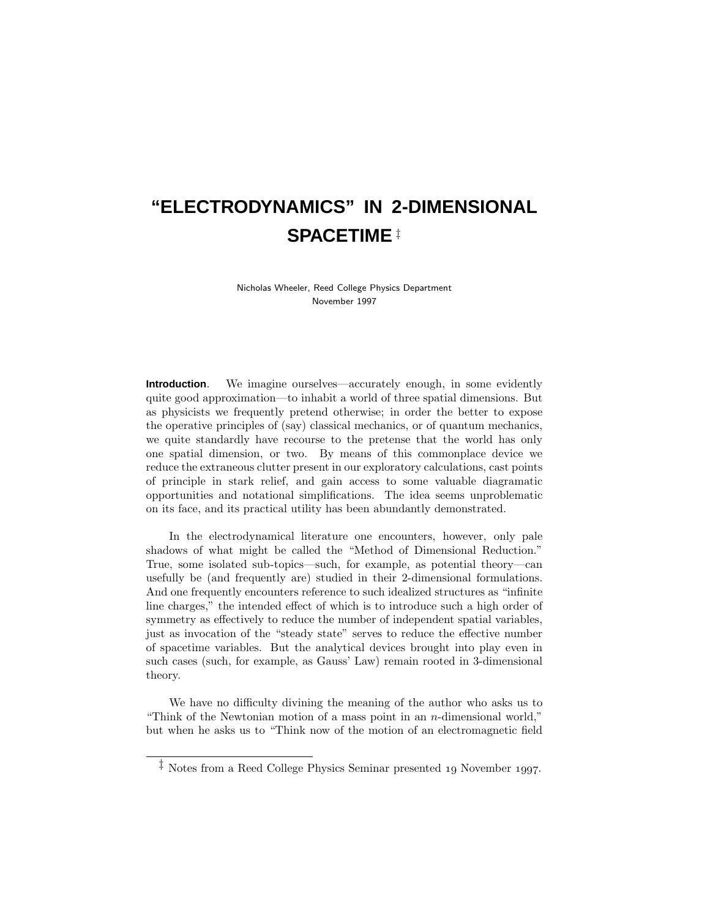# **"ELECTRODYNAMICS" IN 2-DIMENSIONAL SPACETIME** ‡

Nicholas Wheeler, Reed College Physics Department November 1997

**Introduction.** We imagine ourselves—accurately enough, in some evidently quite good approximation—to inhabit a world of three spatial dimensions. But as physicists we frequently pretend otherwise; in order the better to expose the operative principles of (say) classical mechanics, or of quantum mechanics, we quite standardly have recourse to the pretense that the world has only one spatial dimension, or two. By means of this commonplace device we reduce the extraneous clutter present in our exploratory calculations, cast points of principle in stark relief, and gain access to some valuable diagramatic opportunities and notational simplifications. The idea seems unproblematic on its face, and its practical utility has been abundantly demonstrated.

In the electrodynamical literature one encounters, however, only pale shadows of what might be called the "Method of Dimensional Reduction." True, some isolated sub-topics—such, for example, as potential theory—can usefully be (and frequently are) studied in their 2-dimensional formulations. And one frequently encounters reference to such idealized structures as "infinite line charges," the intended effect of which is to introduce such a high order of symmetry as effectively to reduce the number of independent spatial variables, just as invocation of the "steady state" serves to reduce the effective number of spacetime variables. But the analytical devices brought into play even in such cases (such, for example, as Gauss' Law) remain rooted in 3-dimensional theory.

We have no difficulty divining the meaning of the author who asks us to "Think of the Newtonian motion of a mass point in an *n*-dimensional world," but when he asks us to "Think now of the motion of an electromagnetic field

 $\ddagger$  Notes from a Reed College Physics Seminar presented 19 November 1997.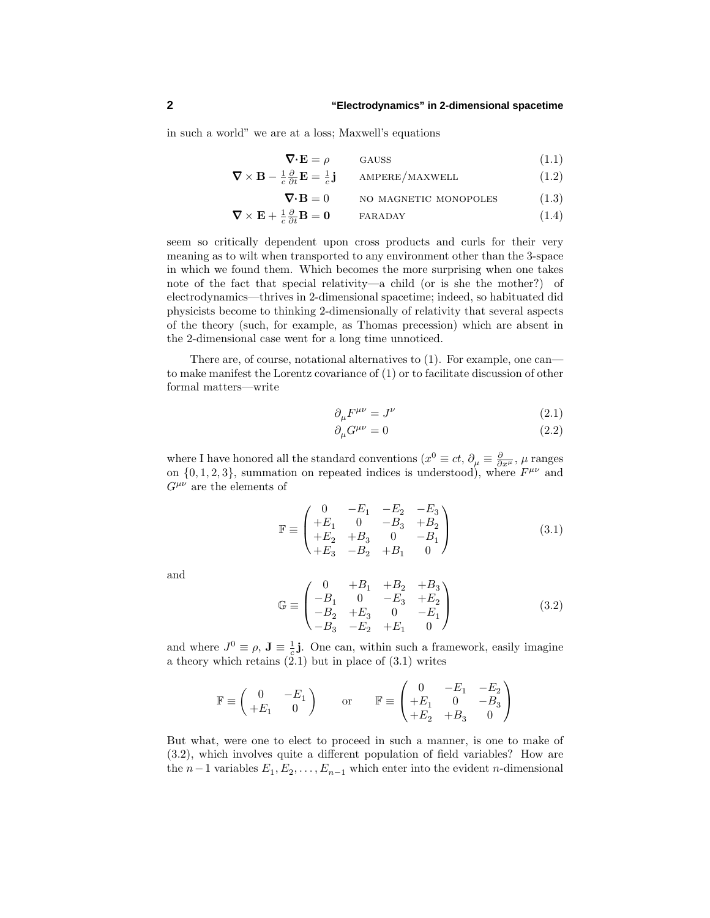in such a world" we are at a loss; Maxwell's equations

$$
\nabla \cdot \mathbf{E} = \rho \qquad \text{GAUSS} \tag{1.1}
$$

$$
\nabla \times \mathbf{B} - \frac{1}{c} \frac{\partial}{\partial t} \mathbf{E} = \frac{1}{c} \mathbf{j} \qquad \text{AMPERE/MAXWELL} \tag{1.2}
$$

$$
\nabla \cdot \mathbf{B} = 0
$$
 NO MAGNETIC MONOPOLES (1.3)

$$
\nabla \times \mathbf{E} + \frac{1}{c} \frac{\partial}{\partial t} \mathbf{B} = \mathbf{0} \qquad \text{FARADAY} \tag{1.4}
$$

seem so critically dependent upon cross products and curls for their very meaning as to wilt when transported to any environment other than the 3-space in which we found them. Which becomes the more surprising when one takes note of the fact that special relativity—a child (or is she the mother?) of electrodynamics—thrives in 2-dimensional spacetime; indeed, so habituated did physicists become to thinking 2-dimensionally of relativity that several aspects of the theory (such, for example, as Thomas precession) which are absent in the 2-dimensional case went for a long time unnoticed.

There are, of course, notational alternatives to (1). For example, one can to make manifest the Lorentz covariance of  $(1)$  or to facilitate discussion of other formal matters—write

$$
\partial_{\mu}F^{\mu\nu} = J^{\nu} \tag{2.1}
$$

$$
\partial_{\mu}G^{\mu\nu} = 0 \tag{2.2}
$$

where I have honored all the standard conventions  $(x^0 \equiv ct, \partial_\mu \equiv \frac{\partial}{\partial x^\mu}, \mu$  ranges on  $\{0, 1, 2, 3\}$ , summation on repeated indices is understood), where  $F^{\mu\nu}$  and  $G^{\mu\nu}$  are the elements of

$$
\mathbb{F} \equiv \begin{pmatrix} 0 & -E_1 & -E_2 & -E_3 \\ +E_1 & 0 & -B_3 & +B_2 \\ +E_2 & +B_3 & 0 & -B_1 \\ +E_3 & -B_2 & +B_1 & 0 \end{pmatrix}
$$
 (3.1)

and

$$
\mathbb{G} \equiv \begin{pmatrix} 0 & +B_1 & +B_2 & +B_3 \\ -B_1 & 0 & -E_3 & +E_2 \\ -B_2 & +E_3 & 0 & -E_1 \\ -B_3 & -E_2 & +E_1 & 0 \end{pmatrix}
$$
 (3.2)

and where  $J^0 \equiv \rho$ ,  $\mathbf{J} \equiv \frac{1}{c}\mathbf{j}$ . One can, within such a framework, easily imagine a theory which retains  $(2.1)$  but in place of  $(3.1)$  writes

$$
\mathbb{F} \equiv \begin{pmatrix} 0 & -E_1 \\ +E_1 & 0 \end{pmatrix} \quad \text{or} \quad \mathbb{F} \equiv \begin{pmatrix} 0 & -E_1 & -E_2 \\ +E_1 & 0 & -B_3 \\ +E_2 & +B_3 & 0 \end{pmatrix}
$$

But what, were one to elect to proceed in such a manner, is one to make of (3.2), which involves quite a different population of field variables? How are the  $n-1$  variables  $E_1, E_2, \ldots, E_{n-1}$  which enter into the evident *n*-dimensional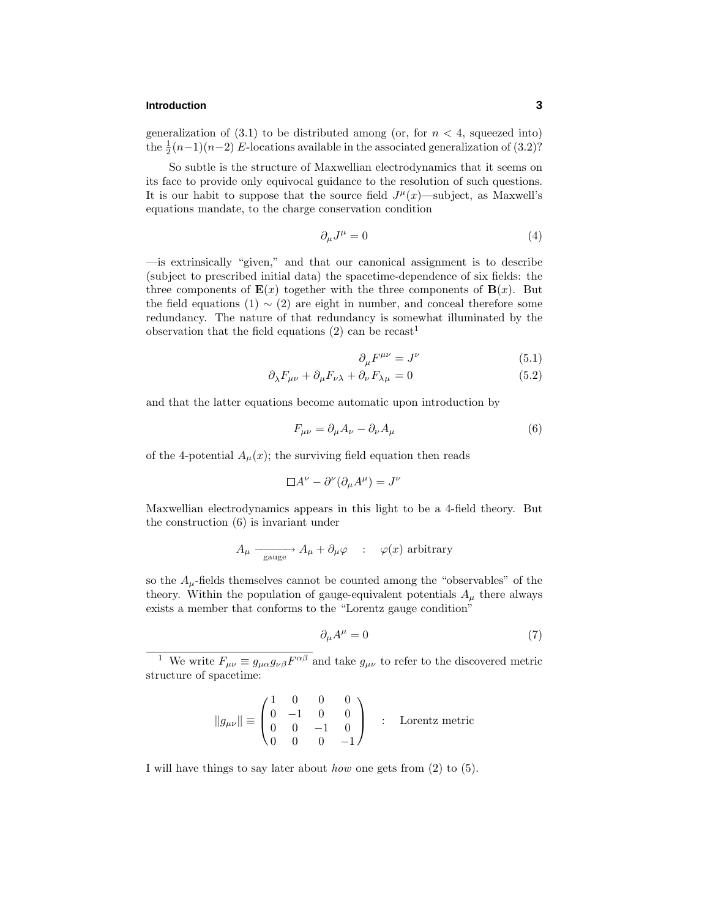## **Introduction 3**

generalization of  $(3.1)$  to be distributed among (or, for  $n < 4$ , squeezed into) the  $\frac{1}{2}(n-1)(n-2)$  *E*-locations available in the associated generalization of (3.2)?

So subtle is the structure of Maxwellian electrodynamics that it seems on its face to provide only equivocal guidance to the resolution of such questions. It is our habit to suppose that the source field  $J^{\mu}(x)$ —subject, as Maxwell's equations mandate, to the charge conservation condition

$$
\partial_{\mu}J^{\mu} = 0 \tag{4}
$$

—is extrinsically "given," and that our canonical assignment is to describe (subject to prescribed initial data) the spacetime-dependence of six fields: the three components of  $\mathbf{E}(x)$  together with the three components of  $\mathbf{B}(x)$ . But the field equations  $(1) \sim (2)$  are eight in number, and conceal therefore some redundancy. The nature of that redundancy is somewhat illuminated by the observation that the field equations (2) can be recast<sup>1</sup>

$$
\partial_{\mu}F^{\mu\nu} = J^{\nu} \tag{5.1}
$$

$$
\partial_{\lambda} F_{\mu\nu} + \partial_{\mu} F_{\nu\lambda} + \partial_{\nu} F_{\lambda\mu} = 0 \tag{5.2}
$$

and that the latter equations become automatic upon introduction by

$$
F_{\mu\nu} = \partial_{\mu}A_{\nu} - \partial_{\nu}A_{\mu} \tag{6}
$$

of the 4-potential  $A_\mu(x)$ ; the surviving field equation then reads

$$
\Box A^{\nu} - \partial^{\nu}(\partial_{\mu}A^{\mu}) = J^{\nu}
$$

Maxwellian electrodynamics appears in this light to be a 4-field theory. But the construction  $(6)$  is invariant under

$$
A_{\mu} \xrightarrow[\text{gauge}]{}
$$
  $A_{\mu} + \partial_{\mu} \varphi$  :  $\varphi(x)$  arbitrary

so the  $A_\mu$ -fields themselves cannot be counted among the "observables" of the theory. Within the population of gauge-equivalent potentials  $A_\mu$  there always exists a member that conforms to the "Lorentz gauge condition"

$$
\partial_{\mu}A^{\mu} = 0 \tag{7}
$$

<sup>1</sup> We write  $F_{\mu\nu} \equiv g_{\mu\alpha}g_{\nu\beta}F^{\alpha\beta}$  and take  $g_{\mu\nu}$  to refer to the discovered metric structure of spacetime:

$$
||g_{\mu\nu}|| \equiv \begin{pmatrix} 1 & 0 & 0 & 0 \\ 0 & -1 & 0 & 0 \\ 0 & 0 & -1 & 0 \\ 0 & 0 & 0 & -1 \end{pmatrix} \quad : \quad \text{Lorentz metric}
$$

I will have things to say later about *how* one gets from  $(2)$  to  $(5)$ .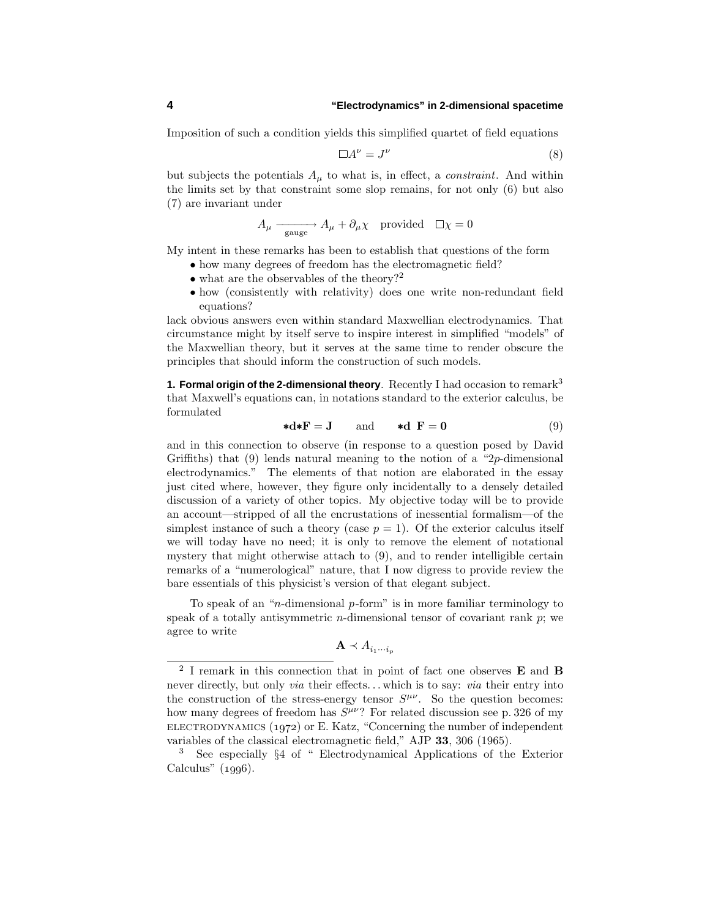Imposition of such a condition yields this simplified quartet of field equations

$$
\Box A^{\nu} = J^{\nu} \tag{8}
$$

but subjects the potentials  $A_\mu$  to what is, in effect, a *constraint*. And within the limits set by that constraint some slop remains, for not only  $(6)$  but also (7)are invariant under

$$
A_\mu \xrightarrow[\text{gauge}]{\text{gauge}} A_\mu + \partial_\mu \chi \quad \text{provided} \quad \Box \chi = 0
$$

My intent in these remarks has been to establish that questions of the form

- how many degrees of freedom has the electromagnetic field?
- what are the observables of the theory?<sup>2</sup>
- how (consistently with relativity) does one write non-redundant field equations?

lack obvious answers even within standard Maxwellian electrodynamics. That circumstance might by itself serve to inspire interest in simplified "models" of the Maxwellian theory, but it serves at the same time to render obscure the principles that should inform the construction of such models.

**1. Formal origin of the 2-dimensional theory**. Recently I had occasion to remark<sup>3</sup> that Maxwell's equations can, in notations standard to the exterior calculus, be formulated

$$
\ast \mathbf{d} \ast \mathbf{F} = \mathbf{J} \qquad \text{and} \qquad \ast \mathbf{d} \ \mathbf{F} = \mathbf{0} \tag{9}
$$

and in this connection to observe (in response to a question posed by David Griffiths) that  $(9)$  lends natural meaning to the notion of a "2*p*-dimensional electrodynamics." The elements of that notion are elaborated in the essay just cited where, however, they figure only incidentally to a densely detailed discussion of a variety of other topics. My objective today will be to provide an account—stripped of all the encrustations of inessential formalism—of the simplest instance of such a theory (case  $p = 1$ ). Of the exterior calculus itself we will today have no need; it is only to remove the element of notational mystery that might otherwise attach to (9), and to render intelligible certain remarks of a "numerological" nature, that I now digress to provide review the bare essentials of this physicist's version of that elegant subject.

To speak of an "*n*-dimensional *p*-form" is in more familiar terminology to speak of a totally antisymmetric *n*-dimensional tensor of covariant rank *p*; we agree to write

$$
\mathbf{A} \prec A_{i_1 \cdots i_p}
$$

<sup>2</sup> I remark in this connection that in point of fact one observes **E** and **B** never directly, but only via their effects*...* which is to say: via their entry into the construction of the stress-energy tensor  $S^{\mu\nu}$ . So the question becomes: how many degrees of freedom has  $S^{\mu\nu}$ ? For related discussion see p. 326 of my  $ELECTRODYNAMICS (1972)$  or E. Katz, "Concerning the number of independent variables of the classical electromagnetic field," AJP **33**, 306 (1965).

<sup>3</sup> See especially §4 of " Electrodynamical Applications of the Exterior Calculus"  $(1996)$ .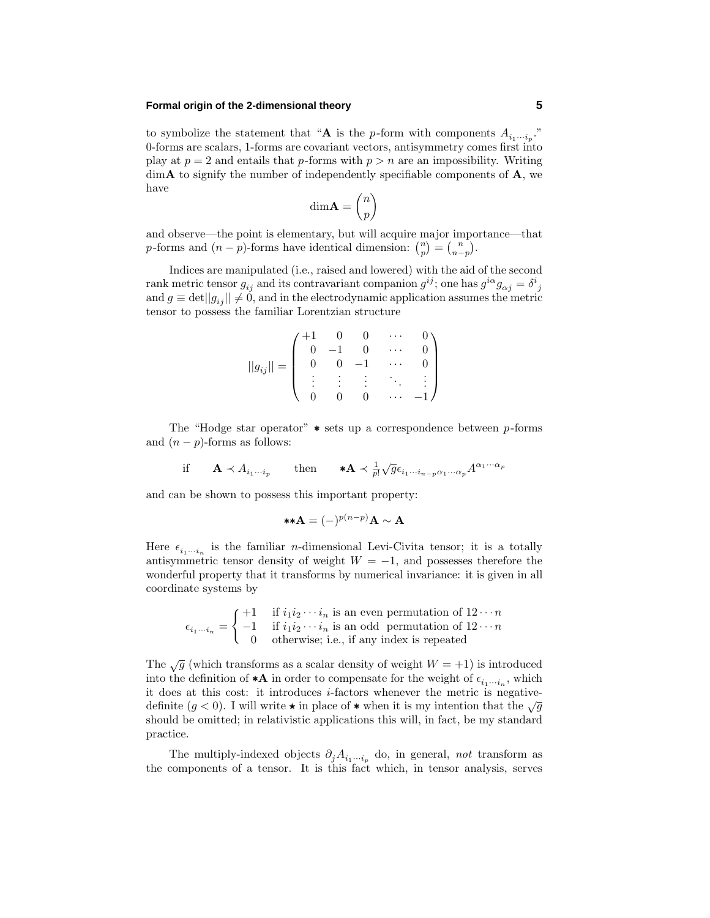## **Formal origin of the 2-dimensional theory 5**

to symbolize the statement that "**A** is the *p*-form with components  $A_{i_1\cdots i_p}$ ." 0-forms are scalars, 1-forms are covariant vectors, antisymmetry comes first into play at  $p = 2$  and entails that *p*-forms with  $p > n$  are an impossibility. Writing dim**A** to signify the number of independently specifiable components of **A**, we have

$$
\dim \mathbf{A} = \binom{n}{p}
$$

and observe—the point is elementary, but will acquire major importance—that *p*-forms and  $(n - p)$ -forms have identical dimension:  $\binom{n}{p} = \binom{n}{n-p}$ .

Indices are manipulated (i.e., raised and lowered) with the aid of the second rank metric tensor  $g_{ij}$  and its contravariant companion  $g^{ij}$ ; one has  $g^{i\alpha}g_{\alpha j} = \delta^i{}_j$ and  $g \equiv det ||g_{ij}|| \neq 0$ , and in the electrodynamic application assumes the metric tensor to possess the familiar Lorentzian structure

$$
||g_{ij}|| = \begin{pmatrix} +1 & 0 & 0 & \cdots & 0 \\ 0 & -1 & 0 & \cdots & 0 \\ 0 & 0 & -1 & \cdots & 0 \\ \vdots & \vdots & \vdots & \ddots & \vdots \\ 0 & 0 & 0 & \cdots & -1 \end{pmatrix}
$$

The "Hodge star operator" ∗ sets up a correspondence between *p*-forms and  $(n - p)$ -forms as follows:

if 
$$
\mathbf{A} \prec A_{i_1 \cdots i_p}
$$
 then  $\mathbf{A} \prec \frac{1}{p!} \sqrt{g} \epsilon_{i_1 \cdots i_{n-p} \alpha_1 \cdots \alpha_p} A^{\alpha_1 \cdots \alpha_p}$ 

and can be shown to possess this important property:

$$
**\mathbf{A}=(-)^{p(n-p)}\mathbf{A}\sim \mathbf{A}
$$

Here  $\epsilon_{i_1\cdots i_n}$  is the familiar *n*-dimensional Levi-Civita tensor; it is a totally antisymmetric tensor density of weight  $W = -1$ , and possesses therefore the wonderful property that it transforms by numerical invariance: it is given in all coordinate systems by

$$
\epsilon_{i_1\cdots i_n} = \begin{cases}\n+1 & \text{if } i_1 i_2 \cdots i_n \text{ is an even permutation of } 12 \cdots n \\
-1 & \text{if } i_1 i_2 \cdots i_n \text{ is an odd permutation of } 12 \cdots n \\
0 & \text{otherwise; i.e., if any index is repeated}\n\end{cases}
$$

The  $\sqrt{g}$  (which transforms as a scalar density of weight  $W = +1$ ) is introduced into the definition of  $*{\bf A}$  in order to compensate for the weight of  $\epsilon_{i_1\cdots i_n}$ , which it does at this cost: it introduces *i*-factors whenever the metric is negativedefinite  $(g < 0)$ . I will write  $\star$  in place of  $\star$  when it is my intention that the  $\sqrt{g}$ should be omitted; in relativistic applications this will, in fact, be my standard practice.

The multiply-indexed objects  $\partial_j A_{i_1 \cdots i_p}$  do, in general, *not* transform as the components of a tensor. It is this fact which, in tensor analysis, serves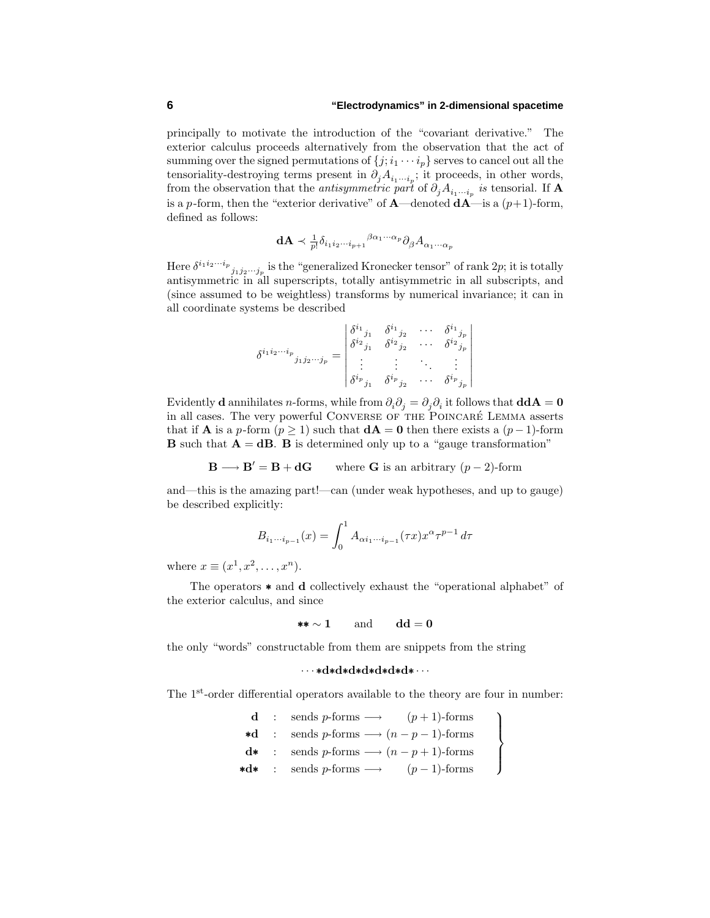principally to motivate the introduction of the "covariant derivative." The exterior calculus proceeds alternatively from the observation that the act of summing over the signed permutations of  $\{j; i_1 \cdots i_p\}$  serves to cancel out all the tensoriality-destroying terms present in  $\partial_j A_{i_1\cdots i_p}$ ; it proceeds, in other words, from the observation that the *antisymmetric part* of  $\partial_j A_{i_1 \cdots i_p}$  *is* tensorial. If **A** is a *p*-form, then the "exterior derivative" of **A**—denoted  $d\mathbf{A}$ —is a  $(p+1)$ -form, defined as follows:

$$
\mathbf{d}\mathbf{A} \prec \frac{1}{p!} \delta_{i_1 i_2 \cdots i_{p+1}}{}^{\beta \alpha_1 \cdots \alpha_p} \partial_{\beta} A_{\alpha_1 \cdots \alpha_p}
$$

Here  $\delta^{i_1 i_2 \cdots i_p}_{j_1 j_2 \cdots j_p}$  is the "generalized Kronecker tensor" of rank 2*p*; it is totally antisymmetric in all superscripts, totally antisymmetric in all subscripts, and (since assumed to be weightless) transforms by numerical invariance; it can in all coordinate systems be described

$$
\delta^{i_1 i_2 \cdots i_p}_{j_1 j_2 \cdots j_p} = \begin{vmatrix}\n\delta^{i_1}{}_{j_1} & \delta^{i_1}{}_{j_2} & \cdots & \delta^{i_1}{}_{j_p} \\
\delta^{i_2}{}_{j_1} & \delta^{i_2}{}_{j_2} & \cdots & \delta^{i_2}{}_{j_p} \\
\vdots & \vdots & \ddots & \vdots \\
\delta^{i_p}{}_{j_1} & \delta^{i_p}{}_{j_2} & \cdots & \delta^{i_p}{}_{j_p}\n\end{vmatrix}
$$

Evidently **d** annihilates *n*-forms, while from  $\partial_i \partial_j = \partial_j \partial_i$  it follows that  $d dA = 0$ in all cases. The very powerful CONVERSE OF THE POINCARÉ LEMMA asserts that if **A** is a *p*-form ( $p \ge 1$ ) such that **dA** = **0** then there exists a ( $p-1$ )-form **B** such that  $A = dB$ . **B** is determined only up to a "gauge transformation"

$$
\mathbf{B} \longrightarrow \mathbf{B}' = \mathbf{B} + \mathbf{d}\mathbf{G} \qquad \text{where } \mathbf{G} \text{ is an arbitrary } (p-2)\text{-form}
$$

and—this is the amazing part!—can (under weak hypotheses, and up to gauge) be described explicitly:

$$
B_{i_1 \cdots i_{p-1}}(x) = \int_0^1 A_{\alpha i_1 \cdots i_{p-1}}(\tau x) x^{\alpha} \tau^{p-1} d\tau
$$

where  $x \equiv (x^1, x^2, \ldots, x^n)$ .

The operators ∗ and **d** collectively exhaust the "operational alphabet" of the exterior calculus, and since

$$
** \sim 1 \qquad \text{and} \qquad \mathbf{d}\mathbf{d} = \mathbf{0}
$$

the only "words" constructable from them are snippets from the string

#### ···∗**d**∗**d**∗**d**∗**d**∗**d**∗**d**∗**d**∗ ···

The 1<sup>st</sup>-order differential operators available to the theory are four in number:

d: sends *p*-forms 
$$
\longrightarrow
$$
  $(p+1)$ -forms  
\n**\*d**: sends *p*-forms  $\longrightarrow$   $(n-p-1)$ -forms  
\n**d\***: sends *p*-forms  $\longrightarrow$   $(n-p+1)$ -forms  
\n**\*d\***: sends *p*-forms  $\longrightarrow$   $(p-1)$ -forms

 $\mathcal{L}$  $\overline{\mathcal{L}}$ 

 $\int$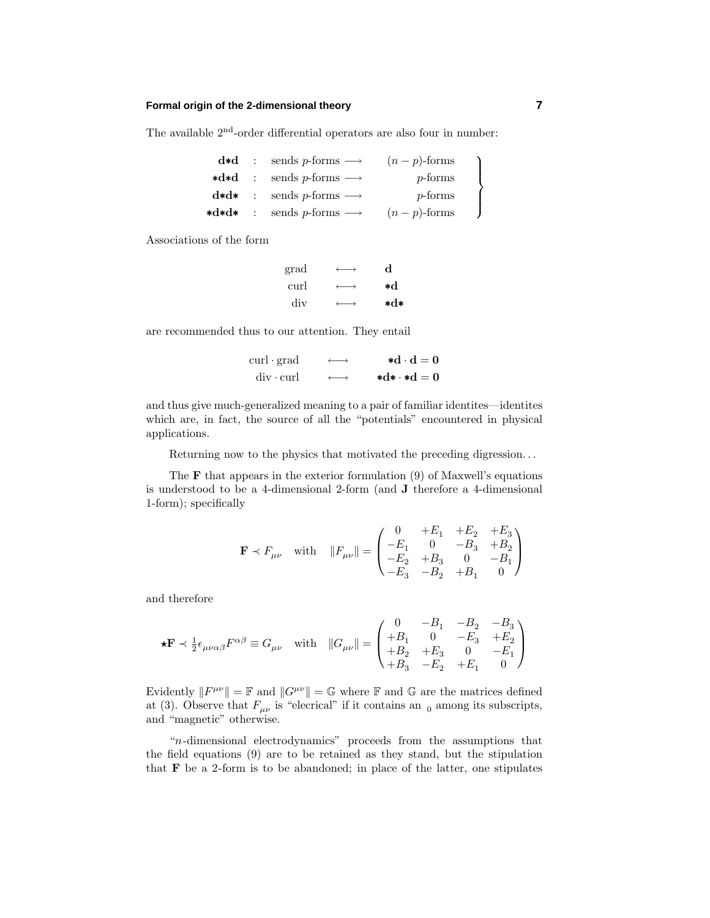## **Formal origin of the 2-dimensional theory 7**

The available  $2<sup>nd</sup>$ -order differential operators are also four in number:

|  | $d*d$ : sends p-forms $\longrightarrow$                                          | $(n-p)$ -forms   |
|--|----------------------------------------------------------------------------------|------------------|
|  | $\ast \mathbf{d} \ast \mathbf{d}$ : sends p-forms $\longrightarrow$              | $p\text{-forms}$ |
|  | $\mathbf{d} * \mathbf{d} *$ : sends p-forms $\longrightarrow$                    | $p\text{-forms}$ |
|  | $\ast$ <b>d</b> $\ast$ <b>d</b> $\ast$ : sends <i>p</i> -forms $\longrightarrow$ | $(n-p)$ -forms   |

Associations of the form

| $_{\rm grad}$ | d   |
|---------------|-----|
| curl          | *d  |
| div           | *d* |

are recommended thus to our attention. They entail

| $\ast d \cdot d = 0$           |               | $\text{curl} \cdot \text{grad}$ |
|--------------------------------|---------------|---------------------------------|
| $\ast d \ast \cdot \ast d = 0$ | $\longmapsto$ | $div \cdot curl$                |

and thus give much-generalized meaning to a pair of familiar identites—identites which are, in fact, the source of all the "potentials" encountered in physical applications.

Returning now to the physics that motivated the preceding digression*...*

The  $\bf{F}$  that appears in the exterior formulation (9) of Maxwell's equations is understood to be a 4-dimensional 2-form (and **J** therefore a 4-dimensional 1-form); specifically

$$
\mathbf{F} \prec F_{\mu\nu} \quad \text{with} \quad ||F_{\mu\nu}|| = \begin{pmatrix} 0 & +E_1 & +E_2 & +E_3 \\ -E_1 & 0 & -B_3 & +B_2 \\ -E_2 & +B_3 & 0 & -B_1 \\ -E_3 & -B_2 & +B_1 & 0 \end{pmatrix}
$$

and therefore

$$
\star \mathbf{F} \prec \frac{1}{2} \epsilon_{\mu\nu\alpha\beta} F^{\alpha\beta} \equiv G_{\mu\nu} \quad \text{with} \quad ||G_{\mu\nu}|| = \begin{pmatrix} 0 & -B_1 & -B_2 & -B_3 \\ +B_1 & 0 & -E_3 & +E_2 \\ +B_2 & +E_3 & 0 & -E_1 \\ +B_3 & -E_2 & +E_1 & 0 \end{pmatrix}
$$

Evidently  $||F^{\mu\nu}|| = \mathbb{F}$  and  $||G^{\mu\nu}|| = \mathbb{G}$  where  $\mathbb{F}$  and  $\mathbb{G}$  are the matrices defined at (3). Observe that  $F_{\mu\nu}$  is "elecrical" if it contains an <sub>0</sub> among its subscripts, and "magnetic" otherwise.

"*n*-dimensional electrodynamics" proceeds from the assumptions that the field equations  $(9)$  are to be retained as they stand, but the stipulation that **F** be a 2-form is to be abandoned; in place of the latter, one stipulates

 $\mathcal{L}$  $\downarrow$ 

 $\int$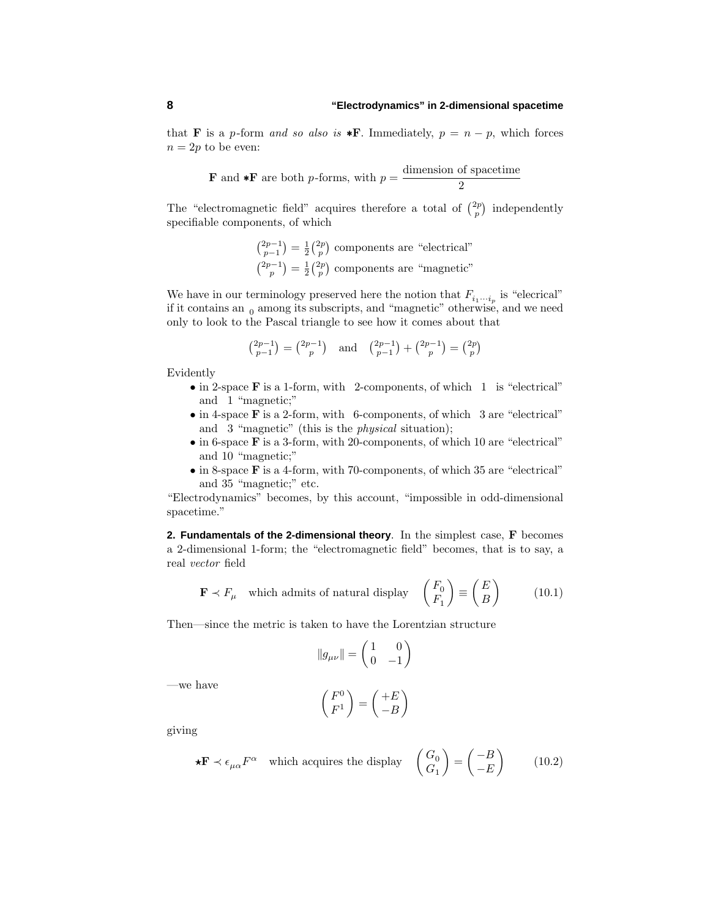that **F** is a *p*-form and so also is \***F**. Immediately,  $p = n - p$ , which forces  $n = 2p$  to be even:

**F** and **\*F** are both *p*-forms, with 
$$
p = \frac{\text{dimension of spacetime}}{2}
$$

The "electromagnetic field" acquires therefore a total of  $\binom{2p}{p}$  independently specifiable components, of which

$$
\binom{2p-1}{p-1} = \frac{1}{2} \binom{2p}{p}
$$
 components are "electrical"  

$$
\binom{2p-1}{p} = \frac{1}{2} \binom{2p}{p}
$$
 components are "magnetic"

We have in our terminology preserved here the notion that  $F_{i_1\cdots i_p}$  is "elecrical" if it contains an  $_{0}$  among its subscripts, and "magnetic" otherwise, and we need only to look to the Pascal triangle to see how it comes about that

$$
\begin{pmatrix} 2p-1 \\ p-1 \end{pmatrix} = \begin{pmatrix} 2p-1 \\ p \end{pmatrix} \quad \text{and} \quad \begin{pmatrix} 2p-1 \\ p-1 \end{pmatrix} + \begin{pmatrix} 2p-1 \\ p \end{pmatrix} = \begin{pmatrix} 2p \\ p \end{pmatrix}
$$

Evidently

- in 2-space **F** is a 1-form, with 2-components, of which 1 is "electrical" and 1 "magnetic;"
- in 4-space **F** is a 2-form, with 6-components, of which 3 are "electrical" and 3 "magnetic" (this is the physical situation);
- in 6-space **F** is a 3-form, with 20-components, of which 10 are "electrical" and 10 "magnetic;"
- in 8-space **F** is a 4-form, with 70-components, of which 35 are "electrical" and 35 "magnetic;" etc.

"Electrodynamics" becomes, by this account, "impossible in odd-dimensional spacetime."

**2. Fundamentals of the 2-dimensional theory**. In the simplest case, **F** becomes a 2-dimensional 1-form; the "electromagnetic field" becomes, that is to say, a real vector field

$$
\mathbf{F} \prec F_{\mu} \quad \text{which admits of natural display} \quad \begin{pmatrix} F_0 \\ F_1 \end{pmatrix} \equiv \begin{pmatrix} E \\ B \end{pmatrix} \tag{10.1}
$$

Then—since the metric is taken to have the Lorentzian structure

$$
||g_{\mu\nu}|| = \begin{pmatrix} 1 & 0 \\ 0 & -1 \end{pmatrix}
$$

—we have

$$
\begin{pmatrix} F^0 \\ F^1 \end{pmatrix} = \begin{pmatrix} +E \\ -B \end{pmatrix}
$$

giving

$$
\star \mathbf{F} \prec \epsilon_{\mu\alpha} F^{\alpha} \quad \text{which acquires the display} \quad \begin{pmatrix} G_0 \\ G_1 \end{pmatrix} = \begin{pmatrix} -B \\ -E \end{pmatrix} \tag{10.2}
$$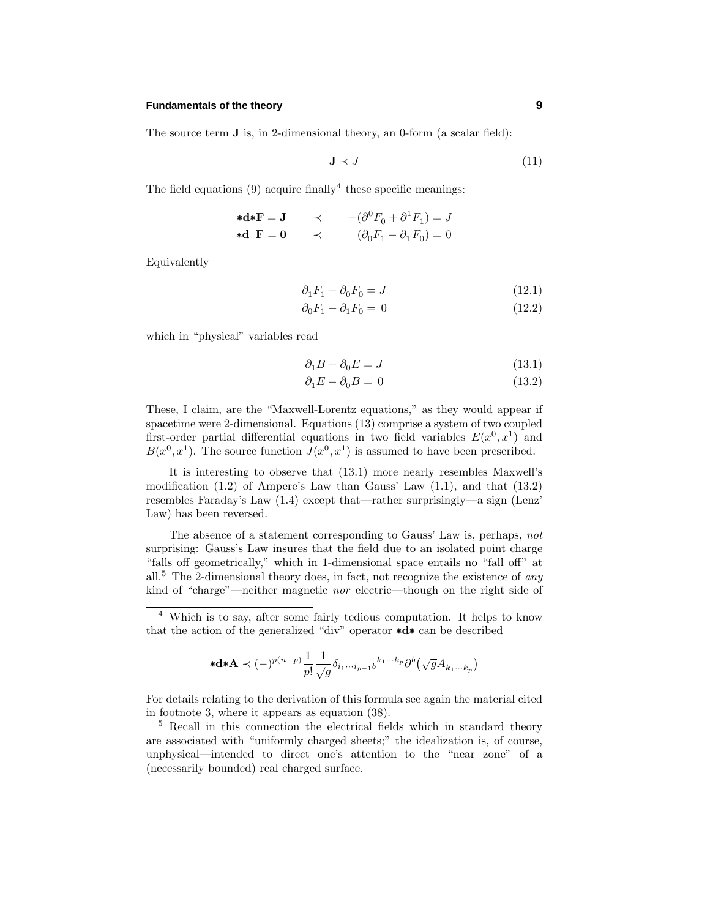#### **Fundamentals of the theory 9**

The source term **J** is, in 2-dimensional theory, an 0-form (a scalar field):

$$
\mathbf{J} \prec J \tag{11}
$$

The field equations (9) acquire finally  $4$  these specific meanings:

\*
$$
d \bullet F = J
$$
  
\n\* $d \bullet F = 0$   
\n\* $d \bullet F = 0$   
\n $d \bullet d \bullet F = 0$   
\n $d \bullet d \bullet d \bullet F = 0$   
\n $d \bullet d \bullet d \bullet F_1 = 0$   
\n $d \bullet d \bullet F_1 = 0$   
\n $d \bullet d \bullet F_1 = 0$ 

Equivalently

$$
\partial_1 F_1 - \partial_0 F_0 = J \tag{12.1}
$$

$$
\partial_0 F_1 - \partial_1 F_0 = 0 \tag{12.2}
$$

which in "physical" variables read

$$
\partial_1 B - \partial_0 E = J \tag{13.1}
$$

$$
\partial_1 E - \partial_0 B = 0 \tag{13.2}
$$

These, I claim, are the "Maxwell-Lorentz equations," as they would appear if spacetime were 2-dimensional. Equations  $(13)$  comprise a system of two coupled first-order partial differential equations in two field variables  $E(x^0, x^1)$  and  $B(x^0, x^1)$ . The source function  $J(x^0, x^1)$  is assumed to have been prescribed.

It is interesting to observe that  $(13.1)$  more nearly resembles Maxwell's modification  $(1.2)$  of Ampere's Law than Gauss' Law  $(1.1)$ , and that  $(13.2)$ resembles Faraday's Law  $(1.4)$  except that—rather surprisingly—a sign (Lenz' Law) has been reversed.

The absence of a statement corresponding to Gauss' Law is, perhaps, not surprising: Gauss's Law insures that the field due to an isolated point charge "falls off geometrically," which in 1-dimensional space entails no "fall off" at all.<sup>5</sup> The 2-dimensional theory does, in fact, not recognize the existence of any kind of "charge"—neither magnetic *nor* electric—though on the right side of

$$
\ast \mathbf{d} \ast \mathbf{A} \prec (-)^{p(n-p)} \frac{1}{p!} \frac{1}{\sqrt{g}} \delta_{i_1 \cdots i_{p-1} b}{}^{k_1 \cdots k_p} \partial^b \big(\sqrt{g} A_{k_1 \cdots k_p} \big)
$$

For details relating to the derivation of this formula see again the material cited in footnote 3, where it appears as equation (38).

<sup>5</sup> Recall in this connection the electrical fields which in standard theory are associated with "uniformly charged sheets;" the idealization is, of course, unphysical—intended to direct one's attention to the "near zone" of a (necessarily bounded) real charged surface.

<sup>4</sup> Which is to say, after some fairly tedious computation. It helps to know that the action of the generalized "div" operator ∗**d**∗ can be described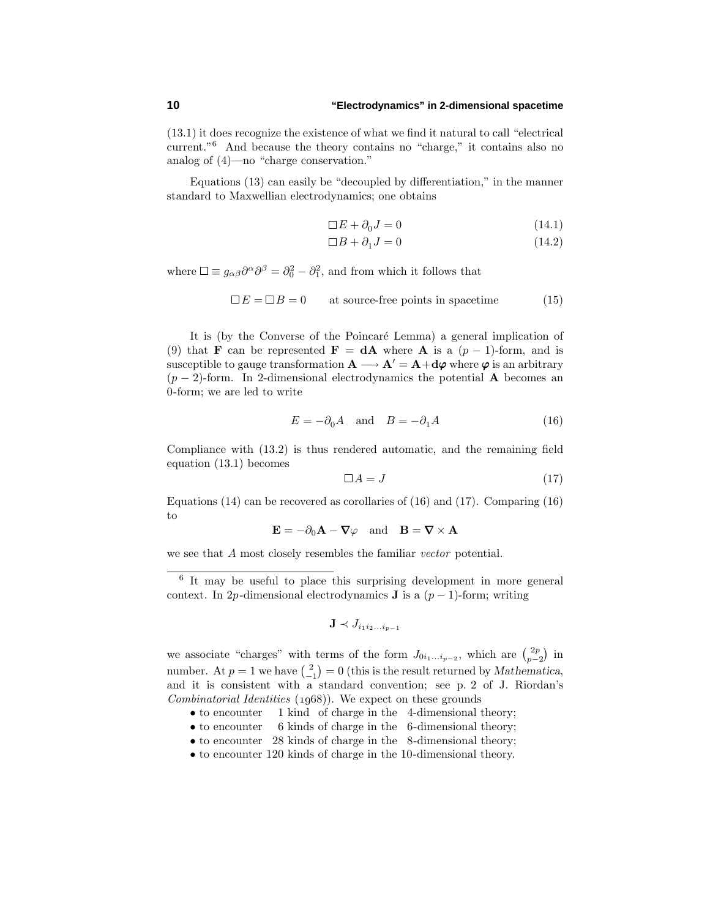$(13.1)$  it does recognize the existence of what we find it natural to call "electrical" current."<sup>6</sup> And because the theory contains no "charge," it contains also no analog of (4)—no "charge conservation."

Equations  $(13)$  can easily be "decoupled by differentiation," in the manner standard to Maxwellian electrodynamics; one obtains

$$
\Box E + \partial_0 J = 0 \tag{14.1}
$$

$$
\Box B + \partial_1 J = 0 \tag{14.2}
$$

where  $\Box \equiv g_{\alpha\beta}\partial^{\alpha}\partial^{\beta} = \partial_0^2 - \partial_1^2$ , and from which it follows that

$$
\Box E = \Box B = 0 \qquad \text{at source-free points in spacetime} \tag{15}
$$

It is (by the Converse of the Poincaré Lemma) a general implication of (9) that **F** can be represented **F** = **dA** where **A** is a  $(p-1)$ -form, and is susceptible to gauge transformation  $\mathbf{A} \longrightarrow \mathbf{A}' = \mathbf{A} + \mathbf{d}\varphi$  where  $\varphi$  is an arbitrary (*p* − 2)-form. In 2-dimensional electrodynamics the potential **A** becomes an 0-form; we are led to write

$$
E = -\partial_0 A \quad \text{and} \quad B = -\partial_1 A \tag{16}
$$

Compliance with  $(13.2)$  is thus rendered automatic, and the remaining field equation  $(13.1)$  becomes

$$
\Box A = J \tag{17}
$$

Equations (14) can be recovered as corollaries of (16) and (17). Comparing (16) to

$$
\mathbf{E} = -\partial_0 \mathbf{A} - \mathbf{\nabla} \varphi \quad \text{and} \quad \mathbf{B} = \mathbf{\nabla} \times \mathbf{A}
$$

we see that *A* most closely resembles the familiar vector potential.

$$
\mathbf{J} \prec J_{i_1 i_2 \dots i_{p-1}}
$$

we associate "charges" with terms of the form  $J_{0i_1...i_{p-2}}$ , which are  $\binom{2p}{p-2}$  in number. At  $p = 1$  we have  $\begin{pmatrix} 2 \\ -1 \end{pmatrix} = 0$  (this is the result returned by *Mathematica*, and it is consistent with a standard convention; see p. 2 of J. Riordan's Combinatorial Identities  $(1968)$ . We expect on these grounds

- to encounter 1 kind of charge in the 4-dimensional theory;
- $\bullet$  to encounter 6 kinds of charge in the 6-dimensional theory;
- to encounter 28 kinds of charge in the 8-dimensional theory;
- to encounter 120 kinds of charge in the 10-dimensional theory.

<sup>6</sup> It may be useful to place this surprising development in more general context. In 2*p*-dimensional electrodynamics **J** is a  $(p-1)$ -form; writing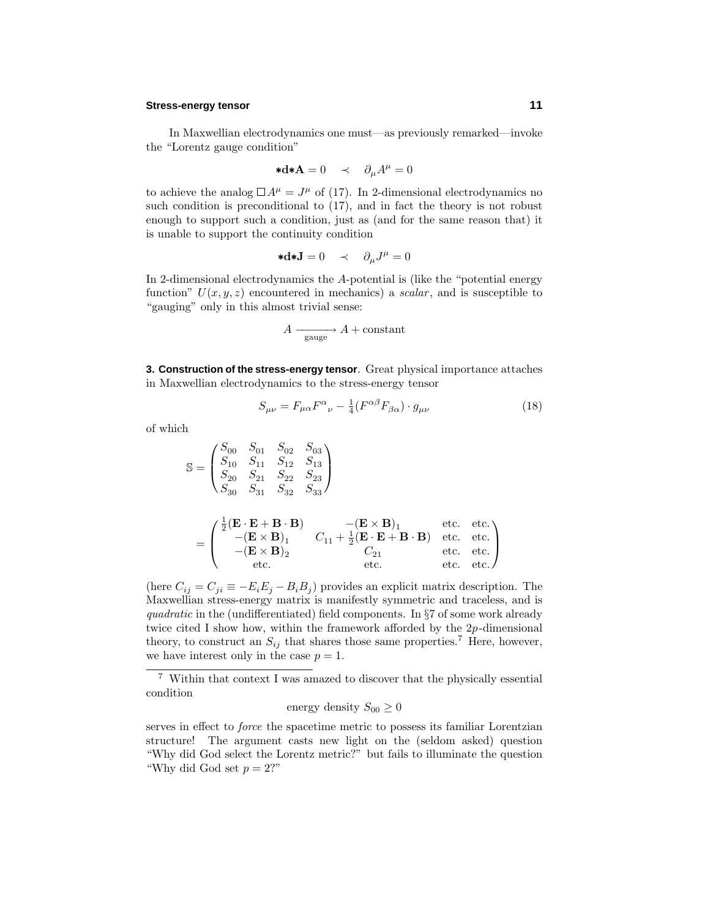## **Stress-energy tensor 11**

In Maxwellian electrodynamics one must—as previously remarked—invoke the "Lorentz gauge condition"

$$
\ast \mathbf{d} \ast \mathbf{A} = 0 \quad \prec \quad \partial_{\mu} A^{\mu} = 0
$$

to achieve the analog  $\Box A^{\mu} = J^{\mu}$  of (17). In 2-dimensional electrodynamics no such condition is preconditional to (17), and in fact the theory is not robust enough to support such a condition, just as (and for the same reason that) it is unable to support the continuity condition

$$
\ast \mathbf{d} \ast \mathbf{J} = 0 \quad \prec \quad \partial_{\mu} J^{\mu} = 0
$$

In 2-dimensional electrodynamics the *A*-potential is (like the "potential energy function"  $U(x, y, z)$  encountered in mechanics) a *scalar*, and is susceptible to "gauging" only in this almost trivial sense:

$$
A \xrightarrow[\text{gauge}]{}
$$

**3. Construction of the stress-energy tensor**. Great physical importance attaches in Maxwellian electrodynamics to the stress-energy tensor

$$
S_{\mu\nu} = F_{\mu\alpha} F^{\alpha}{}_{\nu} - \frac{1}{4} (F^{\alpha\beta} F_{\beta\alpha}) \cdot g_{\mu\nu} \tag{18}
$$

of which

$$
\mathbb{S} = \begin{pmatrix} S_{00} & S_{01} & S_{02} & S_{03} \\ S_{10} & S_{11} & S_{12} & S_{13} \\ S_{20} & S_{21} & S_{22} & S_{23} \\ S_{30} & S_{31} & S_{32} & S_{33} \end{pmatrix}
$$

$$
= \begin{pmatrix} \frac{1}{2} (\mathbf{E} \cdot \mathbf{E} + \mathbf{B} \cdot \mathbf{B}) & -(\mathbf{E} \times \mathbf{B})_1 & \text{etc. etc.} \\ -(\mathbf{E} \times \mathbf{B})_1 & C_{11} + \frac{1}{2} (\mathbf{E} \cdot \mathbf{E} + \mathbf{B} \cdot \mathbf{B}) & \text{etc. etc.} \\ -(\mathbf{E} \times \mathbf{B})_2 & C_{21} & \text{etc. etc.} \\ \text{etc.} & \text{etc. etc.} & \text{etc. etc.} \end{pmatrix}
$$

(here  $C_{ij} = C_{ji} \equiv -E_i E_j - B_i B_j$ ) provides an explicit matrix description. The Maxwellian stress-energy matrix is manifestly symmetric and traceless, and is quadratic in the (undifferentiated) field components. In  $\S7$  of some work already twice cited I show how, within the framework afforded by the 2*p*-dimensional theory, to construct an  $S_{ij}$  that shares those same properties.<sup>7</sup> Here, however, we have interest only in the case  $p = 1$ .

energy density 
$$
S_{00} \geq 0
$$

 $^7\,$  Within that context I was a<br>mazed to discover that the physically essential condition

serves in effect to force the spacetime metric to possess its familiar Lorentzian structure! The argument casts new light on the (seldom asked) question "Why did God select the Lorentz metric?" but fails to illuminate the question "Why did God set  $p = 2$ ?"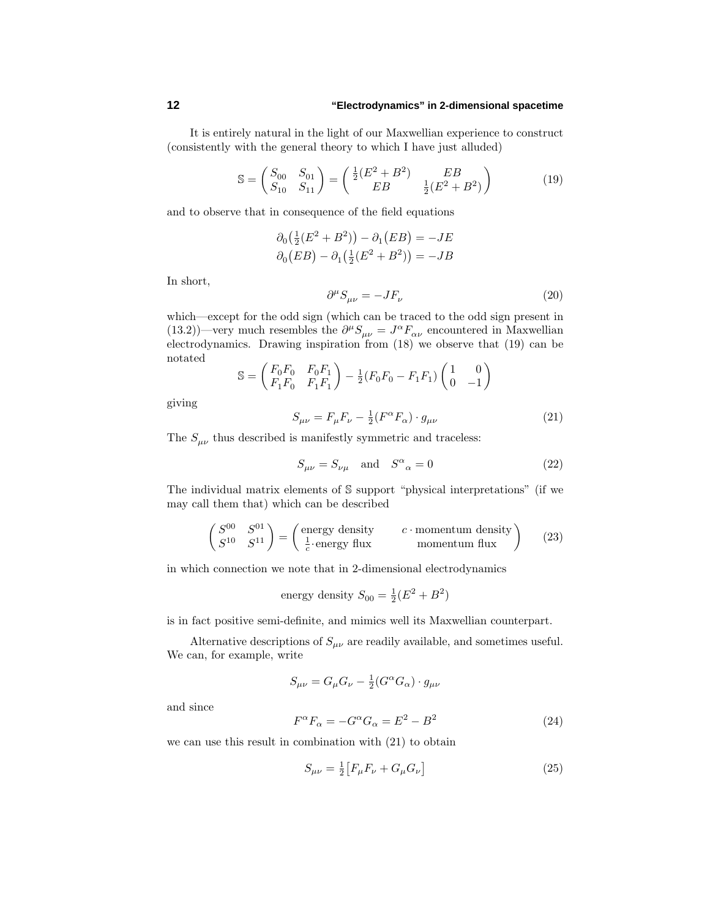It is entirely natural in the light of our Maxwellian experience to construct (consistently with the general theory to which I have just alluded)

$$
\mathbb{S} = \begin{pmatrix} S_{00} & S_{01} \\ S_{10} & S_{11} \end{pmatrix} = \begin{pmatrix} \frac{1}{2}(E^2 + B^2) & EB \\ EB & \frac{1}{2}(E^2 + B^2) \end{pmatrix} \tag{19}
$$

and to observe that in consequence of the field equations

$$
\partial_0 \left(\frac{1}{2}(E^2 + B^2)\right) - \partial_1 (EB) = -JE
$$
  

$$
\partial_0 (EB) - \partial_1 \left(\frac{1}{2}(E^2 + B^2)\right) = -JB
$$

In short,

$$
\partial^{\mu} S_{\mu\nu} = -JF_{\nu} \tag{20}
$$

which—except for the odd sign (which can be traced to the odd sign present in (13.2))—very much resembles the  $\partial^{\mu}S_{\mu\nu} = J^{\alpha}F_{\alpha\nu}$  encountered in Maxwellian electrodynamics. Drawing inspiration from  $(18)$  we observe that  $(19)$  can be notated

$$
\mathbb{S} = \begin{pmatrix} F_0 F_0 & F_0 F_1 \\ F_1 F_0 & F_1 F_1 \end{pmatrix} - \frac{1}{2} (F_0 F_0 - F_1 F_1) \begin{pmatrix} 1 & 0 \\ 0 & -1 \end{pmatrix}
$$

giving

$$
S_{\mu\nu} = F_{\mu}F_{\nu} - \frac{1}{2}(F^{\alpha}F_{\alpha}) \cdot g_{\mu\nu}
$$
\n(21)

The  $S_{\mu\nu}$  thus described is manifestly symmetric and traceless:

$$
S_{\mu\nu} = S_{\nu\mu} \quad \text{and} \quad S^{\alpha}{}_{\alpha} = 0 \tag{22}
$$

The individual matrix elements of S support "physical interpretations" (if we may call them that) which can be described

$$
\begin{pmatrix} S^{00} & S^{01} \\ S^{10} & S^{11} \end{pmatrix} = \begin{pmatrix} \text{energy density} & c \cdot \text{momentum density} \\ \frac{1}{c} \cdot \text{energy flux} & \text{momentum flux} \end{pmatrix} \tag{23}
$$

in which connection we note that in 2-dimensional electrodynamics

energy density 
$$
S_{00} = \frac{1}{2}(E^2 + B^2)
$$

is in fact positive semi-definite, and mimics well its Maxwellian counterpart.

Alternative descriptions of  $S_{\mu\nu}$  are readily available, and sometimes useful. We can, for example, write

$$
S_{\mu\nu} = G_{\mu} G_{\nu} - \frac{1}{2} (G^{\alpha} G_{\alpha}) \cdot g_{\mu\nu}
$$

and since

$$
F^{\alpha}F_{\alpha} = -G^{\alpha}G_{\alpha} = E^2 - B^2 \tag{24}
$$

we can use this result in combination with  $(21)$  to obtain

$$
S_{\mu\nu} = \frac{1}{2} \left[ F_{\mu} F_{\nu} + G_{\mu} G_{\nu} \right]
$$
 (25)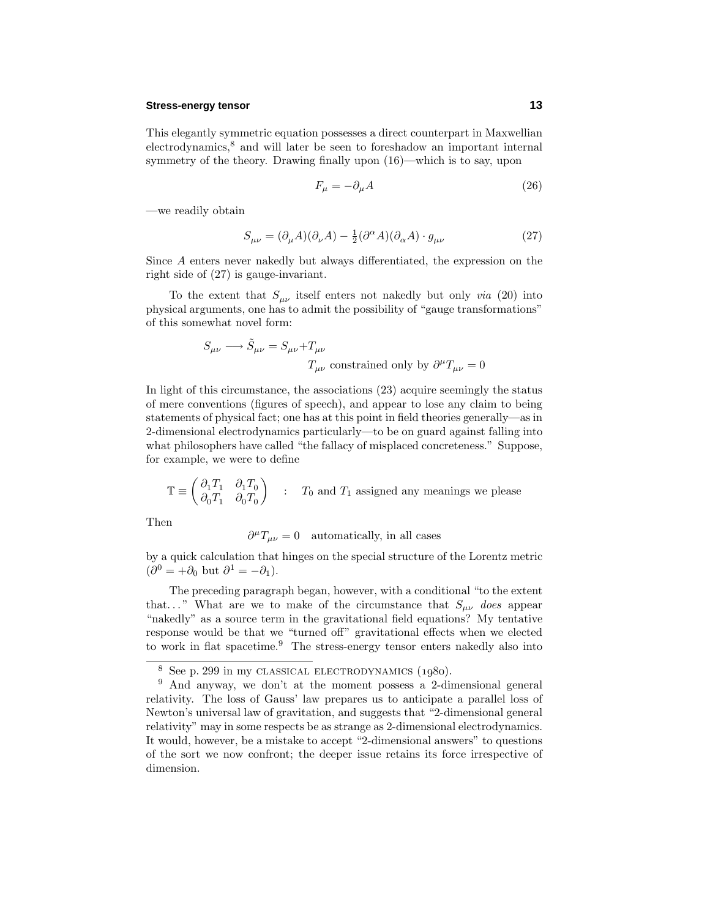## **Stress-energy tensor 13**

This elegantly symmetric equation possesses a direct counterpart in Maxwellian electrodynamics,<sup>8</sup> and will later be seen to foreshadow an important internal symmetry of the theory. Drawing finally upon (16)—which is to say, upon

$$
F_{\mu} = -\partial_{\mu}A\tag{26}
$$

—we readily obtain

$$
S_{\mu\nu} = (\partial_{\mu}A)(\partial_{\nu}A) - \frac{1}{2}(\partial^{\alpha}A)(\partial_{\alpha}A) \cdot g_{\mu\nu}
$$
 (27)

Since *A* enters never nakedly but always differentiated, the expression on the right side of  $(27)$  is gauge-invariant.

To the extent that  $S_{\mu\nu}$  itself enters not nakedly but only *via* (20) into physical arguments, one has to admit the possibility of "gauge transformations" of this somewhat novel form:

$$
S_{\mu\nu}\longrightarrow \tilde{S}_{\mu\nu}=S_{\mu\nu}+T_{\mu\nu}
$$
  

$$
T_{\mu\nu} \text{ constrained only by } \partial^{\mu}T_{\mu\nu}=0
$$

In light of this circumstance, the associations  $(23)$  acquire seemingly the status of mere conventions (figures of speech), and appear to lose any claim to being statements of physical fact; one has at this point in field theories generally—as in 2-dimensional electrodynamics particularly—to be on guard against falling into what philosophers have called "the fallacy of misplaced concreteness." Suppose, for example, we were to define

$$
\mathbb{T} \equiv \begin{pmatrix} \partial_1 T_1 & \partial_1 T_0 \\ \partial_0 T_1 & \partial_0 T_0 \end{pmatrix} : T_0 \text{ and } T_1 \text{ assigned any meanings we please}
$$

Then

 $\partial^{\mu}T_{\mu\nu} = 0$  automatically, in all cases

by a quick calculation that hinges on the special structure of the Lorentz metric  $(\partial^0 = +\partial_0$  but  $\partial^1 = -\partial_1$ ).

The preceding paragraph began, however, with a conditional "to the extent that..." What are we to make of the circumstance that  $S_{\mu\nu}$  does appear "nakedly" as a source term in the gravitational field equations? My tentative response would be that we "turned off" gravitational effects when we elected to work in flat spacetime.<sup>9</sup> The stress-energy tensor enters nakedly also into

 $8$  See p. 299 in my CLASSICAL ELECTRODYNAMICS  $(1080)$ .

<sup>9</sup> And anyway, we don't at the moment possess a 2-dimensional general relativity. The loss of Gauss' law prepares us to anticipate a parallel loss of Newton's universal law of gravitation, and suggests that "2-dimensional general relativity" may in some respects be as strange as 2-dimensional electrodynamics. It would, however, be a mistake to accept "2-dimensional answers" to questions of the sort we now confront; the deeper issue retains its force irrespective of dimension.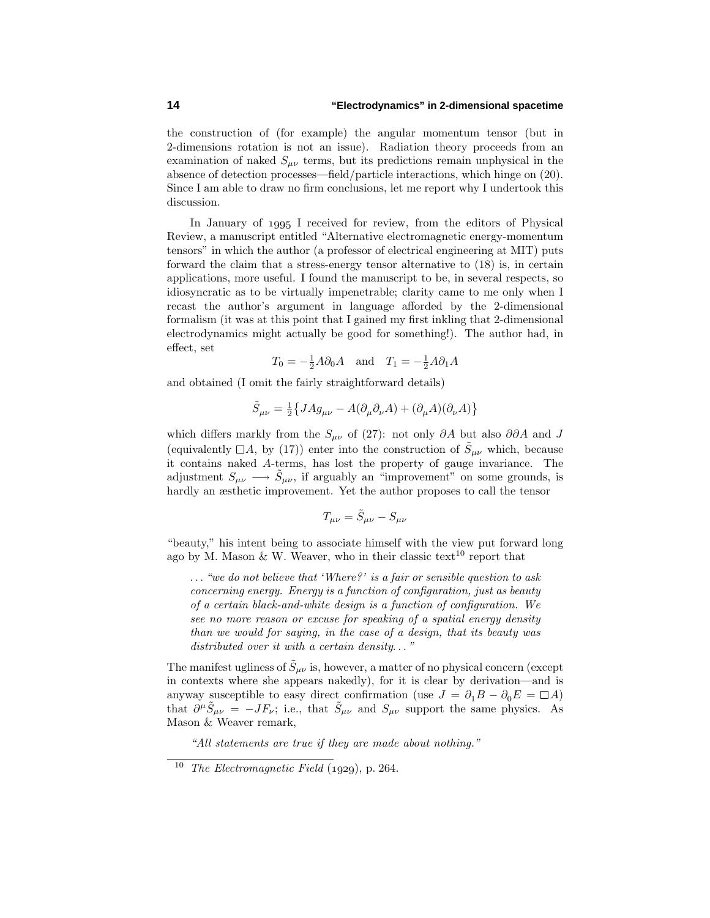the construction of (for example) the angular momentum tensor (but in 2-dimensions rotation is not an issue). Radiation theory proceeds from an examination of naked  $S_{\mu\nu}$  terms, but its predictions remain unphysical in the absence of detection processes—field/particle interactions, which hinge on (20). Since I am able to draw no firm conclusions, let me report why I undertook this discussion.

In January of 1995 I received for review, from the editors of Physical Review, a manuscript entitled "Alternative electromagnetic energy-momentum tensors" in which the author (a professor of electrical engineering at MIT) puts forward the claim that a stress-energy tensor alternative to  $(18)$  is, in certain applications, more useful. I found the manuscript to be, in several respects, so idiosyncratic as to be virtually impenetrable; clarity came to me only when I recast the author's argument in language afforded by the 2-dimensional formalism (it was at this point that I gained my first inkling that 2-dimensional electrodynamics might actually be good for something!). The author had, in effect, set

$$
T_0 = -\frac{1}{2}A\partial_0 A \quad \text{and} \quad T_1 = -\frac{1}{2}A\partial_1 A
$$

and obtained (I omit the fairly straightforward details)

$$
\tilde{S}_{\mu\nu}=\tfrac{1}{2}\big\{ JAg_{\mu\nu}-A(\partial_{\mu}\partial_{\nu}A)+(\partial_{\mu}A)(\partial_{\nu}A)\big\}
$$

which differs markly from the  $S_{\mu\nu}$  of (27): not only  $\partial A$  but also  $\partial \partial A$  and *J* (equivalently  $\Box A$ , by (17)) enter into the construction of  $S_{\mu\nu}$  which, because it contains naked *A*-terms, has lost the property of gauge invariance. The adjustment  $S_{\mu\nu} \longrightarrow \tilde{S}_{\mu\nu}$ , if arguably an "improvement" on some grounds, is hardly an æsthetic improvement. Yet the author proposes to call the tensor

$$
T_{\mu\nu} = \tilde{S}_{\mu\nu} - S_{\mu\nu}
$$

"beauty," his intent being to associate himself with the view put forward long ago by M. Mason & W. Weaver, who in their classic text<sup>10</sup> report that

*...* "we do not believe that 'Where?' is a fair or sensible question to ask concerning energy.Energy is a function of configuration, just as beauty of a certain black-and-white design is a function of configuration.We see no more reason or excuse for speaking of a spatial energy density than we would for saying, in the case of a design, that its beauty was distributed over it with a certain density*...* "

The manifest ugliness of  $\tilde{S}_{\mu\nu}$  is, however, a matter of no physical concern (except in contexts where she appears nakedly), for it is clear by derivation—and is anyway susceptible to easy direct confirmation (use  $J = \partial_1 B - \partial_0 E = \Box A$ ) that  $\partial^{\mu}S_{\mu\nu} = -JF_{\nu}$ ; i.e., that  $S_{\mu\nu}$  and  $S_{\mu\nu}$  support the same physics. As Mason & Weaver remark,

"All statements are true if they are made about nothing."

The Electromagnetic Field  $(1929)$ , p. 264.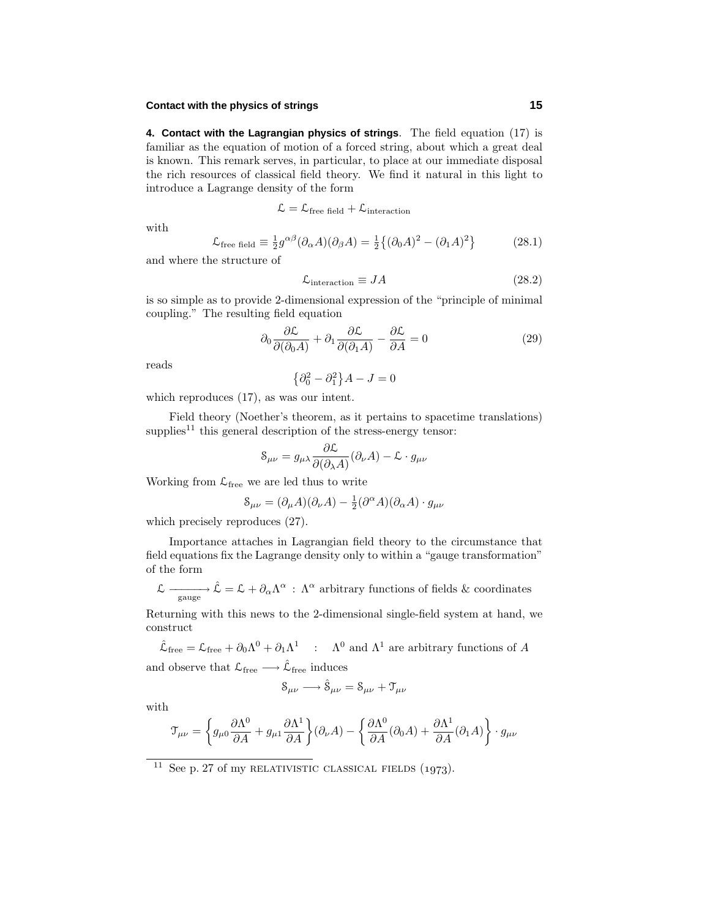# **Contact with the physics of strings 15**

**4. Contact with the Lagrangian physics of strings**. The field equation (17) is familiar as the equation of motion of a forced string, about which a great deal is known. This remark serves, in particular, to place at our immediate disposal the rich resources of classical field theory. We find it natural in this light to introduce a Lagrange density of the form

$$
\mathcal{L} = \mathcal{L}_{\text{free field}} + \mathcal{L}_{\text{interaction}}
$$

with

$$
\mathcal{L}_{\text{free field}} \equiv \frac{1}{2} g^{\alpha\beta} (\partial_{\alpha} A)(\partial_{\beta} A) = \frac{1}{2} \{ (\partial_0 A)^2 - (\partial_1 A)^2 \} \tag{28.1}
$$

and where the structure of

$$
\mathcal{L}_{\text{interaction}} \equiv JA \tag{28.2}
$$

is so simple as to provide 2-dimensional expression of the "principle of minimal coupling." The resulting field equation

$$
\partial_0 \frac{\partial \mathcal{L}}{\partial(\partial_0 A)} + \partial_1 \frac{\partial \mathcal{L}}{\partial(\partial_1 A)} - \frac{\partial \mathcal{L}}{\partial A} = 0 \tag{29}
$$

reads

$$
\left\{\partial_0^2 - \partial_1^2\right\} A - J = 0
$$

which reproduces (17), as was our intent.

Field theory (Noether's theorem, as it pertains to spacetime translations) supplies<sup>11</sup> this general description of the stress-energy tensor:

$$
\mathcal{S}_{\mu\nu} = g_{\mu\lambda} \frac{\partial \mathcal{L}}{\partial(\partial_{\lambda} A)} (\partial_{\nu} A) - \mathcal{L} \cdot g_{\mu\nu}
$$

Working from  $\mathcal{L}_{\text{free}}$  we are led thus to write

$$
\mathcal{S}_{\mu\nu} = (\partial_{\mu}A)(\partial_{\nu}A) - \frac{1}{2}(\partial^{\alpha}A)(\partial_{\alpha}A) \cdot g_{\mu\nu}
$$

which precisely reproduces (27).

Importance attaches in Lagrangian field theory to the circumstance that field equations fix the Lagrange density only to within a "gauge transformation" of the form

 $\mathcal{L}$   $\longrightarrow$   $\hat{\mathcal{L}} = \mathcal{L} + \partial_{\alpha} \Lambda^{\alpha}$  :  $\Lambda^{\alpha}$  arbitrary functions of fields & coordinates

Returning with this news to the 2-dimensional single-field system at hand, we construct

 $\hat{\mathcal{L}}_{\text{free}} = \mathcal{L}_{\text{free}} + \partial_0 \Lambda^0 + \partial_1 \Lambda^1$  :  $\Lambda^0$  and  $\Lambda^1$  are arbitrary functions of A and observe that  $\mathcal{L}_{\text{free}}\longrightarrow \hat{\mathcal{L}}_{\text{free}}$  induces

$$
\mathbf{S}_{\mu\nu}\longrightarrow\hat{\mathbf{S}}_{\mu\nu}=\mathbf{S}_{\mu\nu}+\mathbf{T}_{\mu\nu}
$$

with

$$
\mathcal{T}_{\mu\nu} = \left\{ g_{\mu 0} \frac{\partial \Lambda^0}{\partial A} + g_{\mu 1} \frac{\partial \Lambda^1}{\partial A} \right\} (\partial_{\nu} A) - \left\{ \frac{\partial \Lambda^0}{\partial A} (\partial_0 A) + \frac{\partial \Lambda^1}{\partial A} (\partial_1 A) \right\} \cdot g_{\mu\nu}
$$

 $11$  See p. 27 of my RELATIVISTIC CLASSICAL FIELDS (1973).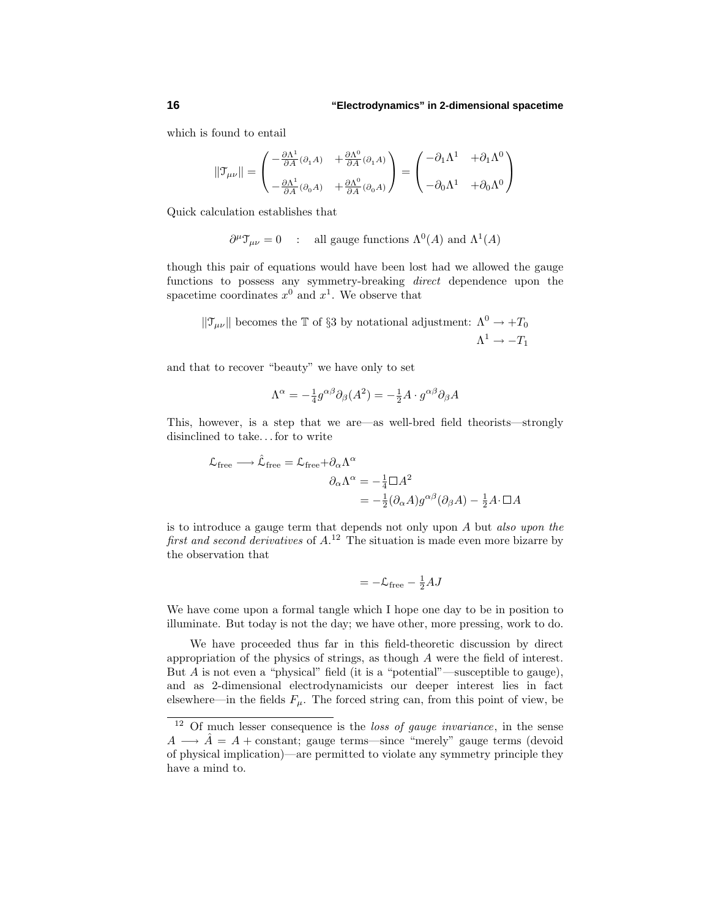which is found to entail

$$
||\mathbf{T}_{\mu\nu}|| = \begin{pmatrix} -\frac{\partial \Lambda^1}{\partial A}(\partial_1 A) & +\frac{\partial \Lambda^0}{\partial A}(\partial_1 A) \\ -\frac{\partial \Lambda^1}{\partial A}(\partial_0 A) & +\frac{\partial \Lambda^0}{\partial A}(\partial_0 A) \end{pmatrix} = \begin{pmatrix} -\partial_1 \Lambda^1 & +\partial_1 \Lambda^0 \\ -\partial_0 \Lambda^1 & +\partial_0 \Lambda^0 \end{pmatrix}
$$

Quick calculation establishes that

 $\partial^{\mu} \mathcal{T}_{\mu\nu} = 0$  : all gauge functions  $\Lambda^{0}(A)$  and  $\Lambda^{1}(A)$ 

though this pair of equations would have been lost had we allowed the gauge functions to possess any symmetry-breaking *direct* dependence upon the spacetime coordinates  $x^0$  and  $x^1$ . We observe that

 $||\mathcal{T}_{\mu\nu}||$  becomes the T of §3 by notational adjustment:  $\Lambda^0 \to +T_0$  $\Lambda^1 \rightarrow -T_1$ 

and that to recover "beauty" we have only to set

$$
\Lambda^{\alpha} = -\frac{1}{4}g^{\alpha\beta}\partial_{\beta}(A^2) = -\frac{1}{2}A \cdot g^{\alpha\beta}\partial_{\beta}A
$$

This, however, is a step that we are—as well-bred field theorists—strongly disinclined to take*...* for to write

$$
\mathcal{L}_{\text{free}} \longrightarrow \hat{\mathcal{L}}_{\text{free}} = \mathcal{L}_{\text{free}} + \partial_{\alpha} \Lambda^{\alpha}
$$

$$
\partial_{\alpha} \Lambda^{\alpha} = -\frac{1}{4} \Box A^{2}
$$

$$
= -\frac{1}{2} (\partial_{\alpha} A) g^{\alpha \beta} (\partial_{\beta} A) - \frac{1}{2} A \cdot \Box A
$$

is to introduce a gauge term that depends not only upon *A* but also upon the first and second derivatives of *A*. <sup>12</sup> The situation is made even more bizarre by the observation that

$$
= -\mathcal{L}_{\text{free}} - \frac{1}{2}AJ
$$

We have come upon a formal tangle which I hope one day to be in position to illuminate. But today is not the day; we have other, more pressing, work to do.

We have proceeded thus far in this field-theoretic discussion by direct appropriation of the physics of strings, as though *A* were the field of interest. But *A* is not even a "physical" field (it is a "potential"—susceptible to gauge), and as 2-dimensional electrodynamicists our deeper interest lies in fact elsewhere—in the fields  $F_\mu$ . The forced string can, from this point of view, be

 $12$  Of much lesser consequence is the *loss of gauge invariance*, in the sense  $A \longrightarrow \hat{A} = A + constant$ ; gauge terms—since "merely" gauge terms (devoid of physical implication)—are permitted to violate any symmetry principle they have a mind to.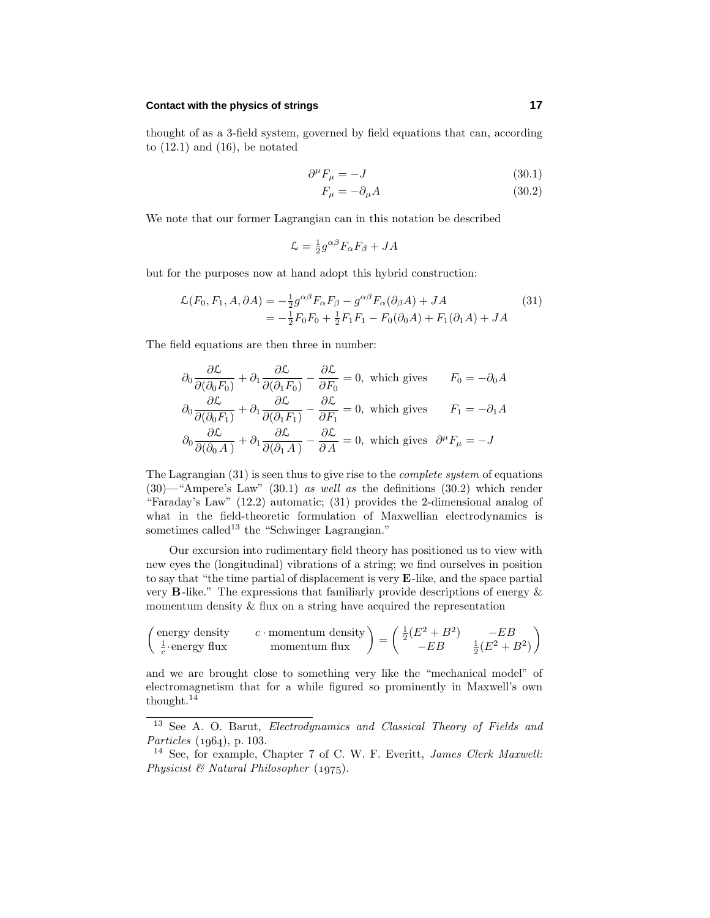## **Contact with the physics of strings 17**

thought of as a 3-field system, governed by field equations that can, according to  $(12.1)$  and  $(16)$ , be notated

$$
\partial^{\mu}F_{\mu} = -J \tag{30.1}
$$

$$
F_{\mu} = -\partial_{\mu}A\tag{30.2}
$$

We note that our former Lagrangian can in this notation be described

$$
\mathcal{L} = \frac{1}{2} g^{\alpha \beta} F_{\alpha} F_{\beta} + J A
$$

but for the purposes now at hand adopt this hybrid construction:

$$
\mathcal{L}(F_0, F_1, A, \partial A) = -\frac{1}{2} g^{\alpha \beta} F_{\alpha} F_{\beta} - g^{\alpha \beta} F_{\alpha} (\partial_{\beta} A) + JA \tag{31}
$$
\n
$$
= -\frac{1}{2} F_0 F_0 + \frac{1}{2} F_1 F_1 - F_0 (\partial_0 A) + F_1 (\partial_1 A) + JA
$$

The field equations are then three in number:

$$
\partial_0 \frac{\partial \mathcal{L}}{\partial(\partial_0 F_0)} + \partial_1 \frac{\partial \mathcal{L}}{\partial(\partial_1 F_0)} - \frac{\partial \mathcal{L}}{\partial F_0} = 0, \text{ which gives } F_0 = -\partial_0 A
$$
  

$$
\partial_0 \frac{\partial \mathcal{L}}{\partial(\partial_0 F_1)} + \partial_1 \frac{\partial \mathcal{L}}{\partial(\partial_1 F_1)} - \frac{\partial \mathcal{L}}{\partial F_1} = 0, \text{ which gives } F_1 = -\partial_1 A
$$
  

$$
\partial_0 \frac{\partial \mathcal{L}}{\partial(\partial_0 A)} + \partial_1 \frac{\partial \mathcal{L}}{\partial(\partial_1 A)} - \frac{\partial \mathcal{L}}{\partial A} = 0, \text{ which gives } \partial^\mu F_\mu = -J
$$

The Lagrangian  $(31)$  is seen thus to give rise to the *complete system* of equations  $(30)$ —"Ampere's Law"  $(30.1)$  as well as the definitions  $(30.2)$  which render "Faraday's Law"  $(12.2)$  automatic;  $(31)$  provides the 2-dimensional analog of what in the field-theoretic formulation of Maxwellian electrodynamics is sometimes called<sup>13</sup> the "Schwinger Lagrangian."

Our excursion into rudimentary field theory has positioned us to view with new eyes the (longitudinal) vibrations of a string; we find ourselves in position to say that "the time partial of displacement is very **E**-like, and the space partial very **B**-like." The expressions that familiarly provide descriptions of energy  $\&$ momentum density & flux on a string have acquired the representation

$$
\begin{pmatrix}\text{energy density} & c \cdot \text{momentum density} \\ \frac{1}{c} \cdot \text{energy flux} & \text{momentum flux}\end{pmatrix} = \begin{pmatrix}\frac{1}{2}(E^2 + B^2) & -EB \\ -EB & \frac{1}{2}(E^2 + B^2)\end{pmatrix}
$$

and we are brought close to something very like the "mechanical model" of electromagnetism that for a while figured so prominently in Maxwell's own thought.<sup>14</sup>

<sup>13</sup> See A. O. Barut, Electrodynamics and Classical Theory of Fields and *Particles* ( $1964$ ), p. 103.

<sup>&</sup>lt;sup>14</sup> See, for example, Chapter 7 of C. W. F. Everitt, *James Clerk Maxwell:* Physicist  $\mathcal{B}$  Natural Philosopher (1975).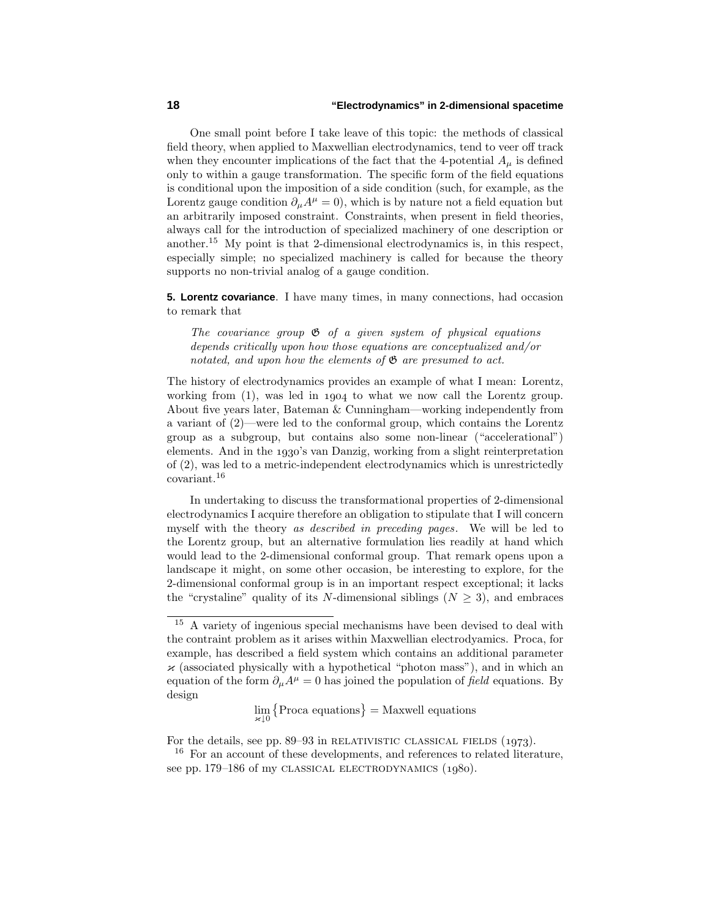One small point before I take leave of this topic: the methods of classical field theory, when applied to Maxwellian electrodynamics, tend to veer off track when they encounter implications of the fact that the 4-potential  $A<sub>u</sub>$  is defined only to within a gauge transformation. The specific form of the field equations is conditional upon the imposition of a side condition (such, for example, as the Lorentz gauge condition  $\partial_{\mu}A^{\mu} = 0$ , which is by nature not a field equation but an arbitrarily imposed constraint. Constraints, when present in field theories, always call for the introduction of specialized machinery of one description or another.<sup>15</sup> My point is that 2-dimensional electrodynamics is, in this respect, especially simple; no specialized machinery is called for because the theory supports no non-trivial analog of a gauge condition.

**5. Lorentz covariance**. I have many times, in many connections, had occasion to remark that

The covariance group  $\mathfrak G$  of a given system of physical equations depends critically upon how those equations are conceptualized and/or notated, and upon how the elements of  $\mathfrak{G}$  are presumed to act.

The history of electrodynamics provides an example of what I mean: Lorentz, working from  $(1)$ , was led in 1904 to what we now call the Lorentz group. About five years later, Bateman & Cunningham—working independently from a variant of (2)—were led to the conformal group, which contains the Lorentz group as a subgroup, but contains also some non-linear ("accelerational") elements. And in the 1930's van Danzig, working from a slight reinterpretation of (2), was led to a metric-independent electrodynamics which is unrestrictedly covariant.<sup>16</sup>

In undertaking to discuss the transformational properties of 2-dimensional electrodynamics I acquire therefore an obligation to stipulate that I will concern myself with the theory as described in preceding pages. We will be led to the Lorentz group, but an alternative formulation lies readily at hand which would lead to the 2-dimensional conformal group. That remark opens upon a landscape it might, on some other occasion, be interesting to explore, for the 2-dimensional conformal group is in an important respect exceptional; it lacks the "crystaline" quality of its *N*-dimensional siblings ( $N \geq 3$ ), and embraces

 $\lim_{\varkappa \downarrow 0}$  {Proca equations} = Maxwell equations

For the details, see pp. 89–93 in RELATIVISTIC CLASSICAL FIELDS  $(1973)$ .

<sup>&</sup>lt;sup>15</sup> A variety of ingenious special mechanisms have been devised to deal with the contraint problem as it arises within Maxwellian electrodyamics. Proca, for example, has described a field system which contains an additional parameter  $\varkappa$  (associated physically with a hypothetical "photon mass"), and in which an equation of the form  $\partial_{\mu}A^{\mu} = 0$  has joined the population of field equations. By design

<sup>&</sup>lt;sup>16</sup> For an account of these developments, and references to related literature, see pp.  $179-186$  of my CLASSICAL ELECTRODYNAMICS  $(1980)$ .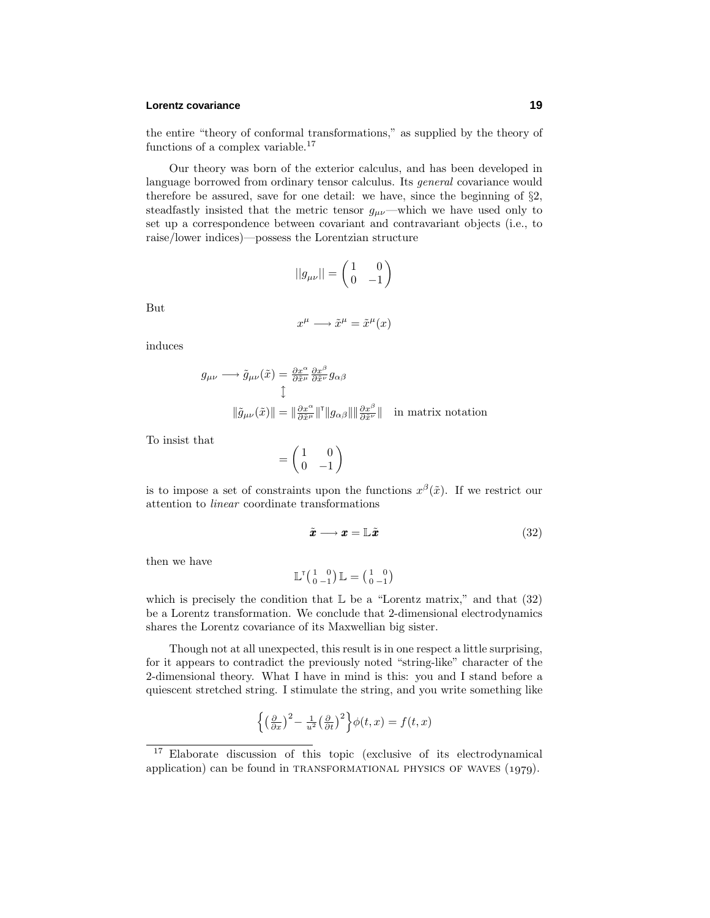## **Lorentz covariance 19**

the entire "theory of conformal transformations," as supplied by the theory of functions of a complex variable.<sup>17</sup>

Our theory was born of the exterior calculus, and has been developed in language borrowed from ordinary tensor calculus. Its *general* covariance would therefore be assured, save for one detail: we have, since the beginning of  $\S2$ , steadfastly insisted that the metric tensor  $g_{\mu\nu}$ —which we have used only to set up a correspondence between covariant and contravariant objects (i.e., to raise/lower indices)—possess the Lorentzian structure

$$
||g_{\mu\nu}|| = \begin{pmatrix} 1 & 0 \\ 0 & -1 \end{pmatrix}
$$

But

$$
x^{\mu} \longrightarrow \tilde{x}^{\mu} = \tilde{x}^{\mu}(x)
$$

induces

$$
g_{\mu\nu} \longrightarrow \tilde{g}_{\mu\nu}(\tilde{x}) = \frac{\partial x^{\alpha}}{\partial \tilde{x}^{\mu}} \frac{\partial x^{\beta}}{\partial \tilde{x}^{\nu}} g_{\alpha\beta}
$$
  

$$
\downarrow
$$
  

$$
\|\tilde{g}_{\mu\nu}(\tilde{x})\| = \|\frac{\partial x^{\alpha}}{\partial \tilde{x}^{\mu}}\|^{T} \|g_{\alpha\beta}\| \|\frac{\partial x^{\beta}}{\partial \tilde{x}^{\nu}}\| \quad \text{in matrix notation}
$$

To insist that

$$
= \begin{pmatrix} 1 & 0 \\ 0 & -1 \end{pmatrix}
$$

is to impose a set of constraints upon the functions  $x^{\beta}(\tilde{x})$ . If we restrict our attention to linear coordinate transformations

$$
\tilde{x} \longrightarrow x = \mathbb{L}\tilde{x} \tag{32}
$$

then we have

$$
\mathbb{L}^\intercal \left( \begin{smallmatrix} 1 & 0 \\ 0 & -1 \end{smallmatrix} \right) \mathbb{L} = \left( \begin{smallmatrix} 1 & 0 \\ 0 & -1 \end{smallmatrix} \right)
$$

which is precisely the condition that  $\mathbb L$  be a "Lorentz matrix," and that (32) be a Lorentz transformation. We conclude that 2-dimensional electrodynamics shares the Lorentz covariance of its Maxwellian big sister.

Though not at all unexpected, this result is in one respect a little surprising, for it appears to contradict the previously noted "string-like" character of the 2-dimensional theory. What I have in mind is this: you and I stand before a quiescent stretched string. I stimulate the string, and you write something like

$$
\left\{ \left(\frac{\partial}{\partial x}\right)^2 - \frac{1}{u^2} \left(\frac{\partial}{\partial t}\right)^2 \right\} \phi(t, x) = f(t, x)
$$

<sup>&</sup>lt;sup>17</sup> Elaborate discussion of this topic (exclusive of its electrodynamical application) can be found in TRANSFORMATIONAL PHYSICS OF WAVES  $(1979)$ .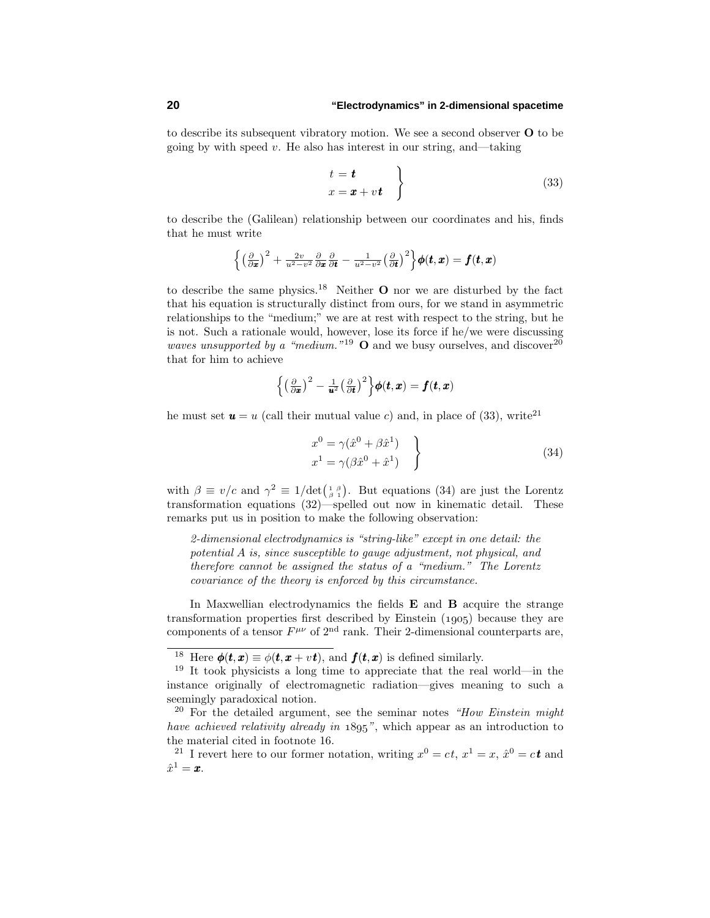to describe its subsequent vibratory motion. We see a second observer **O** to be going by with speed *v*. He also has interest in our string, and—taking

$$
\begin{aligned}\n t &= \mathbf{t} \\
 x &= \mathbf{x} + v\mathbf{t}\n \end{aligned}
$$
\n(33)

to describe the (Galilean) relationship between our coordinates and his, finds that he must write

$$
\left\{ \left(\frac{\partial}{\partial x}\right)^2 + \frac{2v}{u^2 - v^2} \frac{\partial}{\partial x} \frac{\partial}{\partial t} - \frac{1}{u^2 - v^2} \left(\frac{\partial}{\partial t}\right)^2 \right\} \phi(t, x) = f(t, x)
$$

to describe the same physics.<sup>18</sup> Neither **O** nor we are disturbed by the fact that his equation is structurally distinct from ours, for we stand in asymmetric relationships to the "medium;" we are at rest with respect to the string, but he is not. Such a rationale would, however, lose its force if he/we were discussing waves unsupported by a "medium."<sup>19</sup> O and we busy ourselves, and discover<sup>20</sup> that for him to achieve

$$
\left\{ \left(\frac{\partial}{\partial x}\right)^2 - \frac{1}{u^2} \left(\frac{\partial}{\partial t}\right)^2 \right\} \phi(t, x) = f(t, x)
$$

he must set  $u = u$  (call their mutual value *c*) and, in place of (33), write<sup>21</sup>

$$
x^{0} = \gamma(\hat{x}^{0} + \beta \hat{x}^{1})
$$
  
\n
$$
x^{1} = \gamma(\beta \hat{x}^{0} + \hat{x}^{1})
$$
\n(34)

with  $\beta \equiv v/c$  and  $\gamma^2 \equiv 1/\text{det}(\frac{1}{\beta} \frac{\beta}{2})$ . But equations (34) are just the Lorentz transformation equations (32)—spelled out now in kinematic detail. These remarks put us in position to make the following observation:

2-dimensional electrodynamics is "string-like" except in one detail: the potential *A* is, since susceptible to gauge adjustment, not physical, and therefore cannot be assigned the status of a "medium." The Lorentz covariance of the theory is enforced by this circumstance.

In Maxwellian electrodynamics the fields **E** and **B** acquire the strange transformation properties first described by Einstein  $(1905)$  because they are components of a tensor  $F^{\mu\nu}$  of  $2^{\text{nd}}$  rank. Their 2-dimensional counterparts are,

<sup>21</sup> I revert here to our former notation, writing  $x^0 = ct$ ,  $x^1 = x$ ,  $\hat{x}^0 = c\mathbf{t}$  and  $\hat{x}^1 = \mathbf{x}$ .

<sup>&</sup>lt;sup>18</sup> Here  $\phi(t, x) \equiv \phi(t, x + vt)$ , and  $f(t, x)$  is defined similarly.

<sup>&</sup>lt;sup>19</sup> It took physicists a long time to appreciate that the real world—in the instance originally of electromagnetic radiation—gives meaning to such a seemingly paradoxical notion.

 $20$  For the detailed argument, see the seminar notes "How Einstein might" have achieved relativity already in  $1895$ ", which appear as an introduction to the material cited in footnote 16.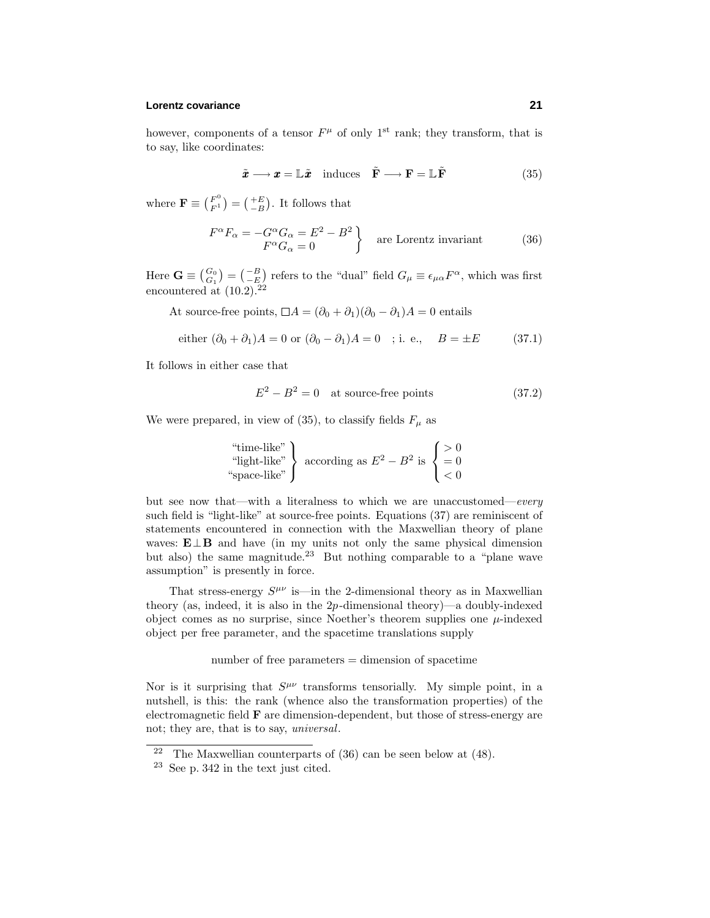## **Lorentz covariance 21**

however, components of a tensor  $F^{\mu}$  of only 1<sup>st</sup> rank; they transform, that is to say, like coordinates:

$$
\tilde{\boldsymbol{x}} \longrightarrow \boldsymbol{x} = \mathbb{L}\tilde{\boldsymbol{x}} \quad \text{induces} \quad \tilde{\mathbf{F}} \longrightarrow \mathbf{F} = \mathbb{L}\tilde{\mathbf{F}} \tag{35}
$$

where  $\mathbf{F} \equiv \begin{pmatrix} F^0 \\ F^1 \end{pmatrix} = \begin{pmatrix} +E \\ -B \end{pmatrix}$ . It follows that

$$
F^{\alpha}F_{\alpha} = -G^{\alpha}G_{\alpha} = E^2 - B^2
$$
  
 
$$
F^{\alpha}G_{\alpha} = 0
$$
 are Lorentz invariant (36)

Here  $\mathbf{G} \equiv \begin{pmatrix} G_0 \\ G_1 \end{pmatrix} = \begin{pmatrix} -B \\ -E \end{pmatrix}$  refers to the "dual" field  $G_\mu \equiv \epsilon_{\mu\alpha} F^\alpha$ , which was first encountered at  $(10.2).^{22}$ 

At source-free points,  $\Box A = (\partial_0 + \partial_1)(\partial_0 - \partial_1)A = 0$  entails

either 
$$
(\partial_0 + \partial_1)A = 0
$$
 or  $(\partial_0 - \partial_1)A = 0$ ; i. e.,  $B = \pm E$  (37.1)

It follows in either case that

$$
E^2 - B^2 = 0
$$
 at source-free points (37.2)

We were prepared, in view of (35), to classify fields  $F_\mu$  as

"time-like"   
"light-like"   
"space-like"   
according as 
$$
E^2 - B^2
$$
 is  $\begin{cases} > 0 \\ = 0 \\ < 0 \end{cases}$ 

but see now that—with a literalness to which we are unaccustomed—every such field is "light-like" at source-free points. Equations  $(37)$  are reminiscent of statements encountered in connection with the Maxwellian theory of plane waves: **E**⊥**B** and have (in my units not only the same physical dimension but also) the same magnitude.<sup>23</sup> But nothing comparable to a "plane wave assumption" is presently in force.

That stress-energy  $S^{\mu\nu}$  is—in the 2-dimensional theory as in Maxwellian theory (as, indeed, it is also in the 2*p*-dimensional theory)—a doubly-indexed object comes as no surprise, since Noether's theorem supplies one  $\mu$ -indexed object per free parameter, and the spacetime translations supply

number of free parameters  $=$  dimension of spacetime

Nor is it surprising that  $S^{\mu\nu}$  transforms tensorially. My simple point, in a nutshell, is this: the rank (whence also the transformation properties) of the electromagnetic field **F** are dimension-dependent, but those of stress-energy are not; they are, that is to say, *universal*.

<sup>&</sup>lt;sup>22</sup> The Maxwellian counterparts of  $(36)$  can be seen below at  $(48)$ .

 $23$  See p. 342 in the text just cited.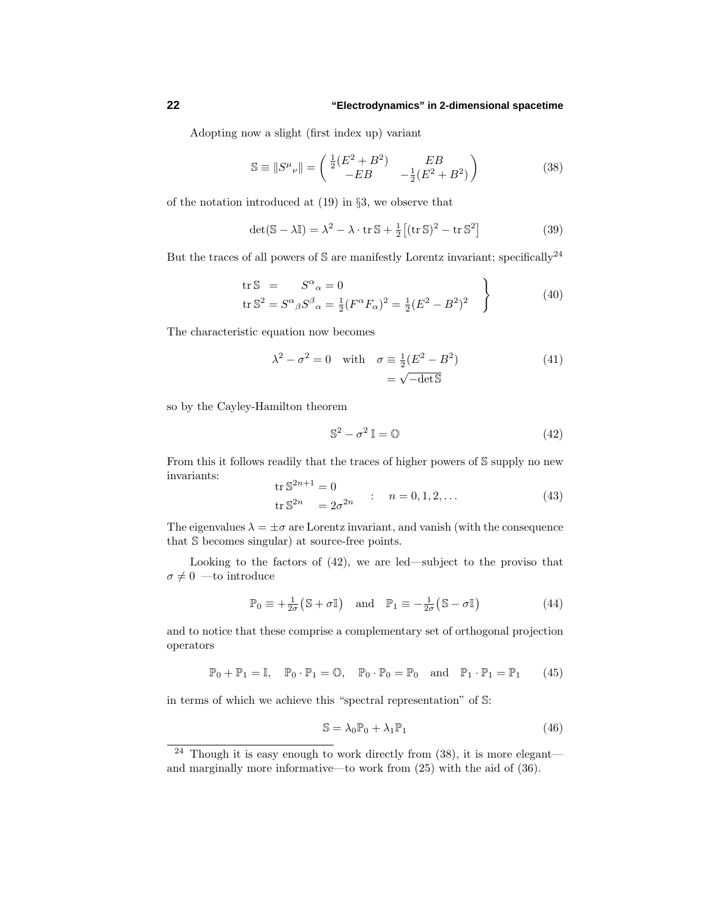Adopting now a slight (first index up) variant

$$
\mathbb{S} \equiv \|S^{\mu}{}_{\nu}\| = \begin{pmatrix} \frac{1}{2}(E^2 + B^2) & EB \\ -EB & -\frac{1}{2}(E^2 + B^2) \end{pmatrix}
$$
(38)

of the notation introduced at  $(19)$  in §3, we observe that

$$
\det(\mathbb{S} - \lambda \mathbb{I}) = \lambda^2 - \lambda \cdot \operatorname{tr} \mathbb{S} + \frac{1}{2} \left[ (\operatorname{tr} \mathbb{S})^2 - \operatorname{tr} \mathbb{S}^2 \right] \tag{39}
$$

But the traces of all powers of  $\Im$  are manifestly Lorentz invariant; specifically<sup>24</sup>

$$
\text{tr } S = S^{\alpha}{}_{\alpha} = 0
$$
\n
$$
\text{tr } S^2 = S^{\alpha}{}_{\beta} S^{\beta}{}_{\alpha} = \frac{1}{2} (F^{\alpha} F_{\alpha})^2 = \frac{1}{2} (E^2 - B^2)^2
$$
\n(40)

The characteristic equation now becomes

$$
\lambda^2 - \sigma^2 = 0 \quad \text{with} \quad \sigma \equiv \frac{1}{2}(E^2 - B^2) = \sqrt{-\text{det}\mathbb{S}}
$$
 (41)

so by the Cayley-Hamilton theorem

$$
\mathbb{S}^2 - \sigma^2 \mathbb{I} = \mathbb{O} \tag{42}
$$

From this it follows readily that the traces of higher powers of S supply no new invariants:  $t = \alpha^2 n + 1 = 0$ 

$$
\operatorname{tr} \mathbb{S}^{2n} = 0
$$
  
\n
$$
\operatorname{tr} \mathbb{S}^{2n} = 2\sigma^{2n} \qquad \therefore \quad n = 0, 1, 2, \dots
$$
\n(43)

The eigenvalues  $\lambda = \pm \sigma$  are Lorentz invariant, and vanish (with the consequence that S becomes singular) at source-free points.

Looking to the factors of (42), we are led—subject to the proviso that  $\sigma \neq 0$  —to introduce

$$
\mathbb{P}_0 \equiv +\frac{1}{2\sigma} \left( \mathbb{S} + \sigma \mathbb{I} \right) \quad \text{and} \quad \mathbb{P}_1 \equiv -\frac{1}{2\sigma} \left( \mathbb{S} - \sigma \mathbb{I} \right) \tag{44}
$$

and to notice that these comprise a complementary set of orthogonal projection operators

$$
\mathbb{P}_0 + \mathbb{P}_1 = \mathbb{I}, \quad \mathbb{P}_0 \cdot \mathbb{P}_1 = \mathbb{O}, \quad \mathbb{P}_0 \cdot \mathbb{P}_0 = \mathbb{P}_0 \quad \text{and} \quad \mathbb{P}_1 \cdot \mathbb{P}_1 = \mathbb{P}_1 \tag{45}
$$

in terms of which we achieve this "spectral representation" of S:

$$
\mathbb{S} = \lambda_0 \mathbb{P}_0 + \lambda_1 \mathbb{P}_1 \tag{46}
$$

 $24$  Though it is easy enough to work directly from  $(38)$ , it is more elegant and marginally more informative—to work from  $(25)$  with the aid of  $(36)$ .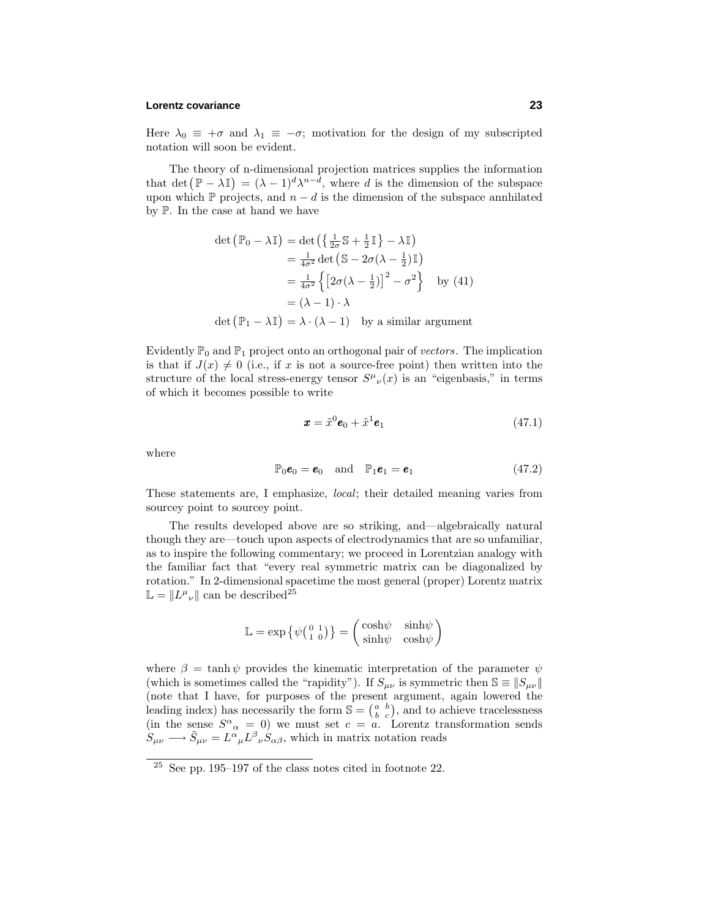## **Lorentz covariance 23**

Here  $\lambda_0 \equiv +\sigma$  and  $\lambda_1 \equiv -\sigma$ ; motivation for the design of my subscripted notation will soon be evident.

The theory of n-dimensional projection matrices supplies the information that  $\det(\mathbb{P} - \lambda \mathbb{I}) = (\lambda - 1)^d \lambda^{n-d}$ , where *d* is the dimension of the subspace upon which  $\mathbb P$  projects, and  $n - d$  is the dimension of the subspace annhilated by P. In the case at hand we have

$$
\det (\mathbb{P}_0 - \lambda \mathbb{I}) = \det \left( \left\{ \frac{1}{2\sigma} \mathbb{S} + \frac{1}{2} \mathbb{I} \right\} - \lambda \mathbb{I} \right)
$$
  
\n
$$
= \frac{1}{4\sigma^2} \det (\mathbb{S} - 2\sigma (\lambda - \frac{1}{2}) \mathbb{I})
$$
  
\n
$$
= \frac{1}{4\sigma^2} \left\{ \left[ 2\sigma (\lambda - \frac{1}{2}) \right]^2 - \sigma^2 \right\} \text{ by (41)}
$$
  
\n
$$
= (\lambda - 1) \cdot \lambda
$$
  
\n
$$
\det (\mathbb{P}_1 - \lambda \mathbb{I}) = \lambda \cdot (\lambda - 1) \text{ by a similar argument}
$$

Evidently  $\mathbb{P}_0$  and  $\mathbb{P}_1$  project onto an orthogonal pair of vectors. The implication is that if  $J(x) \neq 0$  (i.e., if x is not a source-free point) then written into the structure of the local stress-energy tensor  $S^{\mu}{}_{\nu}(x)$  is an "eigenbasis," in terms of which it becomes possible to write

$$
\boldsymbol{x} = \tilde{x}^0 \boldsymbol{e}_0 + \tilde{x}^1 \boldsymbol{e}_1 \tag{47.1}
$$

where

$$
\mathbb{P}_0\boldsymbol{e}_0=\boldsymbol{e}_0 \quad \text{and} \quad \mathbb{P}_1\boldsymbol{e}_1=\boldsymbol{e}_1 \tag{47.2}
$$

These statements are, I emphasize, local; their detailed meaning varies from sourcey point to sourcey point.

The results developed above are so striking, and—algebraically natural though they are—touch upon aspects of electrodynamics that are so unfamiliar, as to inspire the following commentary; we proceed in Lorentzian analogy with the familiar fact that "every real symmetric matrix can be diagonalized by rotation." In 2-dimensional spacetime the most general (proper) Lorentz matrix  $\mathbb{L} = ||L^{\mu}{}_{\nu}||$  can be described<sup>25</sup>

$$
\mathbb{L} = \exp\left\{\psi\begin{pmatrix} 0 & 1 \\ 1 & 0 \end{pmatrix}\right\} = \begin{pmatrix} \cosh\psi & \sinh\psi \\ \sinh\psi & \cosh\psi \end{pmatrix}
$$

where  $\beta = \tanh \psi$  provides the kinematic interpretation of the parameter  $\psi$ (which is sometimes called the "rapidity"). If  $S_{\mu\nu}$  is symmetric then  $\mathbb{S} \equiv ||S_{\mu\nu}||$ (note that I have, for purposes of the present argument, again lowered the leading index) has necessarily the form  $\mathbb{S} = \begin{pmatrix} a & b \\ b & c \end{pmatrix}$ , and to achieve tracelessness (in the sense  $S^{\alpha}{}_{\alpha} = 0$ ) we must set  $c = a$ . Lorentz transformation sends  $S_{\mu\nu} \longrightarrow \tilde{S}_{\mu\nu} = L^{\alpha}{}_{\mu}L^{\beta}{}_{\nu}S_{\alpha\beta}$ , which in matrix notation reads

<sup>25</sup> See pp. 195–197 of the class notes cited in footnote 22.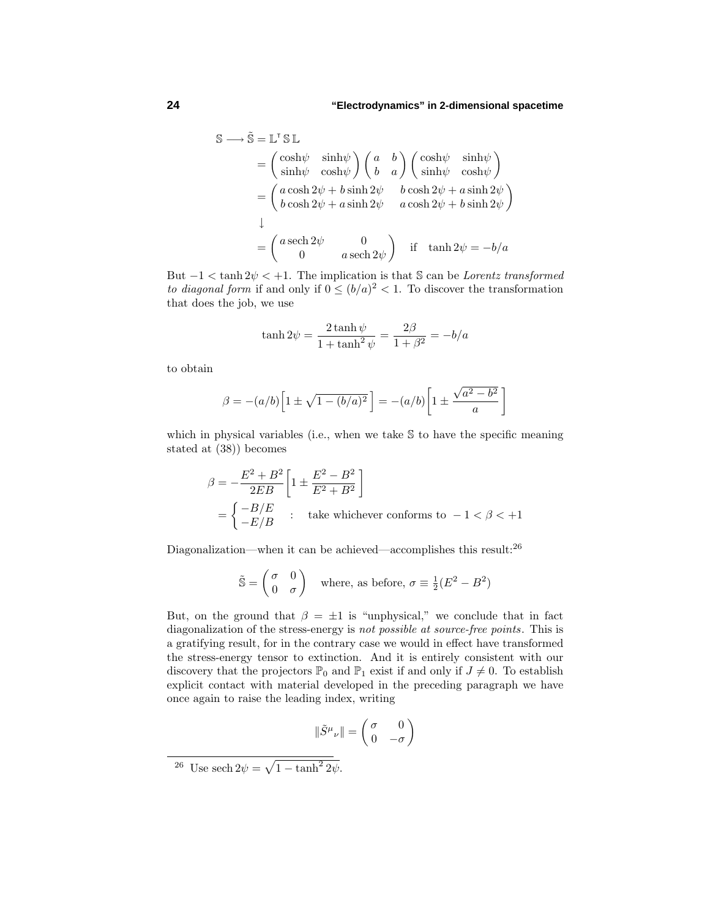$$
\mathbb{S} \longrightarrow \tilde{\mathbb{S}} = \mathbb{L}^{\mathsf{T}} \mathbb{S} \mathbb{L}
$$
\n
$$
= \begin{pmatrix} \cosh \psi & \sinh \psi \\ \sinh \psi & \cosh \psi \end{pmatrix} \begin{pmatrix} a & b \\ b & a \end{pmatrix} \begin{pmatrix} \cosh \psi & \sinh \psi \\ \sinh \psi & \cosh \psi \end{pmatrix}
$$
\n
$$
= \begin{pmatrix} a \cosh 2\psi + b \sinh 2\psi & b \cosh 2\psi + a \sinh 2\psi \\ b \cosh 2\psi + a \sinh 2\psi & a \cosh 2\psi + b \sinh 2\psi \end{pmatrix}
$$
\n
$$
= \begin{pmatrix} a \operatorname{sech} 2\psi & 0 \\ 0 & a \operatorname{sech} 2\psi \end{pmatrix} \text{ if } \tanh 2\psi = -b/a
$$

But  $-1 < \tanh 2\psi < +1$ . The implication is that S can be *Lorentz transformed* to diagonal form if and only if  $0 \le (b/a)^2 < 1$ . To discover the transformation that does the job, we use

$$
\tanh 2\psi = \frac{2\tanh\psi}{1+\tanh^2\psi} = \frac{2\beta}{1+\beta^2} = -b/a
$$

to obtain

$$
\beta = -(a/b) \left[ 1 \pm \sqrt{1 - (b/a)^2} \right] = -(a/b) \left[ 1 \pm \frac{\sqrt{a^2 - b^2}}{a} \right]
$$

which in physical variables (i.e., when we take  $\mathcal S$  to have the specific meaning stated at (38)) becomes

$$
\beta = -\frac{E^2 + B^2}{2EB} \left[ 1 \pm \frac{E^2 - B^2}{E^2 + B^2} \right]
$$
  
= 
$$
\begin{cases} -B/E \\ -E/B \end{cases}
$$
: take whichever conforms to  $-1 < \beta < +1$ 

Diagonalization—when it can be achieved—accomplishes this result:<sup>26</sup>

$$
\tilde{\mathbb{S}} = \begin{pmatrix} \sigma & 0 \\ 0 & \sigma \end{pmatrix}
$$
 where, as before,  $\sigma \equiv \frac{1}{2}(E^2 - B^2)$ 

But, on the ground that  $\beta = \pm 1$  is "unphysical," we conclude that in fact diagonalization of the stress-energy is not possible at source-free points. This is a gratifying result, for in the contrary case we would in effect have transformed the stress-energy tensor to extinction. And it is entirely consistent with our discovery that the projectors  $\mathbb{P}_0$  and  $\mathbb{P}_1$  exist if and only if  $J \neq 0$ . To establish explicit contact with material developed in the preceding paragraph we have once again to raise the leading index, writing

$$
\|\tilde{S}^{\mu}{}_{\nu}\| = \begin{pmatrix} \sigma & 0\\ 0 & -\sigma \end{pmatrix}
$$

<sup>&</sup>lt;sup>26</sup> Use sech  $2\psi = \sqrt{1 - \tanh^2 2\psi}$ .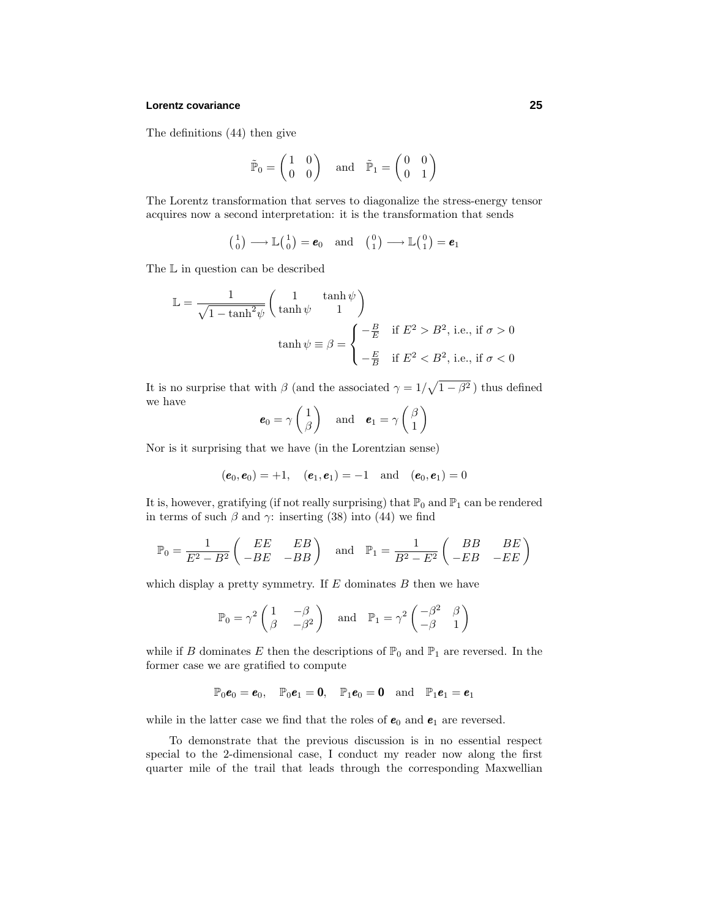## **Lorentz covariance 25**

The definitions  $(44)$  then give

$$
\tilde{\mathbb{P}}_0 = \begin{pmatrix} 1 & 0 \\ 0 & 0 \end{pmatrix}
$$
 and  $\tilde{\mathbb{P}}_1 = \begin{pmatrix} 0 & 0 \\ 0 & 1 \end{pmatrix}$ 

The Lorentz transformation that serves to diagonalize the stress-energy tensor acquires now a second interpretation: it is the transformation that sends

$$
\begin{pmatrix} 1 \\ 0 \end{pmatrix} \longrightarrow \mathbb{L} \begin{pmatrix} 1 \\ 0 \end{pmatrix} = \mathbf{e}_0 \quad \text{and} \quad \begin{pmatrix} 0 \\ 1 \end{pmatrix} \longrightarrow \mathbb{L} \begin{pmatrix} 0 \\ 1 \end{pmatrix} = \mathbf{e}_1
$$

The L in question can be described

$$
\mathbb{L} = \frac{1}{\sqrt{1 - \tanh^2 \psi}} \begin{pmatrix} 1 & \tanh \psi \\ \tanh \psi & 1 \end{pmatrix}
$$
  
\n
$$
\tanh \psi \equiv \beta = \begin{cases} -\frac{B}{E} & \text{if } E^2 > B^2 \text{, i.e., if } \sigma > 0 \\ -\frac{E}{B} & \text{if } E^2 < B^2 \text{, i.e., if } \sigma < 0 \end{cases}
$$

It is no surprise that with  $\beta$  (and the associated  $\gamma = 1/\sqrt{1-\beta^2}$ ) thus defined we have

$$
\boldsymbol{e}_0 = \gamma \begin{pmatrix} 1 \\ \beta \end{pmatrix}
$$
 and  $\boldsymbol{e}_1 = \gamma \begin{pmatrix} \beta \\ 1 \end{pmatrix}$ 

Nor is it surprising that we have (in the Lorentzian sense)

$$
(e_0, e_0) = +1
$$
,  $(e_1, e_1) = -1$  and  $(e_0, e_1) = 0$ 

It is, however, gratifying (if not really surprising) that  $\mathbb{P}_0$  and  $\mathbb{P}_1$  can be rendered in terms of such  $\beta$  and  $\gamma$ : inserting (38) into (44) we find

$$
\mathbb{P}_0 = \frac{1}{E^2 - B^2} \begin{pmatrix} EE & EB \\ -BE & -BB \end{pmatrix} \quad \text{and} \quad \mathbb{P}_1 = \frac{1}{B^2 - E^2} \begin{pmatrix} BB & BE \\ -EB & -EE \end{pmatrix}
$$

which display a pretty symmetry. If *E* dominates *B* then we have

$$
\mathbb{P}_0 = \gamma^2 \begin{pmatrix} 1 & -\beta \\ \beta & -\beta^2 \end{pmatrix} \quad \text{and} \quad \mathbb{P}_1 = \gamma^2 \begin{pmatrix} -\beta^2 & \beta \\ -\beta & 1 \end{pmatrix}
$$

while if *B* dominates *E* then the descriptions of  $\mathbb{P}_0$  and  $\mathbb{P}_1$  are reversed. In the former case we are gratified to compute

$$
\mathbb{P}_0\boldsymbol{e}_0=\boldsymbol{e}_0,\quad \mathbb{P}_0\boldsymbol{e}_1=\boldsymbol{0},\quad \mathbb{P}_1\boldsymbol{e}_0=\boldsymbol{0}\quad \text{and}\quad \mathbb{P}_1\boldsymbol{e}_1=\boldsymbol{e}_1
$$

while in the latter case we find that the roles of  $e_0$  and  $e_1$  are reversed.

To demonstrate that the previous discussion is in no essential respect special to the 2-dimensional case, I conduct my reader now along the first quarter mile of the trail that leads through the corresponding Maxwellian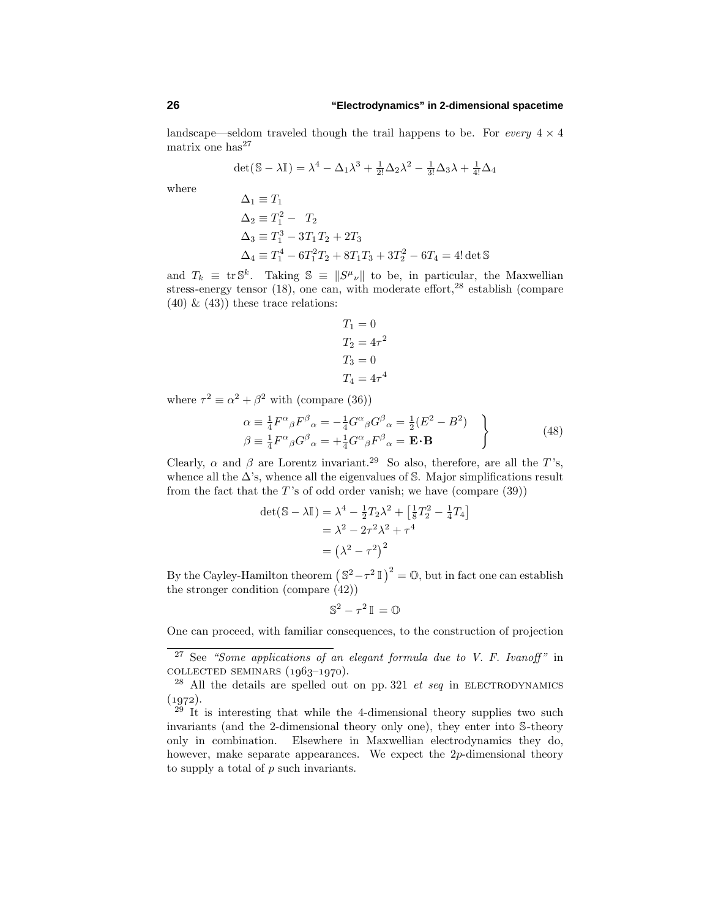landscape—seldom traveled though the trail happens to be. For every  $4 \times 4$ matrix one  $\rm has^{27}$ 

$$
\det(\mathbb{S} - \lambda \mathbb{I}) = \lambda^4 - \Delta_1 \lambda^3 + \frac{1}{2!} \Delta_2 \lambda^2 - \frac{1}{3!} \Delta_3 \lambda + \frac{1}{4!} \Delta_4
$$

where

$$
\Delta_1 \equiv T_1
$$
  
\n
$$
\Delta_2 \equiv T_1^2 - T_2
$$
  
\n
$$
\Delta_3 \equiv T_1^3 - 3T_1T_2 + 2T_3
$$
  
\n
$$
\Delta_4 \equiv T_1^4 - 6T_1^2T_2 + 8T_1T_3 + 3T_2^2 - 6T_4 = 4! \text{ det } S
$$

and  $T_k \equiv \text{tr} \mathbb{S}^k$ . Taking  $\mathbb{S} \equiv ||S^{\mu}{}_{\nu}||$  to be, in particular, the Maxwellian stress-energy tensor  $(18)$ , one can, with moderate effort,<sup>28</sup> establish (compare  $(40) \& (43)$  these trace relations:

$$
T_1 = 0
$$
  
\n
$$
T_2 = 4\tau^2
$$
  
\n
$$
T_3 = 0
$$
  
\n
$$
T_4 = 4\tau^4
$$

where  $\tau^2 \equiv \alpha^2 + \beta^2$  with (compare (36))

$$
\alpha \equiv \frac{1}{4} F^{\alpha}{}_{\beta} F^{\beta}{}_{\alpha} = -\frac{1}{4} G^{\alpha}{}_{\beta} G^{\beta}{}_{\alpha} = \frac{1}{2} (E^2 - B^2) \n\beta \equiv \frac{1}{4} F^{\alpha}{}_{\beta} G^{\beta}{}_{\alpha} = +\frac{1}{4} G^{\alpha}{}_{\beta} F^{\beta}{}_{\alpha} = \mathbf{E} \cdot \mathbf{B}
$$
\n(48)

Clearly,  $\alpha$  and  $\beta$  are Lorentz invariant.<sup>29</sup> So also, therefore, are all the *T*'s, whence all the  $\Delta$ 's, whence all the eigenvalues of S. Major simplifications result from the fact that the *T* 's of odd order vanish; we have (compare (39))

$$
det(S - \lambda \mathbb{I}) = \lambda^4 - \frac{1}{2}T_2\lambda^2 + \left[\frac{1}{8}T_2^2 - \frac{1}{4}T_4\right]
$$

$$
= \lambda^2 - 2\tau^2\lambda^2 + \tau^4
$$

$$
= (\lambda^2 - \tau^2)^2
$$

By the Cayley-Hamilton theorem  $(S^2 - \tau^2 I)^2 = \mathbb{O}$ , but in fact one can establish the stronger condition (compare  $(42)$ )

$$
\mathbb{S}^2-\tau^2\,\mathbb{I}\,=\mathbb{O}
$$

One can proceed, with familiar consequences, to the construction of projection

<sup>&</sup>lt;sup>27</sup> See "Some applications of an elegant formula due to V. F. Ivanoff" in  $COLLECTED$  SEMINARS  $(1963-1970)$ .

 $^{28}$  All the details are spelled out on pp. 321 *et seq* in ELECTRODYNAMICS  $(1972).$ 

 $^{29}$  It is interesting that while the 4-dimensional theory supplies two such invariants (and the 2-dimensional theory only one), they enter into S-theory only in combination. Elsewhere in Maxwellian electrodynamics they do, however, make separate appearances. We expect the 2*p*-dimensional theory to supply a total of *p* such invariants.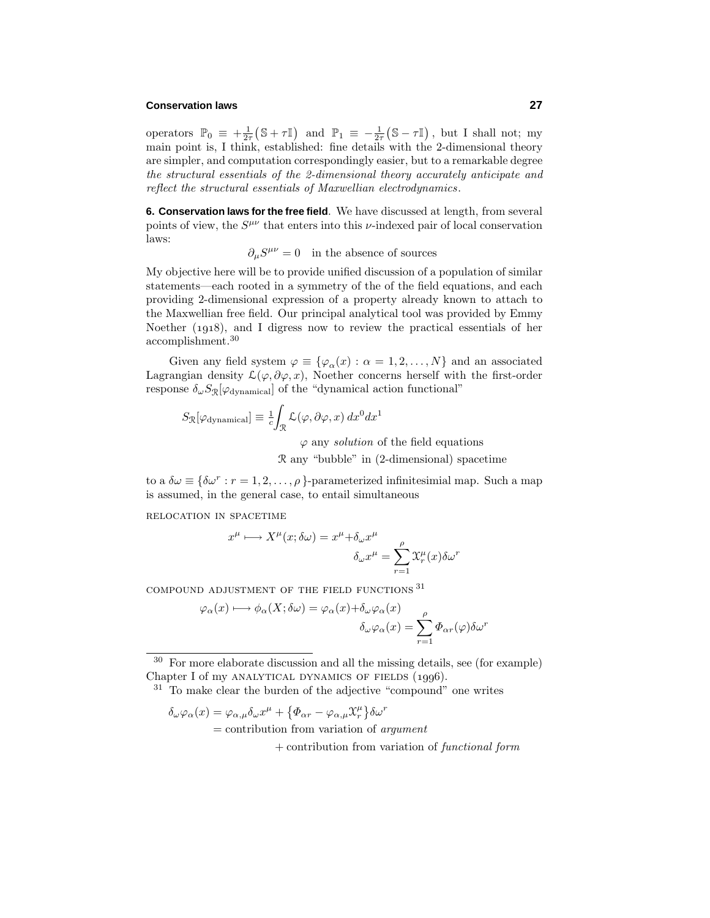## **Conservation laws 27**

operators  $\mathbb{P}_0 \equiv + \frac{1}{2\tau} (\mathbb{S} + \tau \mathbb{I})$  and  $\mathbb{P}_1 \equiv - \frac{1}{2\tau} (\mathbb{S} - \tau \mathbb{I})$ , but I shall not; my main point is, I think, established: fine details with the 2-dimensional theory are simpler, and computation correspondingly easier, but to a remarkable degree the structural essentials of the 2-dimensional theory accurately anticipate and reflect the structural essentials of Maxwellian electrodynamics.

**6. Conservation laws for the free field**. We have discussed at length, from several points of view, the  $S^{\mu\nu}$  that enters into this  $\nu$ -indexed pair of local conservation laws:

 $\partial_{\mu}S^{\mu\nu} = 0$  in the absence of sources

My objective here will be to provide unified discussion of a population of similar statements—each rooted in a symmetry of the of the field equations, and each providing 2-dimensional expression of a property already known to attach to the Maxwellian free field. Our principal analytical tool was provided by Emmy Noether  $(1918)$ , and I digress now to review the practical essentials of her accomplishment.<sup>30</sup>

Given any field system  $\varphi \equiv {\varphi_{\alpha}(x) : \alpha = 1, 2, ..., N}$  and an associated Lagrangian density  $\mathcal{L}(\varphi,\partial\varphi,x)$ , Noether concerns herself with the first-order response  $\delta_{\omega} S_{\mathcal{R}}[\varphi_{\text{dynamical}}]$  of the "dynamical action functional"

$$
S_{\Re}[\varphi_{\text{dynamical}}] \equiv \frac{1}{c} \int_{\Re} \mathcal{L}(\varphi, \partial \varphi, x) \, dx^0 dx^1
$$

 $\varphi$  any *solution* of the field equations  $\Re$  any "bubble" in (2-dimensional) spacetime

to a  $\delta \omega \equiv {\delta \omega^r : r = 1, 2, \ldots, \rho}$ -parameterized infinitesimial map. Such a map is assumed, in the general case, to entail simultaneous

relocation in spacetime

$$
x^{\mu} \longmapsto X^{\mu}(x; \delta \omega) = x^{\mu} + \delta_{\omega} x^{\mu}
$$

$$
\delta_{\omega} x^{\mu} = \sum_{r=1}^{\rho} \mathfrak{X}^{\mu}_{r}(x) \delta \omega^{r}
$$

COMPOUND ADJUSTMENT OF THE FIELD FUNCTIONS  $^{31}$ 

$$
\varphi_{\alpha}(x) \longmapsto \phi_{\alpha}(X; \delta \omega) = \varphi_{\alpha}(x) + \delta_{\omega} \varphi_{\alpha}(x) \n\delta_{\omega} \varphi_{\alpha}(x) = \sum_{r=1}^{\rho} \Phi_{\alpha r}(\varphi) \delta \omega^r
$$

$$
\delta_{\omega}\varphi_{\alpha}(x) = \varphi_{\alpha,\mu}\delta_{\omega}x^{\mu} + \left\{\Phi_{\alpha r} - \varphi_{\alpha,\mu}\mathfrak{X}_{r}^{\mu}\right\}\delta\omega^{r}
$$
\n= contribution from variation of *argument*\n
$$
+ \text{contribution from variation of } \mathfrak{f}_{\alpha\alpha}(x)
$$

+ contribution from variation of functional form

<sup>30</sup> For more elaborate discussion and all the missing details, see (for example) Chapter I of my ANALYTICAL DYNAMICS OF FIELDS  $(1996)$ .

<sup>31</sup> To make clear the burden of the adjective "compound" one writes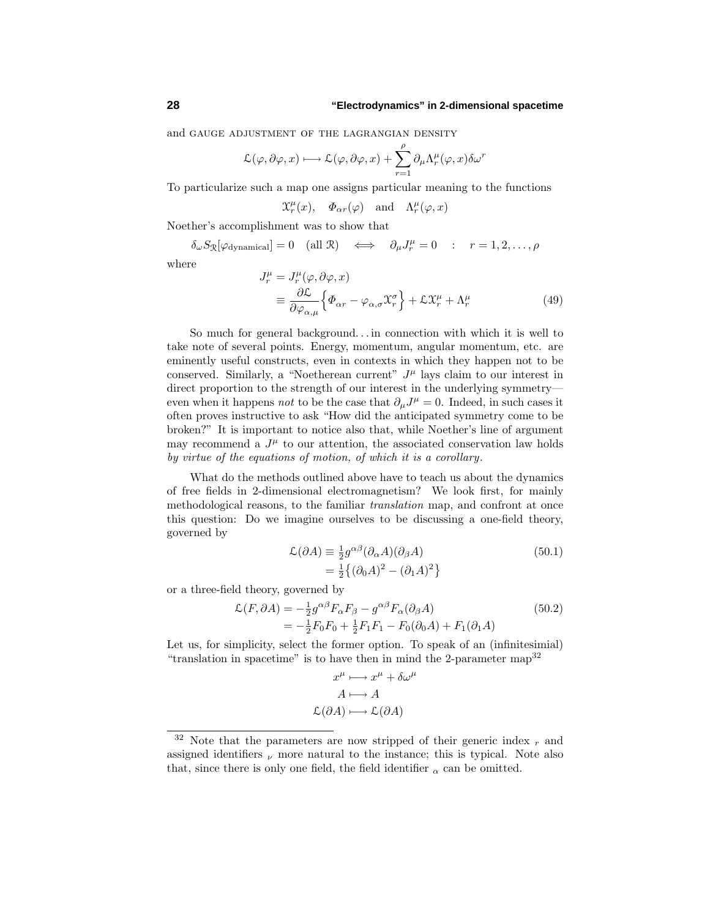and gauge adjustment of the lagrangian density

$$
\mathcal{L}(\varphi,\partial\varphi,x)\longmapsto\mathcal{L}(\varphi,\partial\varphi,x)+\sum_{r=1}^{\rho}\partial_{\mu}\Lambda^{\mu}_{r}(\varphi,x)\delta\omega^{r}
$$

To particularize such a map one assigns particular meaning to the functions

$$
\mathfrak{X}^{\mu}_r(x), \quad \varPhi_{\alpha r}(\varphi) \quad \text{and} \quad \Lambda^{\mu}_r(\varphi, x)
$$

Noether's accomplishment was to show that

$$
\delta_{\omega} S_{\mathcal{R}}[\varphi_{\text{dynamical}}] = 0 \quad \text{(all } \mathcal{R}) \quad \Longleftrightarrow \quad \partial_{\mu} J^{\mu}_{r} = 0 \quad : \quad r = 1, 2, \dots, \rho
$$

where

$$
J_r^{\mu} = J_r^{\mu}(\varphi, \partial \varphi, x)
$$
  

$$
\equiv \frac{\partial \mathcal{L}}{\partial \varphi_{\alpha,\mu}} \left\{ \Phi_{\alpha r} - \varphi_{\alpha,\sigma} \mathcal{X}_r^{\sigma} \right\} + \mathcal{L} \mathcal{X}_r^{\mu} + \Lambda_r^{\mu}
$$
(49)

So much for general background*...* in connection with which it is well to take note of several points. Energy, momentum, angular momentum, etc. are eminently useful constructs, even in contexts in which they happen not to be conserved. Similarly, a "Noetherean current"  $J^{\mu}$  lays claim to our interest in direct proportion to the strength of our interest in the underlying symmetry even when it happens *not* to be the case that  $\partial_{\mu}J^{\mu} = 0$ . Indeed, in such cases it often proves instructive to ask "How did the anticipated symmetry come to be broken?" It is important to notice also that, while Noether's line of argument may recommend a  $J^{\mu}$  to our attention, the associated conservation law holds by virtue of the equations of motion, of which it is a corollary.

What do the methods outlined above have to teach us about the dynamics of free fields in 2-dimensional electromagnetism? We look first, for mainly methodological reasons, to the familiar translation map, and confront at once this question: Do we imagine ourselves to be discussing a one-field theory, governed by

$$
\mathcal{L}(\partial A) \equiv \frac{1}{2} g^{\alpha\beta} (\partial_{\alpha} A)(\partial_{\beta} A)
$$
  
=  $\frac{1}{2} \{ (\partial_0 A)^2 - (\partial_1 A)^2 \}$  (50.1)

or a three-field theory, governed by

$$
\mathcal{L}(F,\partial A) = -\frac{1}{2}g^{\alpha\beta}F_{\alpha}F_{\beta} - g^{\alpha\beta}F_{\alpha}(\partial_{\beta}A)
$$
\n
$$
= -\frac{1}{2}F_0F_0 + \frac{1}{2}F_1F_1 - F_0(\partial_0A) + F_1(\partial_1A)
$$
\n(50.2)

Let us, for simplicity, select the former option. To speak of an (infinitesimial) "translation in spacetime" is to have then in mind the 2-parameter map<sup>32</sup>

$$
x^{\mu} \longmapsto x^{\mu} + \delta \omega^{\mu}
$$

$$
A \longmapsto A
$$

$$
\mathcal{L}(\partial A) \longmapsto \mathcal{L}(\partial A)
$$

 $32$  Note that the parameters are now stripped of their generic index  $r$  and assigned identifiers  $\nu$  more natural to the instance; this is typical. Note also that, since there is only one field, the field identifier  $\alpha$  can be omitted.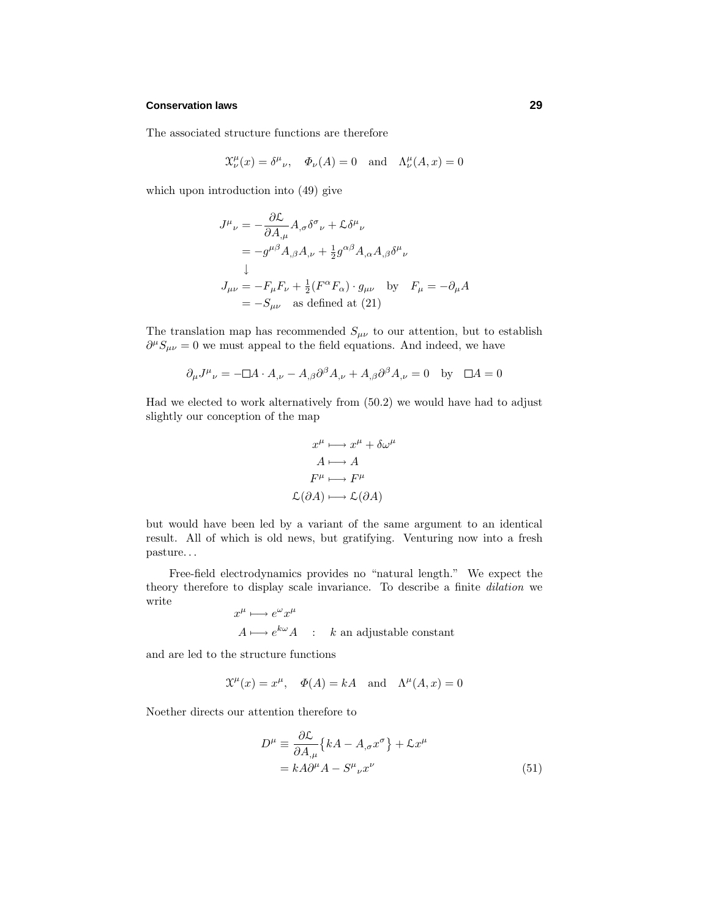#### **Conservation laws 29**

The associated structure functions are therefore

$$
\mathfrak{X}^{\mu}_{\nu}(x) = \delta^{\mu}_{\nu}, \quad \Phi_{\nu}(A) = 0 \quad \text{and} \quad \Lambda^{\mu}_{\nu}(A, x) = 0
$$

which upon introduction into  $(49)$  give

$$
J^{\mu}{}_{\nu} = -\frac{\partial \mathcal{L}}{\partial A_{,\mu}} A_{,\sigma} \delta^{\sigma}{}_{\nu} + \mathcal{L} \delta^{\mu}{}_{\nu}
$$
  
\n
$$
= -g^{\mu\beta} A_{,\beta} A_{,\nu} + \frac{1}{2} g^{\alpha\beta} A_{,\alpha} A_{,\beta} \delta^{\mu}{}_{\nu}
$$
  
\n
$$
J_{\mu\nu} = -F_{\mu} F_{\nu} + \frac{1}{2} (F^{\alpha} F_{\alpha}) \cdot g_{\mu\nu} \text{ by } F_{\mu} = -\partial_{\mu} A
$$
  
\n
$$
= -S_{\mu\nu} \text{ as defined at (21)}
$$

The translation map has recommended  $S_{\mu\nu}$  to our attention, but to establish  $\partial^{\mu}S_{\mu\nu} = 0$  we must appeal to the field equations. And indeed, we have

$$
\partial_{\mu}J^{\mu}{}_{\nu} = -\Box A \cdot A_{,\nu} - A_{,\beta}\partial^{\beta}A_{,\nu} + A_{,\beta}\partial^{\beta}A_{,\nu} = 0 \text{ by } \Box A = 0
$$

Had we elected to work alternatively from  $(50.2)$  we would have had to adjust slightly our conception of the map

$$
x^{\mu} \longmapsto x^{\mu} + \delta \omega^{\mu}
$$

$$
A \longmapsto A
$$

$$
F^{\mu} \longmapsto F^{\mu}
$$

$$
\mathcal{L}(\partial A) \longmapsto \mathcal{L}(\partial A)
$$

but would have been led by a variant of the same argument to an identical result. All of which is old news, but gratifying. Venturing now into a fresh pasture*...*

Free-field electrodynamics provides no "natural length." We expect the theory therefore to display scale invariance. To describe a finite dilation we write

$$
x^{\mu} \longmapsto e^{\omega} x^{\mu}
$$
  
 
$$
A \longmapsto e^{k\omega} A \quad : \quad k \text{ an adjustable constant}
$$

and are led to the structure functions

$$
\mathfrak{X}^{\mu}(x) = x^{\mu}, \quad \Phi(A) = kA \quad \text{and} \quad \Lambda^{\mu}(A, x) = 0
$$

Noether directs our attention therefore to

$$
D^{\mu} \equiv \frac{\partial \mathcal{L}}{\partial A_{,\mu}} \{ kA - A_{,\sigma} x^{\sigma} \} + \mathcal{L} x^{\mu}
$$
  
=  $k A \partial^{\mu} A - S^{\mu}{}_{\nu} x^{\nu}$  (51)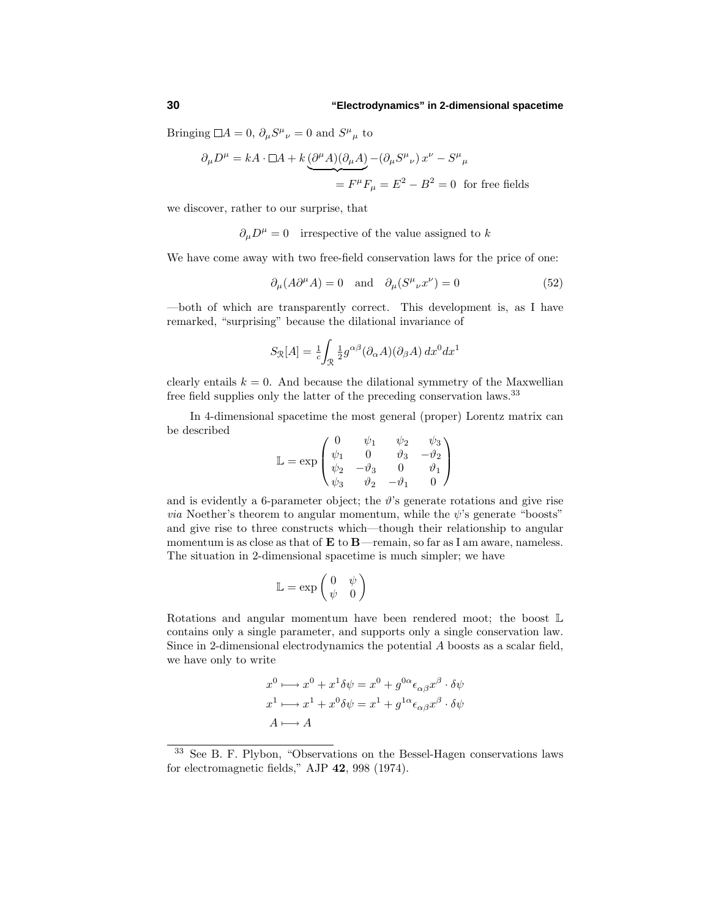Bringing  $\Box A = 0$ ,  $\partial_{\mu} S^{\mu}{}_{\nu} = 0$  and  $S^{\mu}{}_{\mu}$  to

$$
\partial_{\mu}D^{\mu} = kA \cdot \Box A + k \underbrace{(\partial^{\mu}A)(\partial_{\mu}A)}_{\phantom{a}=\phantom{a}F^{\mu}F_{\mu}} - (\partial_{\mu}S^{\mu}{}_{\nu})\,x^{\nu} - S^{\mu}{}_{\mu}
$$
\n
$$
= F^{\mu}F_{\mu} = E^{2} - B^{2} = 0 \text{ for free fields}
$$

we discover, rather to our surprise, that

 $\partial_{\mu}D^{\mu} = 0$  irrespective of the value assigned to *k* 

We have come away with two free-field conservation laws for the price of one:

$$
\partial_{\mu}(A\partial^{\mu}A) = 0 \quad \text{and} \quad \partial_{\mu}(S^{\mu}{}_{\nu}x^{\nu}) = 0 \tag{52}
$$

—both of which are transparently correct. This development is, as I have remarked, "surprising" because the dilational invariance of

$$
S_{\mathcal{R}}[A] = \frac{1}{c} \int_{\mathcal{R}} \frac{1}{2} g^{\alpha \beta} (\partial_{\alpha} A)(\partial_{\beta} A) dx^{0} dx^{1}
$$

clearly entails  $k = 0$ . And because the dilational symmetry of the Maxwellian free field supplies only the latter of the preceding conservation laws.<sup>33</sup>

In 4-dimensional spacetime the most general (proper) Lorentz matrix can be described

$$
\mathbb{L} = \exp \begin{pmatrix} 0 & \psi_1 & \psi_2 & \psi_3 \\ \psi_1 & 0 & \vartheta_3 & -\vartheta_2 \\ \psi_2 & -\vartheta_3 & 0 & \vartheta_1 \\ \psi_3 & \vartheta_2 & -\vartheta_1 & 0 \end{pmatrix}
$$

and is evidently a 6-parameter object; the  $\vartheta$ 's generate rotations and give rise via Noether's theorem to angular momentum, while the *ψ*'s generate "boosts" and give rise to three constructs which—though their relationship to angular momentum is as close as that of **E** to **B**—remain, so far as I am aware, nameless. The situation in 2-dimensional spacetime is much simpler; we have

$$
\mathbb{L} = \exp\begin{pmatrix} 0 & \psi \\ \psi & 0 \end{pmatrix}
$$

Rotations and angular momentum have been rendered moot; the boost  $\mathbb L$ contains only a single parameter, and supports only a single conservation law. Since in 2-dimensional electrodynamics the potential *A* boosts as a scalar field, we have only to write

$$
x^{0} \longmapsto x^{0} + x^{1}\delta\psi = x^{0} + g^{0\alpha}\epsilon_{\alpha\beta}x^{\beta} \cdot \delta\psi
$$
  

$$
x^{1} \longmapsto x^{1} + x^{0}\delta\psi = x^{1} + g^{1\alpha}\epsilon_{\alpha\beta}x^{\beta} \cdot \delta\psi
$$
  

$$
A \longmapsto A
$$

<sup>33</sup> See B. F. Plybon, "Observations on the Bessel-Hagen conservations laws for electromagnetic fields," AJP **42**, 998 (1974).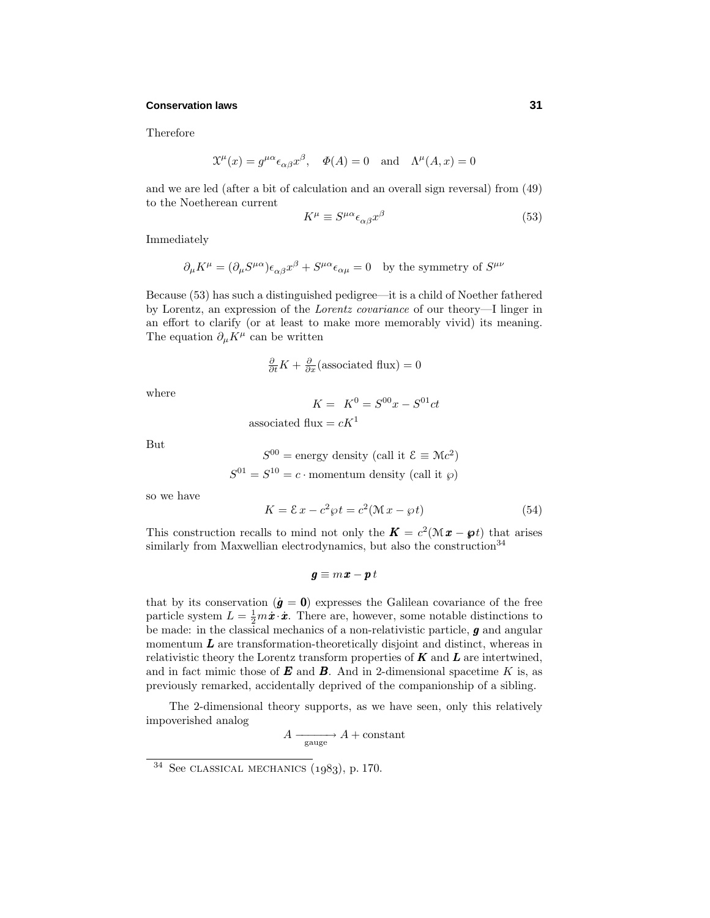#### **Conservation laws 31**

Therefore

$$
\mathfrak{X}^{\mu}(x) = g^{\mu\alpha} \epsilon_{\alpha\beta} x^{\beta}, \quad \Phi(A) = 0 \quad \text{and} \quad \Lambda^{\mu}(A, x) = 0
$$

and we are led (after a bit of calculation and an overall sign reversal) from (49) to the Noetherean current

$$
K^{\mu} \equiv S^{\mu\alpha} \epsilon_{\alpha\beta} x^{\beta} \tag{53}
$$

Immediately

$$
\partial_{\mu}K^{\mu} = (\partial_{\mu}S^{\mu\alpha})\epsilon_{\alpha\beta}x^{\beta} + S^{\mu\alpha}\epsilon_{\alpha\mu} = 0
$$
 by the symmetry of  $S^{\mu\nu}$ 

Because (53)has such a distinguished pedigree—it is a child of Noether fathered by Lorentz, an expression of the Lorentz covariance of our theory—I linger in an effort to clarify (or at least to make more memorably vivid) its meaning. The equation  $\partial_{\mu}K^{\mu}$  can be written

$$
\frac{\partial}{\partial t}K + \frac{\partial}{\partial x}(\text{associated flux}) = 0
$$

where

$$
K = K^0 = S^{00}x - S^{01}ct
$$

associated flux =  $cK^1$ 

But

$$
S^{00} = \text{energy density (call it } \mathcal{E} \equiv \mathcal{M}c^2)
$$

$$
S^{01} = S^{10} = c \cdot \text{momentum density (call it } \wp)
$$

so we have

$$
K = \mathcal{E} x - c^2 \wp t = c^2 (\mathcal{M} x - \wp t) \tag{54}
$$

This construction recalls to mind not only the  $\mathbf{K} = c^2(\mathcal{M} \mathbf{x} - \mathbf{p} t)$  that arises similarly from Maxwellian electrodynamics, but also the construction<sup>34</sup>

$$
\bm{g}\equiv m\,\bm{x}-\bm{p}\,t
$$

that by its conservation  $(\dot{g} = 0)$  expresses the Galilean covariance of the free particle system  $L = \frac{1}{2}m\dot{x} \cdot \dot{x}$ . There are, however, some notable distinctions to be made: in the classical mechanics of a non-relativistic particle, *g* and angular momentum **L** are transformation-theoretically disjoint and distinct, whereas in relativistic theory the Lorentz transform properties of *K* and *L* are intertwined, and in fact mimic those of  $\boldsymbol{E}$  and  $\boldsymbol{B}$ . And in 2-dimensional spacetime  $K$  is, as previously remarked, accidentally deprived of the companionship of a sibling.

The 2-dimensional theory supports, as we have seen, only this relatively impoverished analog

$$
A \xrightarrow[\text{gauge}]{}
$$

 $34$  See classical mechanics (1983), p. 170.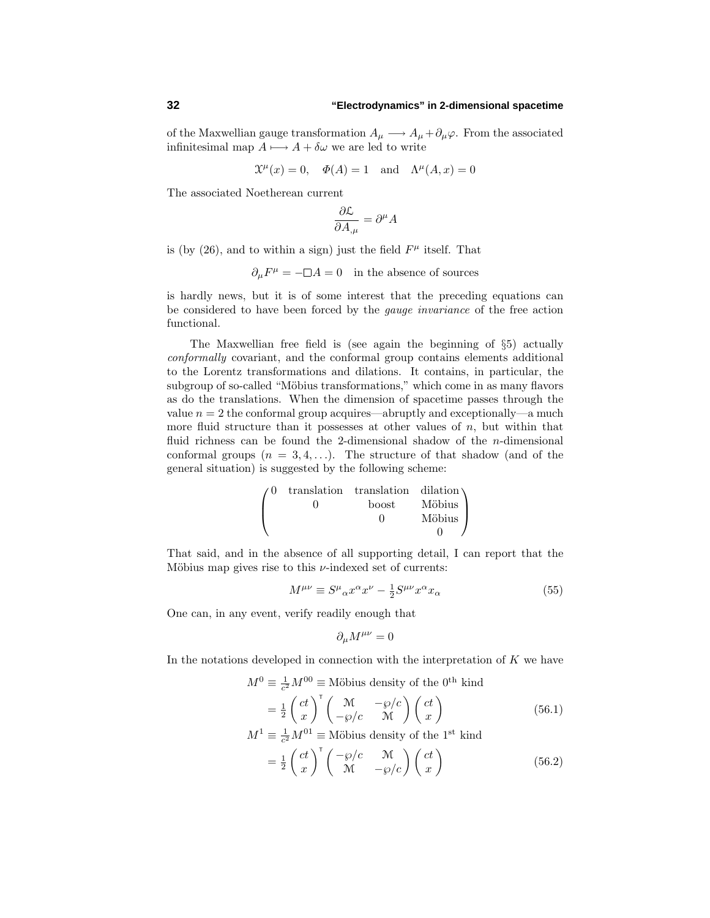of the Maxwellian gauge transformation  $A_\mu \longrightarrow A_\mu + \partial_\mu \varphi$ . From the associated infinitesimal map  $A \mapsto A + \delta \omega$  we are led to write

$$
\mathfrak{X}^{\mu}(x) = 0
$$
,  $\Phi(A) = 1$  and  $\Lambda^{\mu}(A, x) = 0$ 

The associated Noetherean current

$$
\frac{\partial \mathcal{L}}{\partial A_{,\mu}} = \partial^{\mu} A
$$

is (by  $(26)$ , and to within a sign) just the field  $F^{\mu}$  itself. That

 $\partial_{\mu}F^{\mu} = -\Box A = 0$  in the absence of sources

is hardly news, but it is of some interest that the preceding equations can be considered to have been forced by the gauge invariance of the free action functional.

The Maxwellian free field is (see again the beginning of  $\S5$ ) actually conformally covariant, and the conformal group contains elements additional to the Lorentz transformations and dilations. It contains, in particular, the subgroup of so-called "Möbius transformations," which come in as many flavors as do the translations. When the dimension of spacetime passes through the value  $n = 2$  the conformal group acquires—abruptly and exceptionally—a much more fluid structure than it possesses at other values of *n*, but within that fluid richness can be found the 2-dimensional shadow of the *n*-dimensional conformal groups  $(n = 3, 4, \ldots)$ . The structure of that shadow (and of the general situation) is suggested by the following scheme:

| (1) | translation translation dilation $\setminus$ |        |
|-----|----------------------------------------------|--------|
|     | boost                                        | Möbius |
|     |                                              | Möbius |
|     |                                              |        |

That said, and in the absence of all supporting detail, I can report that the Möbius map gives rise to this  $\nu$ -indexed set of currents:

$$
M^{\mu\nu} \equiv S^{\mu}{}_{\alpha} x^{\alpha} x^{\nu} - \frac{1}{2} S^{\mu\nu} x^{\alpha} x_{\alpha} \tag{55}
$$

One can, in any event, verify readily enough that

$$
\partial_{\mu}M^{\mu\nu}=0
$$

In the notations developed in connection with the interpretation of *K* we have

$$
M^0 \equiv \frac{1}{c^2} M^{00} \equiv
$$
 Möbius density of the 0<sup>th</sup> kind

$$
= \frac{1}{2} \begin{pmatrix} ct \\ x \end{pmatrix}^{\mathsf{T}} \begin{pmatrix} \mathcal{M} & -\wp/c \\ -\wp/c & \mathcal{M} \end{pmatrix} \begin{pmatrix} ct \\ x \end{pmatrix}
$$
(56.1)

 $M^1 \equiv \frac{1}{c^2} M^{01} \equiv$  Möbius density of the 1<sup>st</sup> kind

$$
= \frac{1}{2} \begin{pmatrix} ct \\ x \end{pmatrix}^{\mathrm{T}} \begin{pmatrix} -\wp/c & \mathcal{M} \\ \mathcal{M} & -\wp/c \end{pmatrix} \begin{pmatrix} ct \\ x \end{pmatrix}
$$
 (56.2)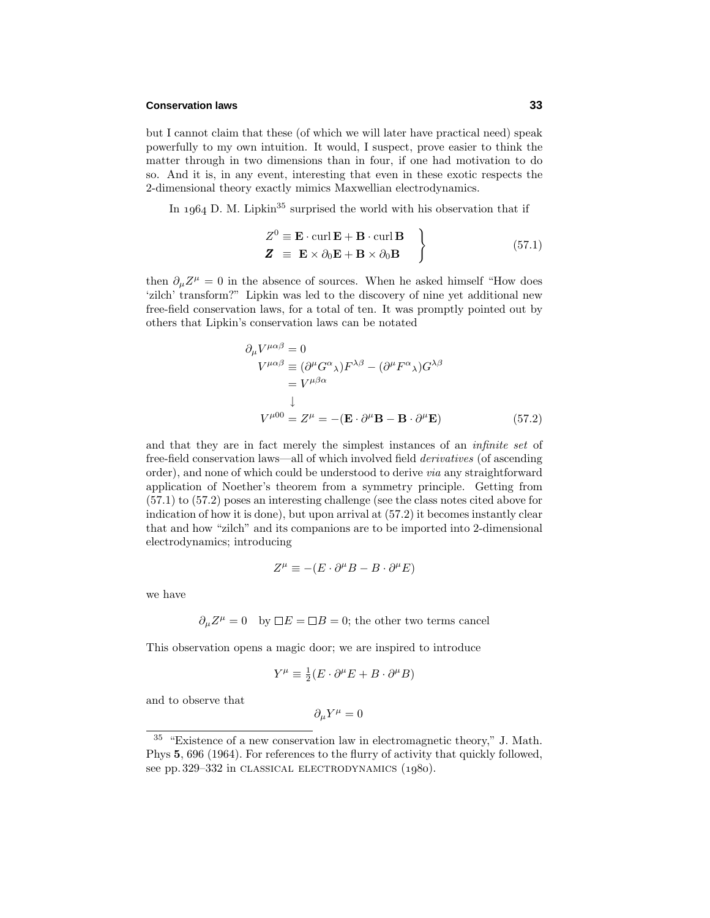## **Conservation laws 33**

but I cannot claim that these (of which we will later have practical need) speak powerfully to my own intuition. It would, I suspect, prove easier to think the matter through in two dimensions than in four, if one had motivation to do so. And it is, in any event, interesting that even in these exotic respects the 2-dimensional theory exactly mimics Maxwellian electrodynamics.

In  $1964$  D. M. Lipkin<sup>35</sup> surprised the world with his observation that if

$$
Z^{0} \equiv \mathbf{E} \cdot \text{curl} \mathbf{E} + \mathbf{B} \cdot \text{curl} \mathbf{B}
$$
  

$$
Z \equiv \mathbf{E} \times \partial_{0} \mathbf{E} + \mathbf{B} \times \partial_{0} \mathbf{B}
$$
 (57.1)

then  $\partial_{\mu}Z^{\mu} = 0$  in the absence of sources. When he asked himself "How does" 'zilch' transform?" Lipkin was led to the discovery of nine yet additional new free-field conservation laws, for a total of ten. It was promptly pointed out by others that Lipkin's conservation laws can be notated

$$
\partial_{\mu}V^{\mu\alpha\beta} = 0
$$
  
\n
$$
V^{\mu\alpha\beta} \equiv (\partial^{\mu}G^{\alpha}{}_{\lambda})F^{\lambda\beta} - (\partial^{\mu}F^{\alpha}{}_{\lambda})G^{\lambda\beta}
$$
  
\n
$$
= V^{\mu\beta\alpha}
$$
  
\n
$$
\downarrow
$$
  
\n
$$
V^{\mu 00} = Z^{\mu} = -(\mathbf{E} \cdot \partial^{\mu}\mathbf{B} - \mathbf{B} \cdot \partial^{\mu}\mathbf{E})
$$
 (57.2)

and that they are in fact merely the simplest instances of an infinite set of free-field conservation laws—all of which involved field derivatives (of ascending order), and none of which could be understood to derive via any straightforward application of Noether's theorem from a symmetry principle. Getting from  $(57.1)$  to  $(57.2)$  poses an interesting challenge (see the class notes cited above for indication of how it is done), but upon arrival at (57.2) it becomes instantly clear that and how "zilch" and its companions are to be imported into 2-dimensional electrodynamics; introducing

$$
Z^{\mu} \equiv -(E \cdot \partial^{\mu} B - B \cdot \partial^{\mu} E)
$$

we have

 $\partial_{\mu}Z^{\mu} = 0$  by  $\Box E = \Box B = 0$ ; the other two terms cancel

This observation opens a magic door; we are inspired to introduce

$$
Y^{\mu} \equiv \frac{1}{2} (E \cdot \partial^{\mu} E + B \cdot \partial^{\mu} B)
$$

and to observe that

$$
\partial_{\mu}Y^{\mu}=0
$$

<sup>35</sup> "Existence of a new conservation law in electromagnetic theory," J. Math. Phys **5**, 696 (1964). For references to the flurry of activity that quickly followed, see pp. 329–332 in CLASSICAL ELECTRODYNAMICS  $(1980)$ .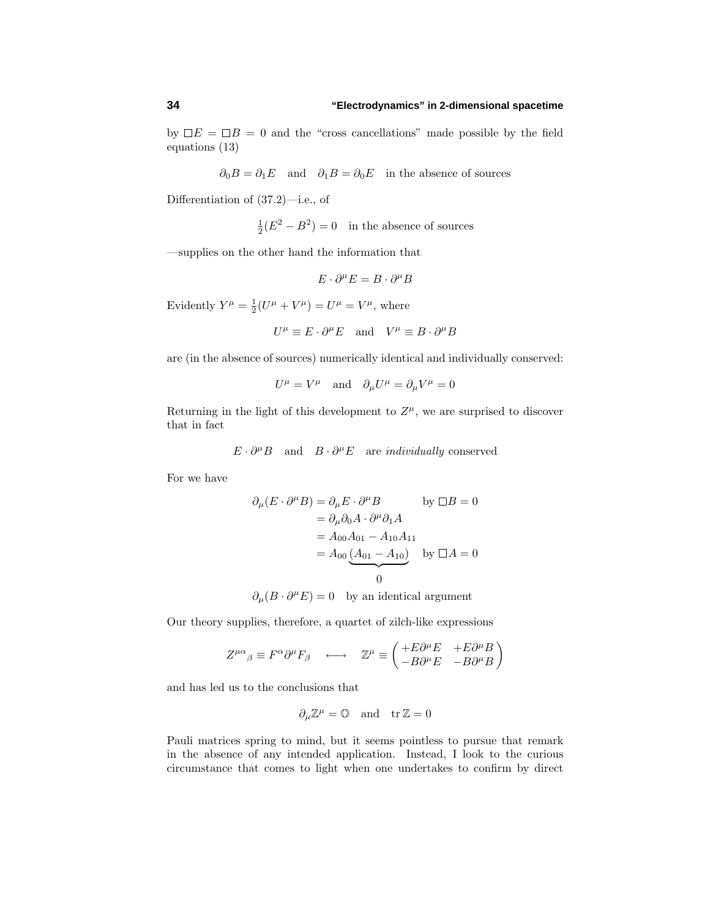by  $\Box E = \Box B = 0$  and the "cross cancellations" made possible by the field equations (13)

 $\partial_0 B = \partial_1 E$  and  $\partial_1 B = \partial_0 E$  in the absence of sources

Differentiation of (37.2)—i.e., of

$$
\frac{1}{2}(E^2 - B^2) = 0
$$
 in the absence of sources

—supplies on the other hand the information that

$$
E\cdot\partial^\mu E=B\cdot\partial^\mu B
$$

Evidently  $Y^{\mu} = \frac{1}{2}(U^{\mu} + V^{\mu}) = U^{\mu} = V^{\mu}$ , where

$$
U^{\mu} \equiv E \cdot \partial^{\mu} E \quad \text{and} \quad V^{\mu} \equiv B \cdot \partial^{\mu} B
$$

are (in the absence of sources) numerically identical and individually conserved:

$$
U^{\mu} = V^{\mu}
$$
 and  $\partial_{\mu}U^{\mu} = \partial_{\mu}V^{\mu} = 0$ 

Returning in the light of this development to  $Z^{\mu}$ , we are surprised to discover that in fact

$$
E \cdot \partial^{\mu} B
$$
 and  $B \cdot \partial^{\mu} E$  are *individually* conserved

For we have

$$
\partial_{\mu}(E \cdot \partial^{\mu} B) = \partial_{\mu} E \cdot \partial^{\mu} B \qquad \text{by } \Box B = 0
$$
  
=  $\partial_{\mu} \partial_{0} A \cdot \partial^{\mu} \partial_{1} A$   
=  $A_{00} A_{01} - A_{10} A_{11}$   
=  $A_{00} \underbrace{(A_{01} - A_{10})}_{0} \qquad \text{by } \Box A = 0$ 

 $\partial_{\mu}(B \cdot \partial^{\mu}E) = 0$  by an identical argument

Our theory supplies, therefore, a quartet of zilch-like expressions

$$
Z^{\mu\alpha}{}_{\beta} \equiv F^{\alpha} \partial^{\mu} F_{\beta} \quad \longleftrightarrow \quad \mathbb{Z}^{\mu} \equiv \begin{pmatrix} +E \partial^{\mu} E & +E \partial^{\mu} B \\ -B \partial^{\mu} E & -B \partial^{\mu} B \end{pmatrix}
$$

and has led us to the conclusions that

$$
\partial_{\mu} \mathbb{Z}^{\mu} = \mathbb{O} \quad \text{and} \quad \text{tr } \mathbb{Z} = 0
$$

Pauli matrices spring to mind, but it seems pointless to pursue that remark in the absence of any intended application. Instead, I look to the curious circumstance that comes to light when one undertakes to confirm by direct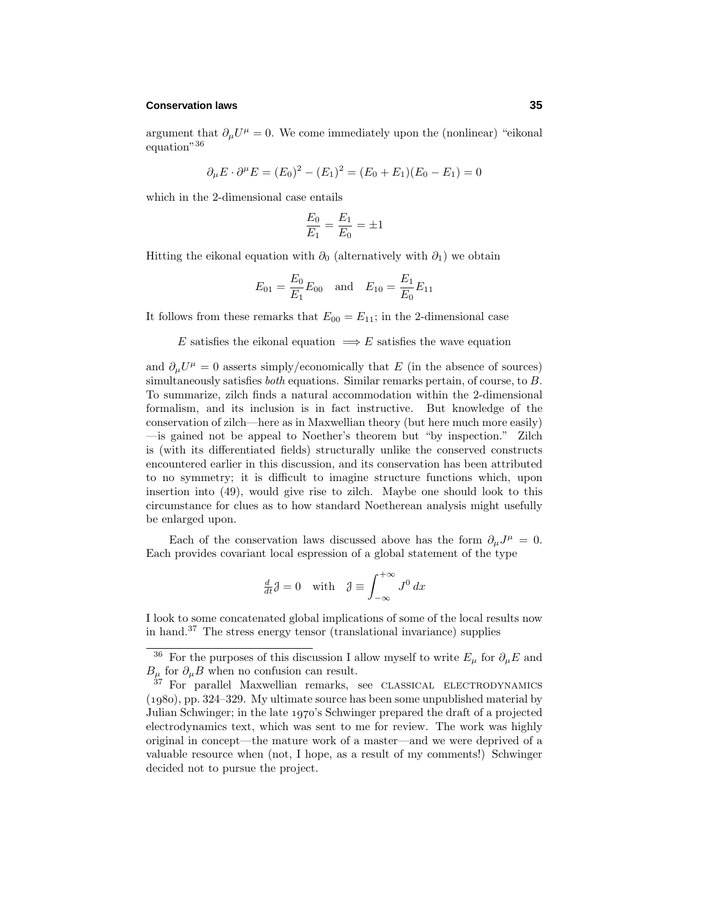#### **Conservation laws 35**

argument that  $\partial_{\mu}U^{\mu} = 0$ . We come immediately upon the (nonlinear) "eikonal equation"<sup>36</sup>

$$
\partial_{\mu} E \cdot \partial^{\mu} E = (E_0)^2 - (E_1)^2 = (E_0 + E_1)(E_0 - E_1) = 0
$$

which in the 2-dimensional case entails

$$
\frac{E_0}{E_1} = \frac{E_1}{E_0} = \pm 1
$$

Hitting the eikonal equation with  $\partial_0$  (alternatively with  $\partial_1$ ) we obtain

$$
E_{01} = \frac{E_0}{E_1} E_{00}
$$
 and  $E_{10} = \frac{E_1}{E_0} E_{11}$ 

It follows from these remarks that  $E_{00} = E_{11}$ ; in the 2-dimensional case

*E* satisfies the eikonal equation  $\implies$  *E* satisfies the wave equation

and  $\partial_{\mu}U^{\mu} = 0$  asserts simply/economically that *E* (in the absence of sources) simultaneously satisfies both equations. Similar remarks pertain, of course, to *B*. To summarize, zilch finds a natural accommodation within the 2-dimensional formalism, and its inclusion is in fact instructive. But knowledge of the conservation of zilch—here as in Maxwellian theory (but here much more easily) —is gained not be appeal to Noether's theorem but "by inspection." Zilch is (with its differentiated fields) structurally unlike the conserved constructs encountered earlier in this discussion, and its conservation has been attributed to no symmetry; it is difficult to imagine structure functions which, upon insertion into (49), would give rise to zilch. Maybe one should look to this circumstance for clues as to how standard Noetherean analysis might usefully be enlarged upon.

Each of the conservation laws discussed above has the form  $\partial_{\mu}J^{\mu} = 0$ . Each provides covariant local espression of a global statement of the type

$$
\frac{d}{dt}\mathcal{J} = 0 \quad \text{with} \quad \mathcal{J} \equiv \int_{-\infty}^{+\infty} J^0 \, dx
$$

I look to some concatenated global implications of some of the local results now in hand. $37$  The stress energy tensor (translational invariance) supplies

<sup>&</sup>lt;sup>36</sup> For the purposes of this discussion I allow myself to write  $E_{\mu}$  for  $\partial_{\mu}E$  and  $B_\mu$  for  $\partial_\mu B$  when no confusion can result.

<sup>&</sup>lt;sup>37</sup> For parallel Maxwellian remarks, see CLASSICAL ELECTRODYNAMICS  $(1980)$ , pp. 324–329. My ultimate source has been some unpublished material by Julian Schwinger; in the late 1970's Schwinger prepared the draft of a projected electrodynamics text, which was sent to me for review. The work was highly original in concept—the mature work of a master—and we were deprived of a valuable resource when (not, I hope, as a result of my comments!) Schwinger decided not to pursue the project.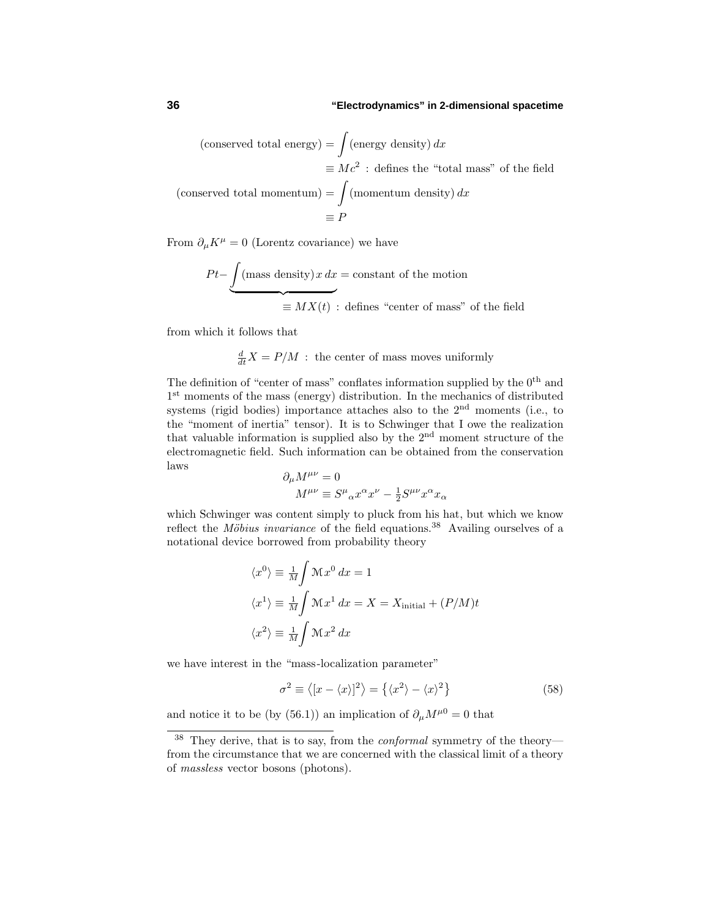(conserved total energy) = 
$$
\int
$$
 (energy density) dx  
\n $\equiv Mc^2$  : defines the "total mass" of the field  
\n(conserved total momentum) =  $\int$  (momentum density) dx  
\n $\equiv P$ 

From  $\partial_{\mu}K^{\mu} = 0$  (Lorentz covariance) we have

$$
Pt - \underbrace{\int (\text{mass density}) x \, dx}_{m} = \text{constant of the motion}
$$
  

$$
\equiv MX(t) : \text{ defines "center of mass" of the field}
$$

from which it follows that

 $\frac{d}{dt}X = P/M$  : the center of mass moves uniformly

The definition of "center of mass" conflates information supplied by the  $0<sup>th</sup>$  and  $1<sup>st</sup>$  moments of the mass (energy) distribution. In the mechanics of distributed systems (rigid bodies) importance attaches also to the  $2<sup>nd</sup>$  moments (i.e., to the "moment of inertia" tensor). It is to Schwinger that I owe the realization that valuable information is supplied also by the  $2<sup>nd</sup>$  moment structure of the electromagnetic field. Such information can be obtained from the conservation laws

$$
\begin{split} \partial_{\mu}M^{\mu\nu} & = 0\\ M^{\mu\nu} & \equiv S^{\mu}{}_{\alpha}x^{\alpha}x^{\nu} - \tfrac{1}{2}S^{\mu\nu}x^{\alpha}x_{\alpha} \end{split}
$$

which Schwinger was content simply to pluck from his hat, but which we know reflect the *Möbius invariance* of the field equations.<sup>38</sup> Availing ourselves of a notational device borrowed from probability theory

$$
\langle x^0 \rangle \equiv \frac{1}{M} \int \mathcal{M}x^0 dx = 1
$$
  

$$
\langle x^1 \rangle \equiv \frac{1}{M} \int \mathcal{M}x^1 dx = X = X_{\text{initial}} + (P/M)t
$$
  

$$
\langle x^2 \rangle \equiv \frac{1}{M} \int \mathcal{M}x^2 dx
$$

we have interest in the "mass-localization parameter"

$$
\sigma^2 \equiv \langle [x - \langle x \rangle]^2 \rangle = \{ \langle x^2 \rangle - \langle x \rangle^2 \}
$$
 (58)

and notice it to be (by (56.1)) an implication of  $\partial_{\mu}M^{\mu}{}^{0}=0$  that

 $38$  They derive, that is to say, from the *conformal* symmetry of the theory from the circumstance that we are concerned with the classical limit of a theory of massless vector bosons (photons).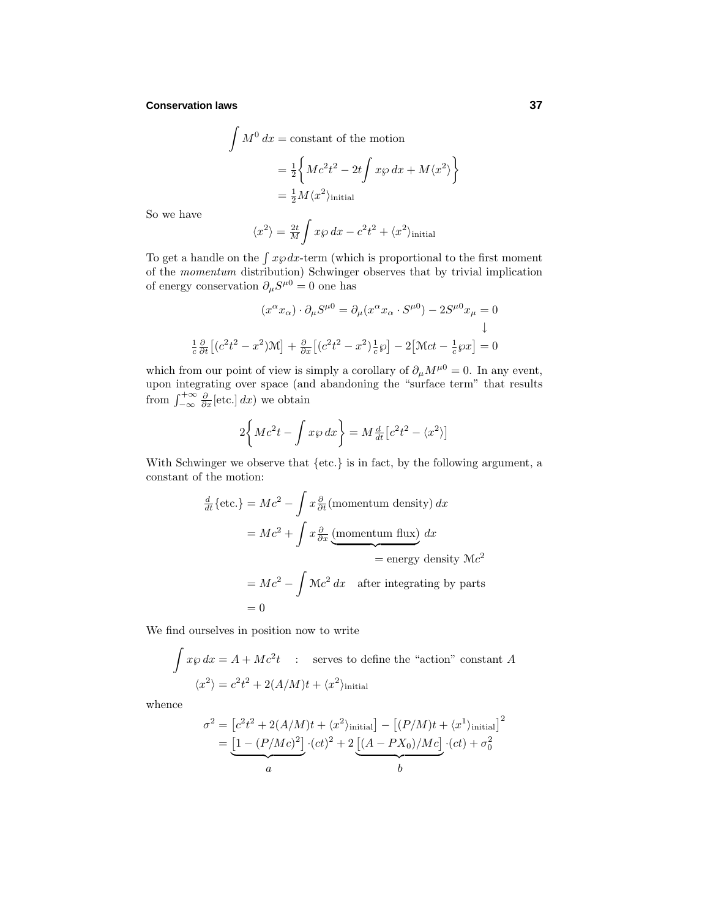# **Conservation laws 37**

$$
\int M^0 dx = \text{constant of the motion}
$$
  
=  $\frac{1}{2} \left\{ Mc^2 t^2 - 2t \int x \wp dx + M \langle x^2 \rangle \right\}$   
=  $\frac{1}{2} M \langle x^2 \rangle_{\text{initial}}$ 

So we have

$$
\langle x^2 \rangle = \frac{2t}{M} \int x \wp \, dx - c^2 t^2 + \langle x^2 \rangle_{\text{initial}}
$$

To get a handle on the  $\int x\wp dx$ -term (which is proportional to the first moment of the *momentum* distribution) Schwinger observes that by trivial implication of energy conservation  $\partial_{\mu}S^{\mu}{}^{0} = 0$  one has

$$
(x^{\alpha}x_{\alpha}) \cdot \partial_{\mu}S^{\mu 0} = \partial_{\mu}(x^{\alpha}x_{\alpha} \cdot S^{\mu 0}) - 2S^{\mu 0}x_{\mu} = 0
$$
  

$$
\frac{1}{c} \frac{\partial}{\partial t} \left[ (c^2t^2 - x^2) \mathcal{M} \right] + \frac{\partial}{\partial x} \left[ (c^2t^2 - x^2) \frac{1}{c} \wp \right] - 2 \left[ \mathcal{M}ct - \frac{1}{c} \wp x \right] = 0
$$

which from our point of view is simply a corollary of  $\partial_{\mu}M^{\mu 0} = 0$ . In any event, upon integrating over space (and abandoning the "surface term" that results from  $\int_{-\infty}^{+\infty}$  $\frac{\partial}{\partial x}$  [etc.] *dx*) we obtain

$$
2\bigg\{Mc^{2}t - \int x\wp dx\bigg\} = M\frac{d}{dt}\big[c^{2}t^{2} - \langle x^{2}\rangle\big]
$$

With Schwinger we observe that {etc.} is in fact, by the following argument, a constant of the motion:

$$
\frac{d}{dt}\{\text{etc.}\} = Mc^2 - \int x \frac{\partial}{\partial t}(\text{momentum density}) dx
$$

$$
= Mc^2 + \int x \frac{\partial}{\partial x}(\text{momentum flux}) dx
$$

$$
= \text{energy density } Mc^2
$$

$$
= Mc^2 - \int Mc^2 dx \quad \text{after integrating by parts}
$$

$$
= 0
$$

We find ourselves in position now to write

$$
\int x \wp \, dx = A + Mc^2t \quad : \text{ serves to define the "action" constant } A
$$

$$
\langle x^2 \rangle = c^2 t^2 + 2(A/M)t + \langle x^2 \rangle_{\text{initial}}
$$

whence

$$
\sigma^2 = \left[c^2t^2 + 2(A/M)t + \langle x^2 \rangle_{\text{initial}}\right] - \left[(P/M)t + \langle x^1 \rangle_{\text{initial}}\right]^2
$$

$$
= \underbrace{\left[1 - (P/Mc)^2\right]}_{a} \cdot (ct)^2 + 2 \underbrace{\left[(A - PX_0)/Mc\right]}_{b} \cdot (ct) + \sigma_0^2
$$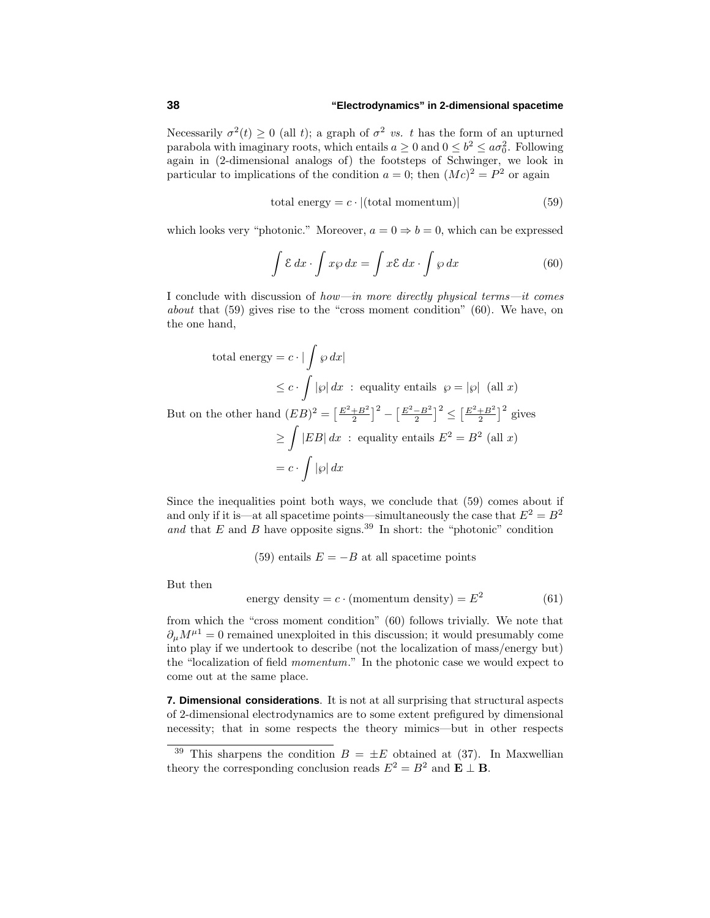Necessarily  $\sigma^2(t) \geq 0$  (all *t*); a graph of  $\sigma^2$  vs. *t* has the form of an upturned parabola with imaginary roots, which entails  $a \ge 0$  and  $0 \le b^2 \le a\sigma_0^2$ . Following again in (2-dimensional analogs of) the footsteps of Schwinger, we look in particular to implications of the condition  $a = 0$ ; then  $(Mc)^2 = P^2$  or again

$$
total energy = c \cdot |(total momentum)|
$$
\n(59)

which looks very "photonic." Moreover,  $a = 0 \Rightarrow b = 0$ , which can be expressed

$$
\int \mathcal{E} \, dx \cdot \int x \wp \, dx = \int x \mathcal{E} \, dx \cdot \int \wp \, dx \tag{60}
$$

I conclude with discussion of how—in more directly physical terms—it comes about that  $(59)$  gives rise to the "cross moment condition"  $(60)$ . We have, on the one hand,

total energy = 
$$
c \cdot |\int \wp dx|
$$
  
\n $\leq c \cdot \int |\wp| dx$ : equality entails  $\wp = |\wp|$  (all x)  
\nBut on the other hand  $(EB)^2 = \left[\frac{E^2 + B^2}{2}\right]^2 - \left[\frac{E^2 - B^2}{2}\right]^2 \leq \left[\frac{E^2 + B^2}{2}\right]^2$  gives  
\n $\geq \int |EB| dx$ : equality entails  $E^2 = B^2$  (all x)  
\n $= c \cdot \int |\wp| dx$ 

Since the inequalities point both ways, we conclude that  $(59)$  comes about if and only if it is—at all spacetime points—simultaneously the case that  $E^2 = B^2$ and that  $E$  and  $B$  have opposite signs.<sup>39</sup> In short: the "photonic" condition

(59) entails  $E = -B$  at all spacetime points

But then

energy density = 
$$
c \cdot (\text{momentum density}) = E^2
$$
 (61)

from which the "cross moment condition"  $(60)$  follows trivially. We note that  $\partial_{\mu}M^{\mu} = 0$  remained unexploited in this discussion; it would presumably come into play if we undertook to describe (not the localization of mass/energy but) the "localization of field momentum." In the photonic case we would expect to come out at the same place.

**7. Dimensional considerations**. It is not at all surprising that structural aspects of 2-dimensional electrodynamics are to some extent prefigured by dimensional necessity; that in some respects the theory mimics—but in other respects

<sup>&</sup>lt;sup>39</sup> This sharpens the condition  $B = \pm E$  obtained at (37). In Maxwellian theory the corresponding conclusion reads  $E^2 = B^2$  and  $\mathbf{E} \perp \mathbf{B}$ .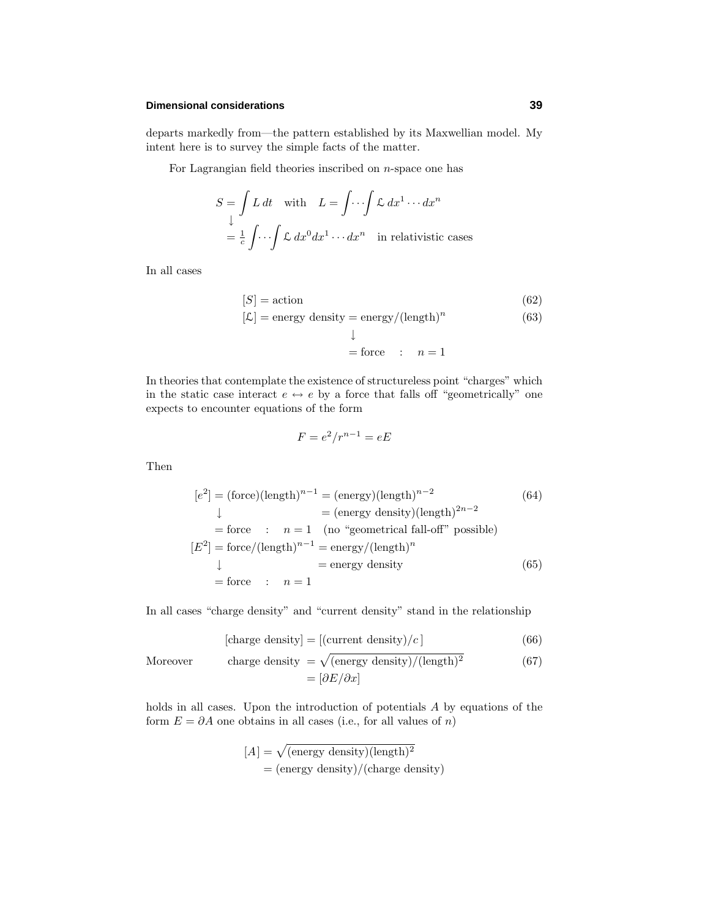### **Dimensional considerations 39**

departs markedly from—the pattern established by its Maxwellian model. My intent here is to survey the simple facts of the matter.

For Lagrangian field theories inscribed on *n*-space one has

$$
S = \int L dt \quad \text{with} \quad L = \int \cdots \int L dx^1 \cdots dx^n
$$

$$
= \frac{1}{c} \int \cdots \int L dx^0 dx^1 \cdots dx^n \quad \text{in relativistic cases}
$$

In all cases

$$
[S] = \text{action} \tag{62}
$$
  

$$
[\mathcal{L}] = \text{energy density} = \text{energy}/(\text{length})^n \tag{63}
$$

$$
\downarrow
$$
 = energy density = energy/(length)<sup>n</sup> (63)  

$$
\downarrow
$$
  
= force :  $n = 1$ 

In theories that contemplate the existence of structureless point "charges" which in the static case interact  $e \leftrightarrow e$  by a force that falls off "geometrically" one expects to encounter equations of the form

$$
F = e^2 / r^{n-1} = eE
$$

Then

$$
[e2] = (force)(length)n-1 = (energy)(length)n-2 \t(64)
$$
  
\n
$$
\downarrow = (energy density)(length)2n-2 \t(64)
$$
  
\n
$$
= force : n = 1 \t(no "geometrical fall-off" possible)
$$
  
\n
$$
[E2] = force/(length)n-1 = energy/(length)n \t= energy density \t(65)
$$
  
\n
$$
= force : n = 1
$$
 (65)

In all cases "charge density" and "current density" stand in the relationship

$$
[charge density] = [(current density)/c]
$$
\n(66)

Moreover charge density = 
$$
\sqrt{\text{(energy density)}/(\text{length})^2}
$$
 (67)  
=  $\left[\partial E/\partial x\right]$ 

holds in all cases. Upon the introduction of potentials *A* by equations of the form  $E = \partial A$  one obtains in all cases (i.e., for all values of *n*)

$$
[A] = \sqrt{\text{(energy density)}}(\text{length})^2
$$
  
= (energy density)/(charge density)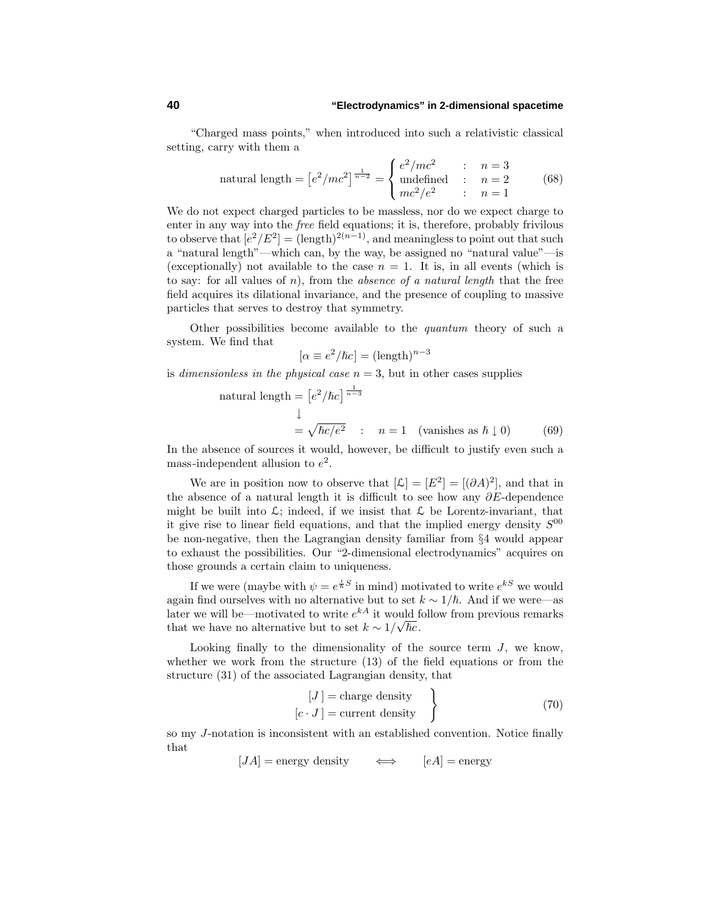"Charged mass points," when introduced into such a relativistic classical setting, carry with them a

natural length = 
$$
[e^2/mc^2]^{\frac{1}{n-2}} = \begin{cases} e^2/mc^2 & : n = 3 \\ \text{undefined} & : n = 2 \\ mc^2/e^2 & : n = 1 \end{cases}
$$
 (68)

We do not expect charged particles to be massless, nor do we expect charge to enter in any way into the free field equations; it is, therefore, probably frivilous to observe that  $[e^2/E^2] = (\text{length})^{2(n-1)}$ , and meaningless to point out that such a "natural length"—which can, by the way, be assigned no "natural value"—is (exceptionally) not available to the case  $n = 1$ . It is, in all events (which is to say: for all values of *n*), from the absence of a natural length that the free field acquires its dilational invariance, and the presence of coupling to massive particles that serves to destroy that symmetry.

Other possibilities become available to the quantum theory of such a system. We find that

$$
[\alpha \equiv e^2/\hbar c] = (\text{length})^{n-3}
$$

is *dimensionless in the physical case*  $n = 3$ , but in other cases supplies

natural length = 
$$
[e^2/\hbar c]^{\frac{1}{n-3}}
$$
  
\n $\downarrow$   
\n=  $\sqrt{\hbar c/e^2}$  :  $n = 1$  (vanishes as  $\hbar \downarrow 0$ ) (69)

In the absence of sources it would, however, be difficult to justify even such a mass-independent allusion to  $e^2$ .

We are in position now to observe that  $[\mathcal{L}]=[E^2] = [(\partial A)^2]$ , and that in the absence of a natural length it is difficult to see how any *∂E*-dependence might be built into  $\mathcal{L}$ ; indeed, if we insist that  $\mathcal{L}$  be Lorentz-invariant, that it give rise to linear field equations, and that the implied energy density *S*<sup>00</sup> be non-negative, then the Lagrangian density familiar from §4 would appear to exhaust the possibilities. Our "2-dimensional electrodynamics" acquires on those grounds a certain claim to uniqueness.

If we were (maybe with  $\psi = e^{\frac{i}{\hbar}S}$  in mind) motivated to write  $e^{kS}$  we would again find ourselves with no alternative but to set  $k \sim 1/\hbar$ . And if we were—as later we will be—motivated to write  $e^{kA}$  it would follow from previous remarks that we have no alternative but to set  $k \sim 1/\sqrt{\hbar c}$ .

Looking finally to the dimensionality of the source term  $J$ , we know, whether we work from the structure  $(13)$  of the field equations or from the structure  $(31)$  of the associated Lagrangian density, that

$$
[J] = \text{charge density} \quad \}
$$
  
[c \cdot J] = current density \quad (70)

so my *J*-notation is inconsistent with an established convention. Notice finally that

$$
[JA] = \text{energy density} \qquad \Longleftrightarrow \qquad [eA] = \text{energy}
$$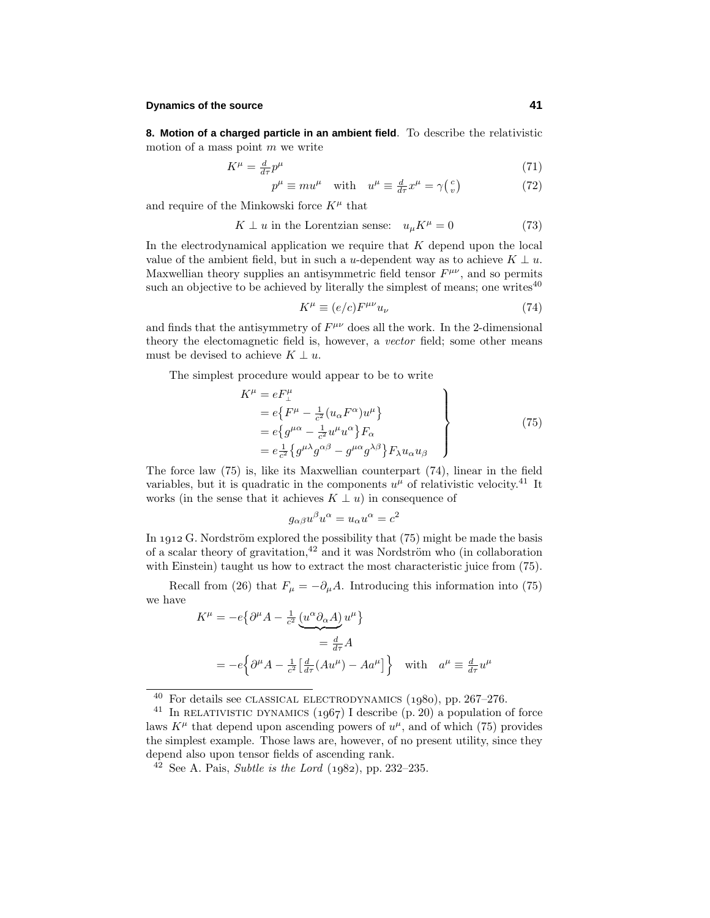## **Dynamics of the source 41**

**8. Motion of a charged particle in an ambient field**. To describe the relativistic motion of a mass point *m* we write

$$
K^{\mu} = \frac{d}{d\tau}p^{\mu} \tag{71}
$$

$$
p^{\mu} \equiv m u^{\mu} \quad \text{with} \quad u^{\mu} \equiv \frac{d}{d\tau} x^{\mu} = \gamma \begin{pmatrix} c \\ v \end{pmatrix} \tag{72}
$$

and require of the Minkowski force  $K^{\mu}$  that

$$
K \perp u \text{ in the Lorentzian sense:} \quad u_{\mu} K^{\mu} = 0 \tag{73}
$$

In the electrodynamical application we require that *K* depend upon the local value of the ambient field, but in such a *u*-dependent way as to achieve  $K \perp u$ . Maxwellian theory supplies an antisymmetric field tensor  $F^{\mu\nu}$ , and so permits such an objective to be achieved by literally the simplest of means; one writes $40$ 

$$
K^{\mu} \equiv (e/c) F^{\mu\nu} u_{\nu} \tag{74}
$$

and finds that the antisymmetry of  $F^{\mu\nu}$  does all the work. In the 2-dimensional theory the electomagnetic field is, however, a vector field; some other means must be devised to achieve  $K \perp u$ .

The simplest procedure would appear to be to write

$$
K^{\mu} = eF^{\mu}_{\perp}
$$
  
=  $e\left\{F^{\mu} - \frac{1}{c^2}(u_{\alpha}F^{\alpha})u^{\mu}\right\}$   
=  $e\left\{g^{\mu\alpha} - \frac{1}{c^2}u^{\mu}u^{\alpha}\right\}F_{\alpha}$   
=  $e\frac{1}{c^2}\left\{g^{\mu\lambda}g^{\alpha\beta} - g^{\mu\alpha}g^{\lambda\beta}\right\}F_{\lambda}u_{\alpha}u_{\beta}$  (75)

The force law  $(75)$  is, like its Maxwellian counterpart  $(74)$ , linear in the field variables, but it is quadratic in the components  $u^{\mu}$  of relativistic velocity.<sup>41</sup> It works (in the sense that it achieves  $K \perp u$ ) in consequence of

$$
g_{\alpha\beta}u^{\beta}u^{\alpha} = u_{\alpha}u^{\alpha} = c^2
$$

In 1912 G. Nordström explored the possibility that  $(75)$  might be made the basis of a scalar theory of gravitation, $42$  and it was Nordström who (in collaboration with Einstein) taught us how to extract the most characteristic juice from  $(75)$ .

Recall from (26) that  $F_{\mu} = -\partial_{\mu}A$ . Introducing this information into (75) we have

$$
K^{\mu} = -e \{ \partial^{\mu} A - \frac{1}{c^2} \underbrace{(u^{\alpha} \partial_{\alpha} A)}_{= \frac{d}{d\tau} A} u^{\mu} \}
$$
  
= 
$$
-e \{ \partial^{\mu} A - \frac{1}{c^2} \left[ \frac{d}{d\tau} (Au^{\mu}) - Aa^{\mu} \right] \} \text{ with } a^{\mu} \equiv \frac{d}{d\tau} u^{\mu}
$$

 $40$  For details see CLASSICAL ELECTRODYNAMICS  $(1980)$ , pp. 267–276.

<sup>&</sup>lt;sup>41</sup> In RELATIVISTIC DYNAMICS  $(1967)$  I describe  $(p. 20)$  a population of force laws  $K^{\mu}$  that depend upon ascending powers of  $u^{\mu}$ , and of which (75) provides the simplest example. Those laws are, however, of no present utility, since they depend also upon tensor fields of ascending rank.

 $4^2$  See A. Pais, Subtle is the Lord  $(1982)$ , pp. 232–235.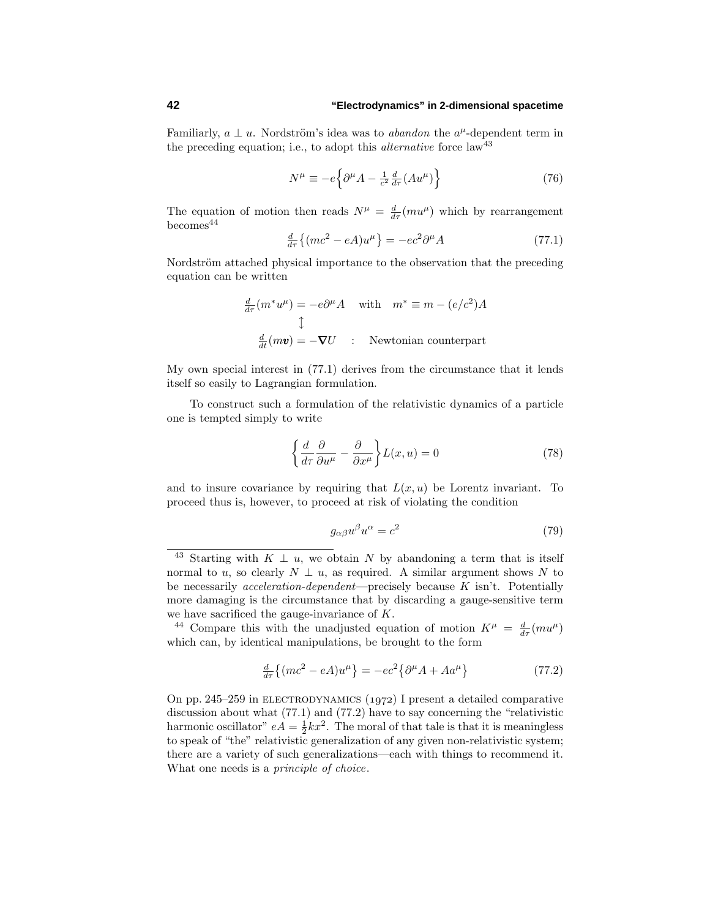Familiarly,  $a \perp u$ . Nordström's idea was to *abandon* the  $a^{\mu}$ -dependent term in the preceding equation; i.e., to adopt this *alternative* force  $law<sup>43</sup>$ 

$$
N^{\mu} \equiv -e \left\{ \partial^{\mu} A - \frac{1}{c^2} \frac{d}{d\tau} (Au^{\mu}) \right\} \tag{76}
$$

The equation of motion then reads  $N^{\mu} = \frac{d}{d\tau} (mu^{\mu})$  which by rearrangement  $becomes$ <sup>44</sup>

$$
\frac{d}{d\tau}\left\{(mc^2 - eA)u^{\mu}\right\} = -ec^2\partial^{\mu}A\tag{77.1}
$$

Nordström attached physical importance to the observation that the preceding equation can be written

$$
\frac{d}{d\tau}(m^*u^{\mu}) = -e\partial^{\mu}A \quad \text{with} \quad m^* \equiv m - (e/c^2)A
$$
  

$$
\downarrow
$$
  

$$
\frac{d}{dt}(m\mathbf{v}) = -\nabla U \quad : \quad \text{Newtonian counterpart}
$$

My own special interest in  $(77.1)$  derives from the circumstance that it lends itself so easily to Lagrangian formulation.

To construct such a formulation of the relativistic dynamics of a particle one is tempted simply to write

$$
\left\{\frac{d}{d\tau}\frac{\partial}{\partial u^{\mu}} - \frac{\partial}{\partial x^{\mu}}\right\}L(x, u) = 0
$$
\n(78)

and to insure covariance by requiring that  $L(x, u)$  be Lorentz invariant. To proceed thus is, however, to proceed at risk of violating the condition

$$
g_{\alpha\beta}u^{\beta}u^{\alpha} = c^2 \tag{79}
$$

$$
\frac{d}{d\tau}\{(mc^2 - eA)u^{\mu}\} = -ec^2\{\partial^{\mu}A + Aa^{\mu}\}\tag{77.2}
$$

On pp. 245–259 in ELECTRODYNAMICS  $(1972)$  I present a detailed comparative discussion about what  $(77.1)$  and  $(77.2)$  have to say concerning the "relativistic harmonic oscillator"  $eA = \frac{1}{2}kx^2$ . The moral of that tale is that it is meaningless to speak of "the" relativistic generalization of any given non-relativistic system; there are a variety of such generalizations—each with things to recommend it. What one needs is a *principle of choice*.

<sup>&</sup>lt;sup>43</sup> Starting with  $K \perp u$ , we obtain  $N$  by abandoning a term that is itself normal to *u*, so clearly  $N \perp u$ , as required. A similar argument shows  $N$  to be necessarily acceleration-dependent—precisely because *K* isn't. Potentially more damaging is the circumstance that by discarding a gauge-sensitive term we have sacrificed the gauge-invariance of *K*.

<sup>&</sup>lt;sup>44</sup> Compare this with the unadjusted equation of motion  $K^{\mu} = \frac{d}{d\tau}(mu^{\mu})$ which can, by identical manipulations, be brought to the form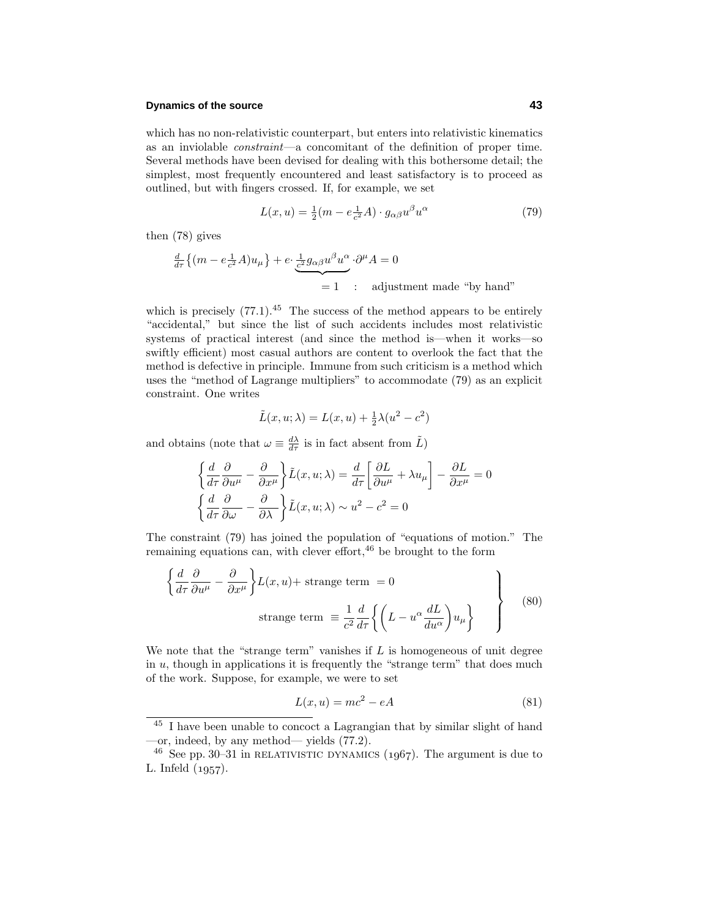## **Dynamics of the source 43**

which has no non-relativistic counterpart, but enters into relativistic kinematics as an inviolable constraint—a concomitant of the definition of proper time. Several methods have been devised for dealing with this bothersome detail; the simplest, most frequently encountered and least satisfactory is to proceed as outlined, but with fingers crossed. If, for example, we set

$$
L(x, u) = \frac{1}{2}(m - e\frac{1}{c^2}A) \cdot g_{\alpha\beta}u^{\beta}u^{\alpha}
$$
\n(79)

then  $(78)$  gives

$$
\frac{d}{d\tau}\{(m-e\frac{1}{c^2}A)u_\mu\}+e\cdot\underbrace{\frac{1}{c^2}g_{\alpha\beta}u^{\beta}u^{\alpha}}_{=1}\cdot\frac{\partial^{\mu}A=0}{\text{adjustment made "by hand"}}
$$

which is precisely  $(77.1)^{45}$  The success of the method appears to be entirely "accidental," but since the list of such accidents includes most relativistic systems of practical interest (and since the method is—when it works—so swiftly efficient) most casual authors are content to overlook the fact that the method is defective in principle. Immune from such criticism is a method which uses the "method of Lagrange multipliers" to accommodate (79) as an explicit constraint. One writes

$$
\tilde{L}(x, u; \lambda) = L(x, u) + \frac{1}{2}\lambda(u^2 - c^2)
$$

and obtains (note that  $\omega \equiv \frac{d\lambda}{d\tau}$  is in fact absent from  $\tilde{L}$ )

$$
\left\{\frac{d}{d\tau}\frac{\partial}{\partial u^{\mu}} - \frac{\partial}{\partial x^{\mu}}\right\}\tilde{L}(x, u; \lambda) = \frac{d}{d\tau}\left[\frac{\partial L}{\partial u^{\mu}} + \lambda u_{\mu}\right] - \frac{\partial L}{\partial x^{\mu}} = 0
$$

$$
\left\{\frac{d}{d\tau}\frac{\partial}{\partial \omega} - \frac{\partial}{\partial \lambda}\right\}\tilde{L}(x, u; \lambda) \sim u^{2} - c^{2} = 0
$$

The constraint  $(79)$  has joined the population of "equations of motion." The remaining equations can, with clever effort,<sup>46</sup> be brought to the form

$$
\left\{\frac{d}{d\tau}\frac{\partial}{\partial u^{\mu}} - \frac{\partial}{\partial x^{\mu}}\right\}L(x, u) + \text{ strange term } = 0
$$
\n
$$
\text{strange term } \equiv \frac{1}{c^{2}}\frac{d}{d\tau}\left\{\left(L - u^{\alpha}\frac{dL}{du^{\alpha}}\right)u_{\mu}\right\} \qquad (80)
$$

We note that the "strange term" vanishes if *L* is homogeneous of unit degree in *u*, though in applications it is frequently the "strange term" that does much of the work. Suppose, for example, we were to set

$$
L(x, u) = mc^2 - eA \tag{81}
$$

<sup>45</sup> I have been unable to concoct a Lagrangian that by similar slight of hand —or, indeed, by any method— yields  $(77.2)$ .

<sup>&</sup>lt;sup>46</sup> See pp. 30–31 in RELATIVISTIC DYNAMICS  $(1067)$ . The argument is due to L. Infeld  $(1957)$ .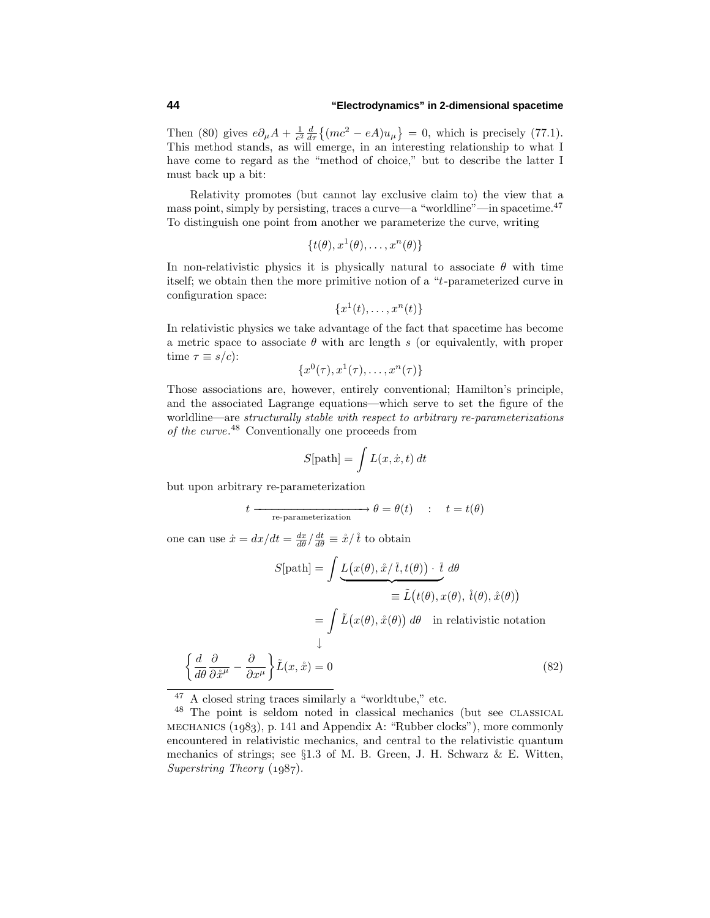Then (80) gives  $e\partial_\mu A + \frac{1}{c^2} \frac{d}{d\tau} \{(mc^2 - eA)u_\mu\} = 0$ , which is precisely (77.1). This method stands, as will emerge, in an interesting relationship to what I have come to regard as the "method of choice," but to describe the latter I must back up a bit:

Relativity promotes (but cannot lay exclusive claim to) the view that a mass point, simply by persisting, traces a curve—a "worldline"—in spacetime.<sup>47</sup> To distinguish one point from another we parameterize the curve, writing

$$
\{t(\theta), x^1(\theta), \ldots, x^n(\theta)\}
$$

In non-relativistic physics it is physically natural to associate  $\theta$  with time itself; we obtain then the more primitive notion of a "*t*-parameterized curve in configuration space:

$$
\{x^1(t),\ldots,x^n(t)\}
$$

In relativistic physics we take advantage of the fact that spacetime has become a metric space to associate  $\theta$  with arc length *s* (or equivalently, with proper time  $\tau \equiv s/c$ :

$$
\{x^0(\tau), x^1(\tau), \ldots, x^n(\tau)\}\
$$

Those associations are, however, entirely conventional; Hamilton's principle, and the associated Lagrange equations—which serve to set the figure of the worldline—are structurally stable with respect to arbitrary re-parameterizations of the curve. <sup>48</sup> Conventionally one proceeds from

$$
S[\text{path}] = \int L(x, \dot{x}, t) dt
$$

but upon arbitrary re-parameterization

$$
t \xrightarrow{\phantom{t}\text{re-parameterization}} \theta = \theta(t) \quad : \quad t = t(\theta)
$$

one can use  $\dot{x} = dx/dt = \frac{dx}{d\theta} / \frac{dt}{d\theta} \equiv \dot{x} / \dot{t}$  to obtain

$$
S[\text{path}] = \int \underbrace{L(x(\theta), \dot{x}/\dot{t}, t(\theta)) \cdot \dot{t}}_{\equiv \tilde{L}(t(\theta), x(\theta), \dot{t}(\theta), \dot{x}(\theta))} d\theta
$$
\n
$$
= \int \tilde{L}(x(\theta), \dot{x}(\theta)) d\theta \quad \text{in relativistic notation}
$$
\n
$$
\left\{ \frac{d}{d\theta} \frac{\partial}{\partial \dot{x}^{\mu}} - \frac{\partial}{\partial x^{\mu}} \right\} \tilde{L}(x, \dot{x}) = 0
$$
\n(82)

<sup>47</sup> A closed string traces similarly a "worldtube," etc.

<sup>48</sup> The point is seldom noted in classical mechanics (but see classical MECHANICS (1983), p. 141 and Appendix A: "Rubber clocks"), more commonly encountered in relativistic mechanics, and central to the relativistic quantum mechanics of strings; see §1.3 of M. B. Green, J. H. Schwarz & E. Witten, Superstring Theory  $(1987)$ .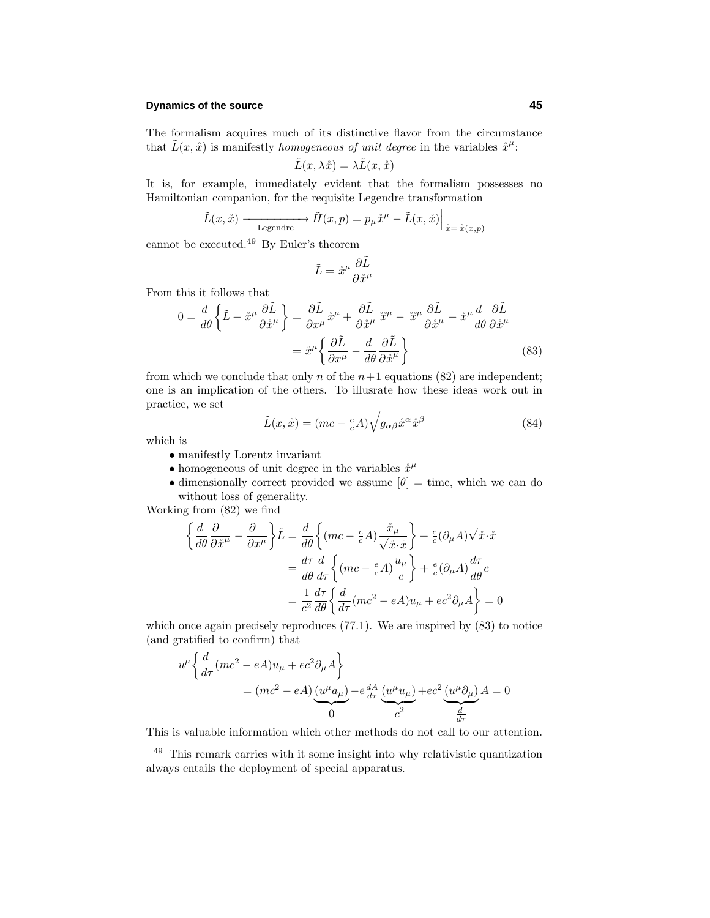## **Dynamics of the source 45**

The formalism acquires much of its distinctive flavor from the circumstance that  $\bar{L}(x, \hat{x})$  is manifestly *homogeneous of unit degree* in the variables  $\hat{x}^{\mu}$ :

$$
\tilde{L}(x,\lambda \r x) = \lambda \tilde{L}(x,\r x)
$$

It is, for example, immediately evident that the formalism possesses no Hamiltonian companion, for the requisite Legendre transformation

$$
\tilde{L}(x, \mathring{x}) \longrightarrow \text{Legendre} \widetilde{H}(x, p) = p_{\mu} \mathring{x}^{\mu} - \tilde{L}(x, \mathring{x}) \Big|_{\mathring{x} = \mathring{x}(x, p)}
$$

cannot be executed.<sup>49</sup> By Euler's theorem

$$
\tilde{L} = \mathring{x}^{\mu} \frac{\partial \tilde{L}}{\partial \mathring{x}^{\mu}}
$$

From this it follows that

$$
0 = \frac{d}{d\theta} \left\{ \tilde{L} - \mathring{x}^{\mu} \frac{\partial \tilde{L}}{\partial \mathring{x}^{\mu}} \right\} = \frac{\partial \tilde{L}}{\partial x^{\mu}} \mathring{x}^{\mu} + \frac{\partial \tilde{L}}{\partial \mathring{x}^{\mu}} \mathring{x}^{\mu} - \mathring{x}^{\mu} \frac{\partial \tilde{L}}{\partial \mathring{x}^{\mu}} - \mathring{x}^{\mu} \frac{d}{d\theta} \frac{\partial \tilde{L}}{\partial \mathring{x}^{\mu}} = \mathring{x}^{\mu} \left\{ \frac{\partial \tilde{L}}{\partial x^{\mu}} - \frac{d}{d\theta} \frac{\partial \tilde{L}}{\partial \mathring{x}^{\mu}} \right\}
$$
(83)

from which we conclude that only *n* of the  $n+1$  equations (82) are independent; one is an implication of the others. To illusrate how these ideas work out in practice, we set

$$
\tilde{L}(x,\mathring{x}) = (mc - \frac{e}{c}A)\sqrt{g_{\alpha\beta}\mathring{x}^{\alpha}\mathring{x}^{\beta}}
$$
\n(84)

which is

- manifestly Lorentz invariant
- homogeneous of unit degree in the variables  $\mathring{x}^{\mu}$
- dimensionally correct provided we assume  $|\theta| =$  time, which we can do without loss of generality.

Working from  $(82)$  we find

$$
\begin{split}\n\left\{\frac{d}{d\theta}\frac{\partial}{\partial\mathring{x}^{\mu}} - \frac{\partial}{\partial x^{\mu}}\right\}\tilde{L} &= \frac{d}{d\theta}\left\{(mc - \frac{\epsilon}{c}A)\frac{\mathring{x}_{\mu}}{\sqrt{\mathring{x}\cdot\mathring{x}}}\right\} + \frac{\epsilon}{c}(\partial_{\mu}A)\sqrt{\mathring{x}\cdot\mathring{x}} \\
&= \frac{d\tau}{d\theta}\frac{d}{d\tau}\left\{(mc - \frac{\epsilon}{c}A)\frac{u_{\mu}}{c}\right\} + \frac{\epsilon}{c}(\partial_{\mu}A)\frac{d\tau}{d\theta}c \\
&= \frac{1}{c^{2}}\frac{d\tau}{d\theta}\left\{\frac{d}{d\tau}(mc^{2} - eA)u_{\mu} + ec^{2}\partial_{\mu}A\right\} = 0\n\end{split}
$$

which once again precisely reproduces  $(77.1)$ . We are inspired by  $(83)$  to notice (and gratified to confirm) that

$$
u^{\mu} \left\{ \frac{d}{d\tau} (mc^2 - eA)u_{\mu} + ec^2 \partial_{\mu}A \right\}
$$
  
= 
$$
(mc^2 - eA) \underbrace{(u^{\mu}a_{\mu})}_{0} - e\frac{dA}{d\tau} \underbrace{(u^{\mu}u_{\mu})}_{c^2} + ec^2 \underbrace{(u^{\mu}\partial_{\mu})}_{\frac{d}{d\tau}} A = 0
$$

This is valuable information which other methods do not call to our attention.

<sup>49</sup> This remark carries with it some insight into why relativistic quantization always entails the deployment of special apparatus.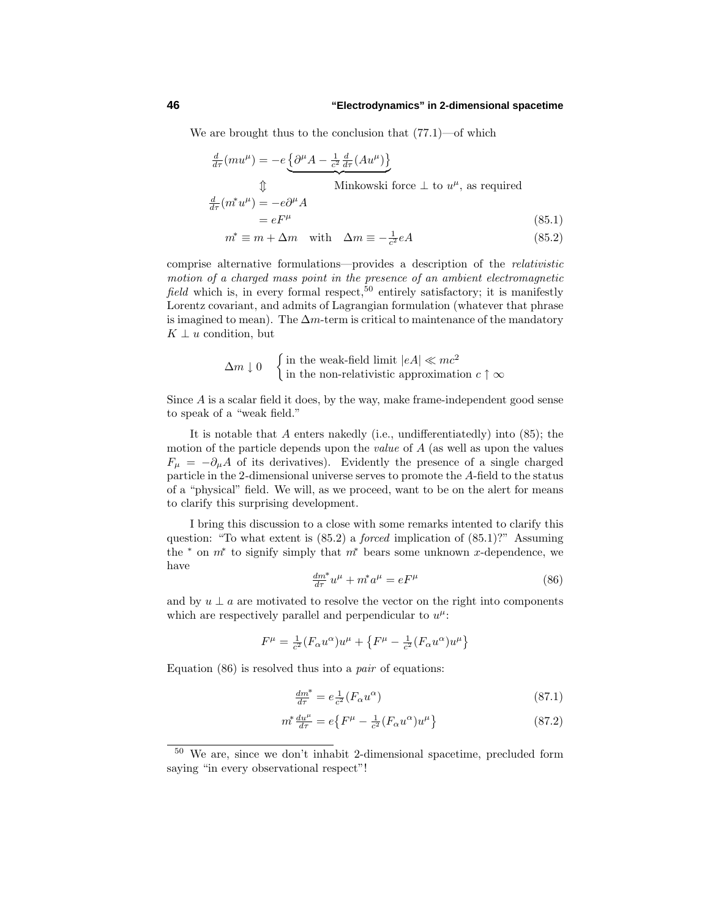We are brought thus to the conclusion that  $(77.1)$ —of which

$$
\frac{d}{d\tau}(mu^{\mu}) = -e \underbrace{\{\partial^{\mu} A - \frac{1}{c^2} \frac{d}{d\tau}(Au^{\mu})\}}_{\text{Minkowski force}} \text{ for } c \perp \text{ to } u^{\mu}, \text{ as required}
$$
\n
$$
\frac{d}{d\tau}(m^*u^{\mu}) = -e\partial^{\mu} A
$$
\n
$$
= eF^{\mu}
$$
\n(85.1)

$$
m^* \equiv m + \Delta m \quad \text{with} \quad \Delta m \equiv -\frac{1}{c^2} eA \tag{85.2}
$$

comprise alternative formulations—provides a description of the relativistic motion of a charged mass point in the presence of an ambient electromagnetic field which is, in every formal respect,<sup>50</sup> entirely satisfactory; it is manifestly Lorentz covariant, and admits of Lagrangian formulation (whatever that phrase is imagined to mean). The ∆*m*-term is critical to maintenance of the mandatory  $K \perp u$  condition, but

$$
\Delta m \downarrow 0 \quad \begin{cases} \text{in the weak-field limit } |eA| \ll mc^2\\ \text{in the non-relativistic approximation } c \uparrow \infty \end{cases}
$$

Since *A* is a scalar field it does, by the way, make frame-independent good sense to speak of a "weak field."

It is notable that  $A$  enters nakedly (i.e., undifferentiatedly) into  $(85)$ ; the motion of the particle depends upon the value of *A* (as well as upon the values  $F_{\mu} = -\partial_{\mu}A$  of its derivatives). Evidently the presence of a single charged particle in the 2-dimensional universe serves to promote the *A*-field to the status of a "physical" field. We will, as we proceed, want to be on the alert for means to clarify this surprising development.

I bring this discussion to a close with some remarks intented to clarify this question: "To what extent is  $(85.2)$  a *forced* implication of  $(85.1)$ ?" Assuming the <sup>∗</sup> on *m*<sup>∗</sup> to signify simply that *m*<sup>∗</sup> bears some unknown *x*-dependence, we have

$$
\frac{dm^*}{d\tau}u^{\mu} + m^*a^{\mu} = eF^{\mu} \tag{86}
$$

and by  $u \perp a$  are motivated to resolve the vector on the right into components which are respectively parallel and perpendicular to  $u^{\mu}$ :

$$
F^{\mu} = \frac{1}{c^2} (F_{\alpha} u^{\alpha}) u^{\mu} + \left\{ F^{\mu} - \frac{1}{c^2} (F_{\alpha} u^{\alpha}) u^{\mu} \right\}
$$

Equation  $(86)$  is resolved thus into a *pair* of equations:

$$
\frac{dm^*}{d\tau} = e \frac{1}{c^2} (F_\alpha u^\alpha) \tag{87.1}
$$

$$
m^* \frac{du^{\mu}}{d\tau} = e \{ F^{\mu} - \frac{1}{c^2} (F_{\alpha} u^{\alpha}) u^{\mu} \}
$$
 (87.2)

<sup>50</sup> We are, since we don't inhabit 2-dimensional spacetime, precluded form saying "in every observational respect"!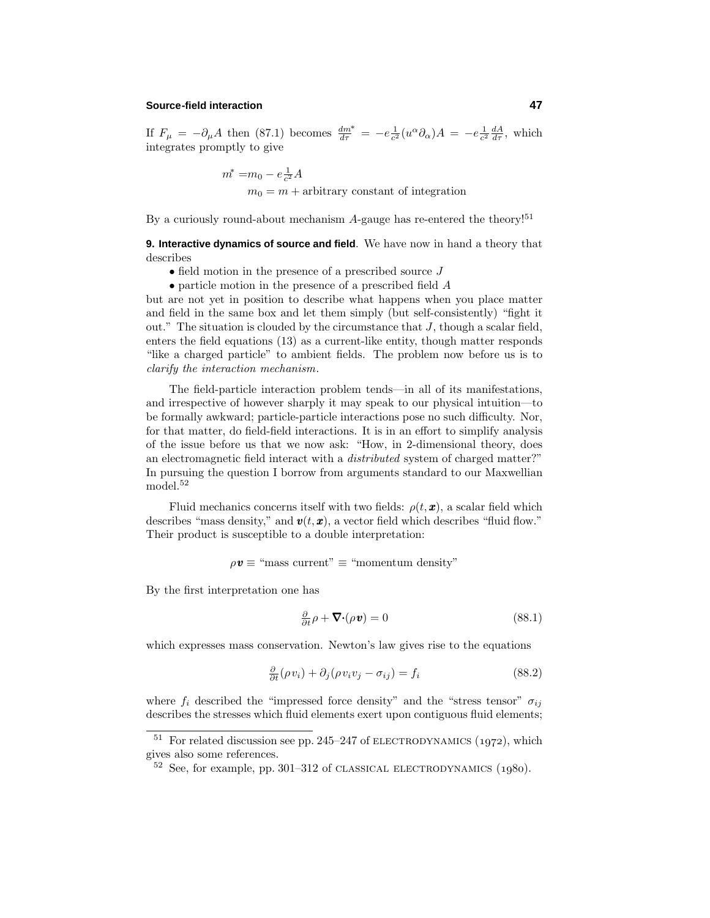### **Source-field interaction 47**

If  $F_{\mu} = -\partial_{\mu}A$  then (87.1) becomes  $\frac{dm^*}{d\tau} = -e\frac{1}{c^2}(u^{\alpha}\partial_{\alpha})A = -e\frac{1}{c^2}\frac{dA}{d\tau}$ , which integrates promptly to give

> $m^* = m_0 - e \frac{1}{c^2} A$  $m_0 = m +$  arbitrary constant of integration

By a curiously round-about mechanism *A*-gauge has re-entered the theory!<sup>51</sup>

**9. Interactive dynamics of source and field**. We have now in hand a theory that describes

- field motion in the presence of a prescribed source *J*
- particle motion in the presence of a prescribed field *A*

but are not yet in position to describe what happens when you place matter and field in the same box and let them simply (but self-consistently) "fight it out." The situation is clouded by the circumstance that *J*, though a scalar field, enters the field equations  $(13)$  as a current-like entity, though matter responds "like a charged particle" to ambient fields. The problem now before us is to clarify the interaction mechanism.

The field-particle interaction problem tends—in all of its manifestations, and irrespective of however sharply it may speak to our physical intuition—to be formally awkward; particle-particle interactions pose no such difficulty. Nor, for that matter, do field-field interactions. It is in an effort to simplify analysis of the issue before us that we now ask: "How, in 2-dimensional theory, does an electromagnetic field interact with a distributed system of charged matter?" In pursuing the question I borrow from arguments standard to our Maxwellian model.<sup>52</sup>

Fluid mechanics concerns itself with two fields:  $\rho(t, \mathbf{x})$ , a scalar field which describes "mass density," and  $v(t, x)$ , a vector field which describes "fluid flow." Their product is susceptible to a double interpretation:

 $\rho$ *v*  $\equiv$  "mass current"  $\equiv$  "momentum density"

By the first interpretation one has

$$
\frac{\partial}{\partial t}\rho + \nabla \cdot (\rho \mathbf{v}) = 0 \tag{88.1}
$$

which expresses mass conservation. Newton's law gives rise to the equations

$$
\frac{\partial}{\partial t}(\rho v_i) + \partial_j(\rho v_i v_j - \sigma_{ij}) = f_i \tag{88.2}
$$

where  $f_i$  described the "impressed force density" and the "stress tensor"  $\sigma_{ij}$ describes the stresses which fluid elements exert upon contiguous fluid elements;

 $51$  For related discussion see pp. 245–247 of ELECTRODYNAMICS (1972), which gives also some references.

 $52$  See, for example, pp. 301–312 of CLASSICAL ELECTRODYNAMICS  $(1980)$ .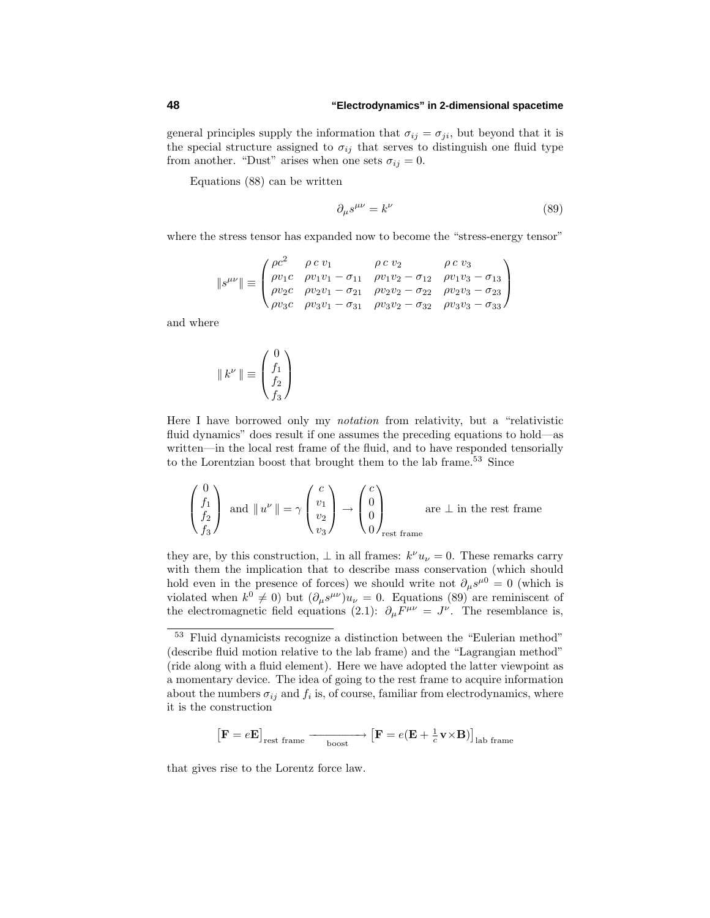general principles supply the information that  $\sigma_{ij} = \sigma_{ji}$ , but beyond that it is the special structure assigned to  $\sigma_{ij}$  that serves to distinguish one fluid type from another. "Dust" arises when one sets  $\sigma_{ij} = 0$ .

Equations  $(88)$  can be written

$$
\partial_{\mu}s^{\mu\nu} = k^{\nu} \tag{89}
$$

where the stress tensor has expanded now to become the "stress-energy tensor"

$$
||s^{\mu\nu}|| \equiv \begin{pmatrix} \rho c^2 & \rho c v_1 & \rho c v_2 & \rho c v_3 \\ \rho v_1 c & \rho v_1 v_1 - \sigma_{11} & \rho v_1 v_2 - \sigma_{12} & \rho v_1 v_3 - \sigma_{13} \\ \rho v_2 c & \rho v_2 v_1 - \sigma_{21} & \rho v_2 v_2 - \sigma_{22} & \rho v_2 v_3 - \sigma_{23} \\ \rho v_3 c & \rho v_3 v_1 - \sigma_{31} & \rho v_3 v_2 - \sigma_{32} & \rho v_3 v_3 - \sigma_{33} \end{pmatrix}
$$

and where

$$
\parallel k^\nu \parallel \equiv \begin{pmatrix} 0 \\ f_1 \\ f_2 \\ f_3 \end{pmatrix}
$$

Here I have borrowed only my notation from relativity, but a "relativistic fluid dynamics" does result if one assumes the preceding equations to hold—as written—in the local rest frame of the fluid, and to have responded tensorially to the Lorentzian boost that brought them to the lab frame.<sup>53</sup> Since

$$
\begin{pmatrix} 0 \\ f_1 \\ f_2 \\ f_3 \end{pmatrix}
$$
 and  $||u^{\nu}|| = \gamma \begin{pmatrix} c \\ v_1 \\ v_2 \\ v_3 \end{pmatrix} \rightarrow \begin{pmatrix} c \\ 0 \\ 0 \\ 0 \end{pmatrix}$  are  $\perp$  in the rest frame

they are, by this construction,  $\perp$  in all frames:  $k^{\nu}u_{\nu} = 0$ . These remarks carry with them the implication that to describe mass conservation (which should hold even in the presence of forces) we should write not  $\partial_\mu s^{\mu 0} = 0$  (which is violated when  $k^0 \neq 0$ ) but  $(\partial_\mu s^{\mu\nu})u_\nu = 0$ . Equations (89) are reminiscent of the electromagnetic field equations (2.1):  $\partial_{\mu}F^{\mu\nu} = J^{\nu}$ . The resemblance is,

$$
\left[\mathbf{F} = e\mathbf{E}\right]_{\text{rest frame}} \xrightarrow{\text{boost}} \left[\mathbf{F} = e(\mathbf{E} + \frac{1}{c}\mathbf{v} \times \mathbf{B})\right]_{\text{lab frame}}
$$

that gives rise to the Lorentz force law.

<sup>53</sup> Fluid dynamicists recognize a distinction between the "Eulerian method" (describe fluid motion relative to the lab frame) and the "Lagrangian method" (ride along with a fluid element). Here we have adopted the latter viewpoint as a momentary device. The idea of going to the rest frame to acquire information about the numbers  $\sigma_{ij}$  and  $f_i$  is, of course, familiar from electrodynamics, where it is the construction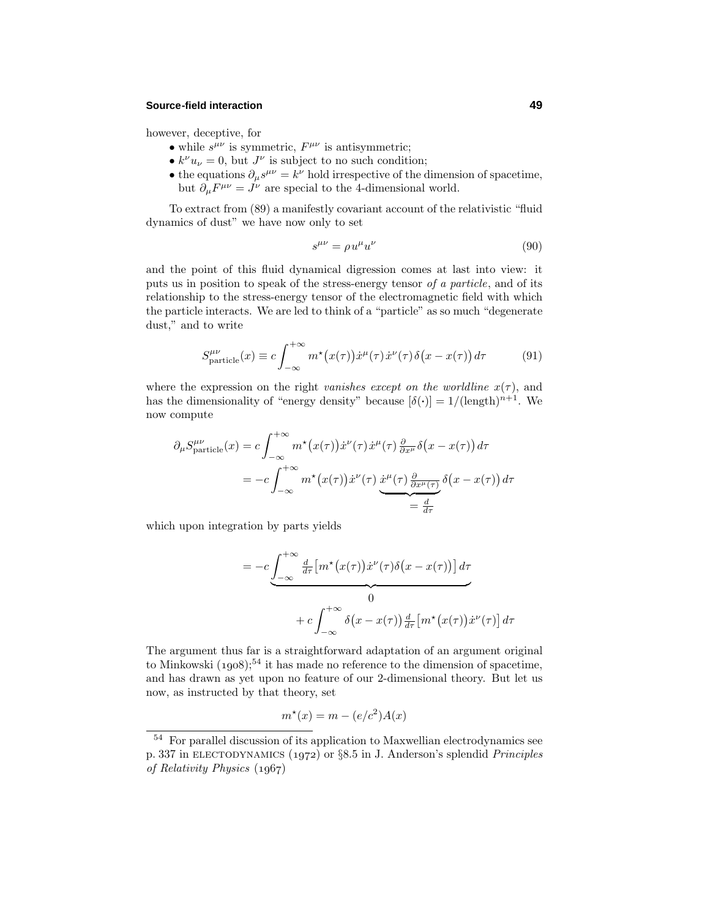### **Source-field interaction 49**

however, deceptive, for

- while  $s^{\mu\nu}$  is symmetric,  $F^{\mu\nu}$  is antisymmetric;
- $k^{\nu}u_{\nu} = 0$ , but  $J^{\nu}$  is subject to no such condition;
- the equations  $\partial_\mu s^{\mu\nu} = k^{\nu}$  hold irrespective of the dimension of spacetime, but  $\partial_{\mu}F^{\mu\nu} = J^{\nu}$  are special to the 4-dimensional world.

To extract from (89) a manifestly covariant account of the relativistic "fluid dynamics of dust" we have now only to set

$$
s^{\mu\nu} = \rho u^{\mu} u^{\nu} \tag{90}
$$

and the point of this fluid dynamical digression comes at last into view: it puts us in position to speak of the stress-energy tensor of a particle, and of its relationship to the stress-energy tensor of the electromagnetic field with which the particle interacts. We are led to think of a "particle" as so much "degenerate dust," and to write

$$
S_{\text{particle}}^{\mu\nu}(x) \equiv c \int_{-\infty}^{+\infty} m^{\star}(x(\tau)) \dot{x}^{\mu}(\tau) \dot{x}^{\nu}(\tau) \delta(x - x(\tau)) d\tau \tag{91}
$$

where the expression on the right vanishes except on the worldline  $x(\tau)$ , and has the dimensionality of "energy density" because  $[\delta(\cdot)] = 1/(\text{length})^{n+1}$ . We now compute

$$
\partial_{\mu}S_{\text{particle}}^{\mu\nu}(x) = c \int_{-\infty}^{+\infty} m^{\star}(x(\tau)) \dot{x}^{\nu}(\tau) \dot{x}^{\mu}(\tau) \frac{\partial}{\partial x^{\mu}} \delta(x - x(\tau)) d\tau
$$

$$
= -c \int_{-\infty}^{+\infty} m^{\star}(x(\tau)) \dot{x}^{\nu}(\tau) \underbrace{\dot{x}^{\mu}(\tau) \frac{\partial}{\partial x^{\mu}(\tau)}}_{= \frac{d}{d\tau}} \delta(x - x(\tau)) d\tau
$$

which upon integration by parts yields

$$
= -c \underbrace{\int_{-\infty}^{+\infty} \frac{d}{d\tau} \left[ m^{\star} (x(\tau)) \dot{x}^{\nu}(\tau) \delta(x - x(\tau)) \right] d\tau}_{0} + c \underbrace{\int_{-\infty}^{+\infty} \delta(x - x(\tau)) \frac{d}{d\tau} \left[ m^{\star} (x(\tau)) \dot{x}^{\nu}(\tau) \right] d\tau}_{0}
$$

The argument thus far is a straightforward adaptation of an argument original to Minkowski  $(1908);$ <sup>54</sup> it has made no reference to the dimension of spacetime, and has drawn as yet upon no feature of our 2-dimensional theory. But let us now, as instructed by that theory, set

$$
m^*(x) = m - (e/c^2)A(x)
$$

<sup>54</sup> For parallel discussion of its application to Maxwellian electrodynamics see p. 337 in ELECTODYNAMICS (1972) or  $\S 8.5$  in J. Anderson's splendid *Principles* of Relativity Physics  $(1967)$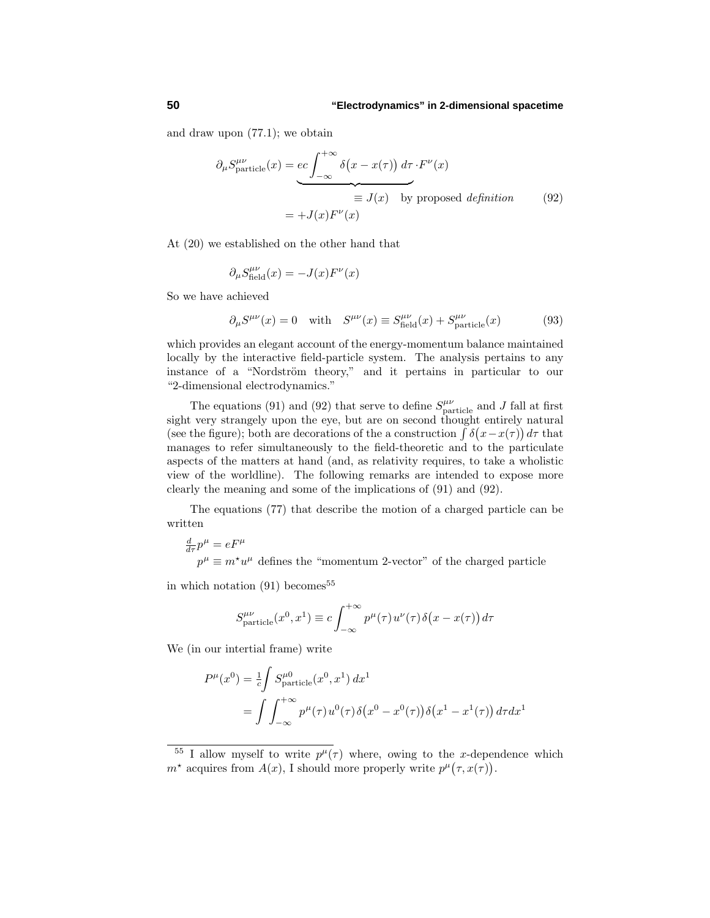and draw upon (77.1); we obtain

$$
\partial_{\mu} S_{\text{particle}}^{\mu\nu}(x) = \underbrace{ec \int_{-\infty}^{+\infty} \delta(x - x(\tau)) d\tau \cdot F^{\nu}(x)}_{\equiv J(x) \text{ by proposed definition}} \tag{92}
$$
\n
$$
= +J(x)F^{\nu}(x)
$$

At  $(20)$  we established on the other hand that

$$
\partial_\mu S^{\mu\nu}_{\rm field}(x)=-J(x)F^\nu(x)
$$

So we have achieved

$$
\partial_{\mu}S^{\mu\nu}(x) = 0 \quad \text{with} \quad S^{\mu\nu}(x) \equiv S^{\mu\nu}_{\text{field}}(x) + S^{\mu\nu}_{\text{particle}}(x) \tag{93}
$$

which provides an elegant account of the energy-momentum balance maintained locally by the interactive field-particle system. The analysis pertains to any instance of a "Nordström theory," and it pertains in particular to our "2-dimensional electrodynamics."

The equations (91) and (92) that serve to define  $S^{\mu\nu}_{\text{particle}}$  and *J* fall at first sight very strangely upon the eye, but are on second thought entirely natural (see the figure); both are decorations of the a construction  $\int \delta(x-x(\tau)) d\tau$  that manages to refer simultaneously to the field-theoretic and to the particulate aspects of the matters at hand (and, as relativity requires, to take a wholistic view of the worldline). The following remarks are intended to expose more clearly the meaning and some of the implications of  $(91)$  and  $(92)$ .

The equations  $(77)$  that describe the motion of a charged particle can be written

$$
\frac{d}{d\tau}p^{\mu} = eF^{\mu}
$$

 $p^{\mu} \equiv m^{\star} u^{\mu}$  defines the "momentum 2-vector" of the charged particle

in which notation (91) becomes  $55$ 

$$
S_{\text{particle}}^{\mu\nu}(x^0, x^1) \equiv c \int_{-\infty}^{+\infty} p^{\mu}(\tau) u^{\nu}(\tau) \delta(x - x(\tau)) d\tau
$$

We (in our intertial frame) write

$$
P^{\mu}(x^{0}) = \frac{1}{c} \int S_{\text{particle}}^{\mu 0}(x^{0}, x^{1}) dx^{1}
$$
  
= 
$$
\int \int_{-\infty}^{+\infty} p^{\mu}(\tau) u^{0}(\tau) \delta(x^{0} - x^{0}(\tau)) \delta(x^{1} - x^{1}(\tau)) d\tau dx^{1}
$$

<sup>&</sup>lt;sup>55</sup> I allow myself to write  $p^{\mu}(\tau)$  where, owing to the *x*-dependence which  $m^*$  acquires from  $A(x)$ , I should more properly write  $p^{\mu}(\tau, x(\tau))$ .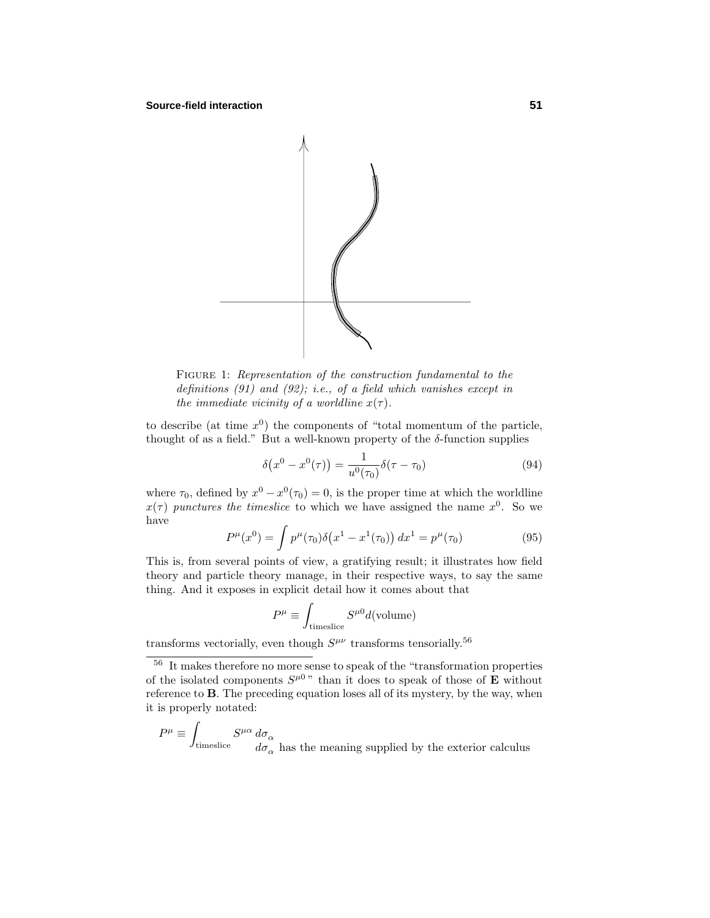

FIGURE 1: Representation of the construction fundamental to the definitions (91) and (92); i.e., of a field which vanishes except in the immediate vicinity of a worldline  $x(\tau)$ .

to describe (at time  $x^0$ ) the components of "total momentum of the particle, thought of as a field." But a well-known property of the  $\delta$ -function supplies

$$
\delta(x^{0} - x^{0}(\tau)) = \frac{1}{u^{0}(\tau_{0})} \delta(\tau - \tau_{0})
$$
\n(94)

where  $\tau_0$ , defined by  $x^0 - x^0(\tau_0) = 0$ , is the proper time at which the worldline  $x(\tau)$  punctures the timeslice to which we have assigned the name  $x^0$ . So we have

$$
P^{\mu}(x^0) = \int p^{\mu}(\tau_0) \delta(x^1 - x^1(\tau_0)) dx^1 = p^{\mu}(\tau_0)
$$
 (95)

This is, from several points of view, a gratifying result; it illustrates how field theory and particle theory manage, in their respective ways, to say the same thing. And it exposes in explicit detail how it comes about that

$$
P^{\mu} \equiv \int_{\text{timeslice}} S^{\mu 0} d(\text{volume})
$$

transforms vectorially, even though  $S^{\mu\nu}$  transforms tensorially.<sup>56</sup>

$$
P^{\mu} \equiv \int_{\text{timeslice}} S^{\mu\alpha} d\sigma_{\alpha}
$$
 has the meaning supplied by the exterior calculus

<sup>56</sup> It makes therefore no more sense to speak of the "transformation properties of the isolated components  $S^{\mu 0}$  " than it does to speak of those of **E** without reference to **B**. The preceding equation loses all of its mystery, by the way, when it is properly notated: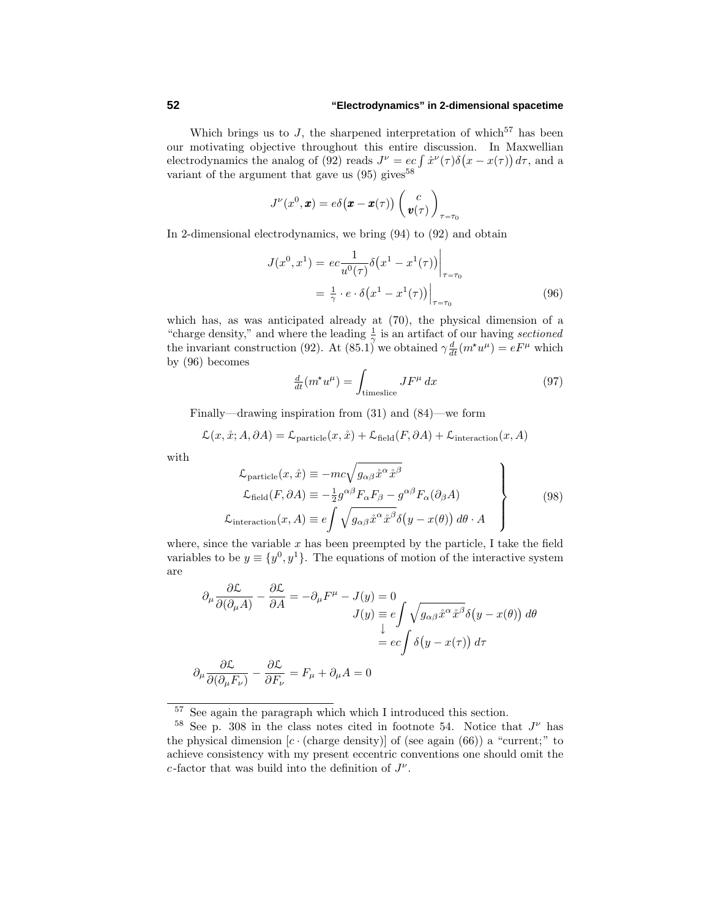Which brings us to  $J$ , the sharpened interpretation of which<sup>57</sup> has been our motivating objective throughout this entire discussion. In Maxwellian electrodynamics the analog of (92) reads  $J^{\nu} = ec \int \dot{x}^{\nu}(\tau) \delta(x - x(\tau)) d\tau$ , and a variant of the argument that gave us  $(95)$  gives<sup>58</sup>

$$
J^{\nu}(x^0,\pmb{x})=e\delta(\pmb{x}-\pmb{x}(\tau))\left(\begin{array}{c}c\\ \pmb{v}(\tau)\end{array}\right)_{\tau=\tau_0}
$$

In 2-dimensional electrodynamics, we bring  $(94)$  to  $(92)$  and obtain

$$
J(x^{0}, x^{1}) = ec \frac{1}{u^{0}(\tau)} \delta(x^{1} - x^{1}(\tau)) \Big|_{\tau = \tau_{0}}
$$
  
=  $\frac{1}{\gamma} \cdot e \cdot \delta(x^{1} - x^{1}(\tau)) \Big|_{\tau = \tau_{0}}$  (96)

which has, as was anticipated already at (70), the physical dimension of a "charge density," and where the leading  $\frac{1}{\gamma}$  is an artifact of our having *sectioned* the invariant construction (92). At  $(85.1)^{'}$  we obtained  $\gamma \frac{d}{dt}(m^{*}u^{\mu}) = eF^{\mu}$  which by  $(96)$  becomes

$$
\frac{d}{dt}(m^{\star}u^{\mu}) = \int_{\text{timeslice}} JF^{\mu} dx \tag{97}
$$

Finally—drawing inspiration from  $(31)$  and  $(84)$ —we form

$$
\mathcal{L}(x, \mathring{x}; A, \partial A) = \mathcal{L}_{\text{particle}}(x, \mathring{x}) + \mathcal{L}_{\text{field}}(F, \partial A) + \mathcal{L}_{\text{interaction}}(x, A)
$$

with

$$
\mathcal{L}_{\text{particle}}(x, \mathring{x}) \equiv -mc\sqrt{g_{\alpha\beta}\mathring{x}^{\alpha}\mathring{x}^{\beta}}
$$
\n
$$
\mathcal{L}_{\text{field}}(F, \partial A) \equiv -\frac{1}{2}g^{\alpha\beta}F_{\alpha}F_{\beta} - g^{\alpha\beta}F_{\alpha}(\partial_{\beta}A)
$$
\n
$$
\mathcal{L}_{\text{interaction}}(x, A) \equiv e \int \sqrt{g_{\alpha\beta}\mathring{x}^{\alpha}\mathring{x}^{\beta}} \delta(y - x(\theta)) \, d\theta \cdot A
$$
\n(98)

where, since the variable  $x$  has been preempted by the particle, I take the field variables to be  $y \equiv \{y^0, y^1\}$ . The equations of motion of the interactive system are

$$
\partial_{\mu} \frac{\partial \mathcal{L}}{\partial(\partial_{\mu} A)} - \frac{\partial \mathcal{L}}{\partial A} = -\partial_{\mu} F^{\mu} - J(y) = 0
$$
  

$$
J(y) = e \int \sqrt{g_{\alpha\beta} \mathring{x}^{\alpha} \mathring{x}^{\beta}} \delta(y - x(\theta)) d\theta
$$
  

$$
= ec \int \delta(y - x(\tau)) d\tau
$$
  

$$
\partial_{\mu} \frac{\partial \mathcal{L}}{\partial(\partial_{\mu} F_{\nu})} - \frac{\partial \mathcal{L}}{\partial F_{\nu}} = F_{\mu} + \partial_{\mu} A = 0
$$

<sup>57</sup> See again the paragraph which which I introduced this section.

<sup>&</sup>lt;sup>58</sup> See p. 308 in the class notes cited in footnote 54. Notice that  $J^{\nu}$  has the physical dimension  $[c \cdot (charge density)]$  of (see again (66)) a "current;" to achieve consistency with my present eccentric conventions one should omit the *c*-factor that was build into the definition of *J<sup>ν</sup>*.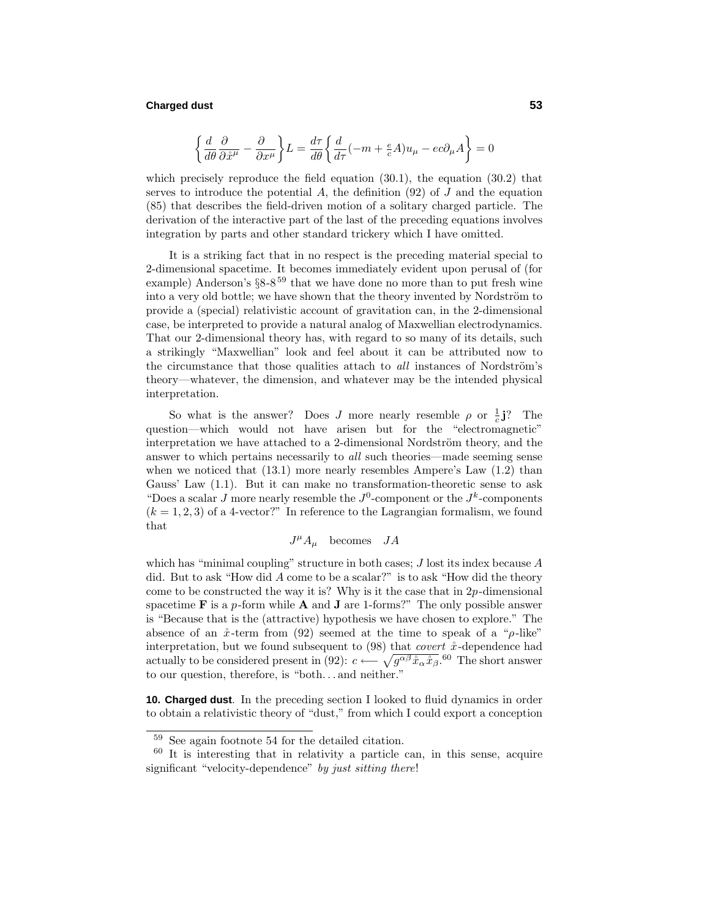#### **Charged dust 53**

$$
\bigg\{ \frac{d}{d\theta} \frac{\partial}{\partial \mathring{x}^{\mu}} - \frac{\partial}{\partial x^{\mu}} \bigg\} L = \frac{d\tau}{d\theta} \bigg\{ \frac{d}{d\tau} (-m + \tfrac{e}{c} A) u_{\mu} - e c \partial_{\mu} A \bigg\} = 0
$$

which precisely reproduce the field equation  $(30.1)$ , the equation  $(30.2)$  that serves to introduce the potential  $\tilde{A}$ , the definition (92) of  $J$  and the equation  $(85)$  that describes the field-driven motion of a solitary charged particle. The derivation of the interactive part of the last of the preceding equations involves integration by parts and other standard trickery which I have omitted.

It is a striking fact that in no respect is the preceding material special to 2-dimensional spacetime. It becomes immediately evident upon perusal of (for example) Anderson's  $\S 8-8^{59}$  that we have done no more than to put fresh wine into a very old bottle; we have shown that the theory invented by Nordström to provide a (special) relativistic account of gravitation can, in the 2-dimensional case, be interpreted to provide a natural analog of Maxwellian electrodynamics. That our 2-dimensional theory has, with regard to so many of its details, such a strikingly "Maxwellian" look and feel about it can be attributed now to the circumstance that those qualities attach to *all* instances of Nordström's theory—whatever, the dimension, and whatever may be the intended physical interpretation.

So what is the answer? Does *J* more nearly resemble  $\rho$  or  $\frac{1}{c}$ **j**? The question—which would not have arisen but for the "electromagnetic" interpretation we have attached to a 2-dimensional Nordström theory, and the answer to which pertains necessarily to all such theories—made seeming sense when we noticed that  $(13.1)$  more nearly resembles Ampere's Law  $(1.2)$  than Gauss' Law (1.1). But it can make no transformation-theoretic sense to ask "Does a scalar *J* more nearly resemble the  $J^0$ -component or the  $J^k$ -components  $(k = 1, 2, 3)$  of a 4-vector?" In reference to the Lagrangian formalism, we found that

# $J^{\mu}A_{\mu}$  becomes  $JA$

which has "minimal coupling" structure in both cases; *J* lost its index because *A* did. But to ask "How did *A* come to be a scalar?" is to ask "How did the theory come to be constructed the way it is? Why is it the case that in 2*p*-dimensional spacetime **F** is a *p*-form while **A** and **J** are 1-forms?" The only possible answer is "Because that is the (attractive) hypothesis we have chosen to explore." The absence of an  $\mathring{x}$ -term from (92) seemed at the time to speak of a " $\rho$ -like" interpretation, but we found subsequent to  $(98)$  that *covert*  $\mathring{x}$ -dependence had actually to be considered present in (92):  $c \longleftarrow \sqrt{g^{\alpha\beta} \mathring{x}_{\alpha} \mathring{x}_{\beta}}$ .<sup>60</sup> The short answer to our question, therefore, is "both*...* and neither."

**10. Charged dust**. In the preceding section I looked to fluid dynamics in order to obtain a relativistic theory of "dust," from which I could export a conception

<sup>59</sup> See again footnote 54 for the detailed citation.

<sup>60</sup> It is interesting that in relativity a particle can, in this sense, acquire significant "velocity-dependence" by just sitting there!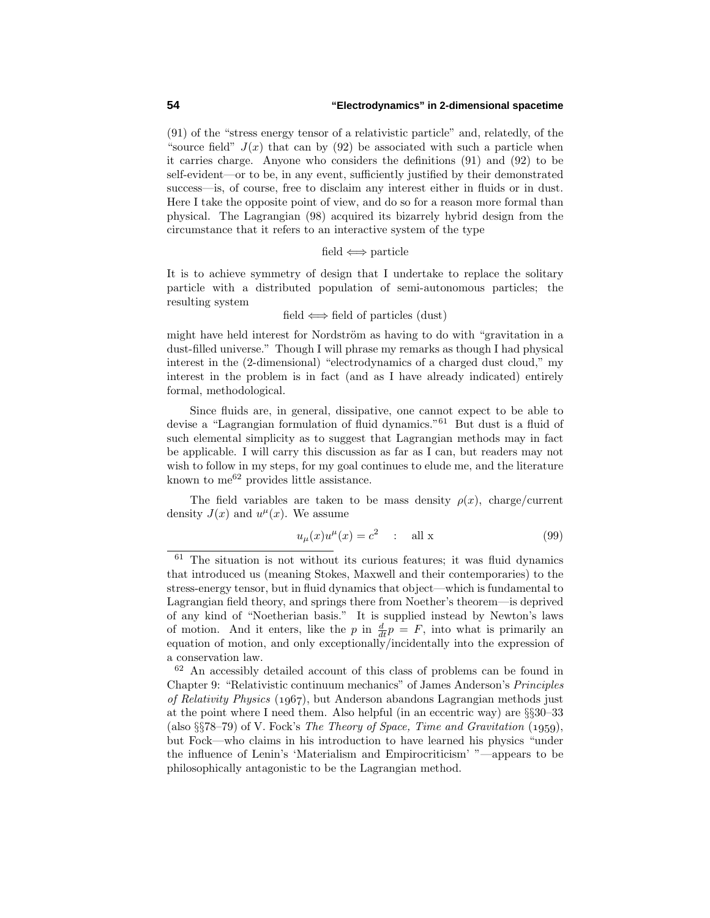$(91)$  of the "stress energy tensor of a relativistic particle" and, relatedly, of the "source field"  $J(x)$  that can by (92) be associated with such a particle when it carries charge. Anyone who considers the definitions  $(91)$  and  $(92)$  to be self-evident—or to be, in any event, sufficiently justified by their demonstrated success—is, of course, free to disclaim any interest either in fluids or in dust. Here I take the opposite point of view, and do so for a reason more formal than physical. The Lagrangian (98) acquired its bizarrely hybrid design from the circumstance that it refers to an interactive system of the type

$$
field \Longleftrightarrow particle
$$

It is to achieve symmetry of design that I undertake to replace the solitary particle with a distributed population of semi-autonomous particles; the resulting system

field  $\Longleftrightarrow$  field of particles (dust)

might have held interest for Nordström as having to do with "gravitation in a dust-filled universe." Though I will phrase my remarks as though I had physical interest in the (2-dimensional) "electrodynamics of a charged dust cloud," my interest in the problem is in fact (and as I have already indicated) entirely formal, methodological.

Since fluids are, in general, dissipative, one cannot expect to be able to devise a "Lagrangian formulation of fluid dynamics."<sup>61</sup> But dust is a fluid of such elemental simplicity as to suggest that Lagrangian methods may in fact be applicable. I will carry this discussion as far as I can, but readers may not wish to follow in my steps, for my goal continues to elude me, and the literature known to  $me^{62}$  provides little assistance.

The field variables are taken to be mass density  $\rho(x)$ , charge/current density  $J(x)$  and  $u^{\mu}(x)$ . We assume

$$
u_{\mu}(x)u^{\mu}(x) = c^2 \qquad \text{all x} \tag{99}
$$

 $61$  The situation is not without its curious features; it was fluid dynamics that introduced us (meaning Stokes, Maxwell and their contemporaries) to the stress-energy tensor, but in fluid dynamics that object—which is fundamental to Lagrangian field theory, and springs there from Noether's theorem—is deprived of any kind of "Noetherian basis." It is supplied instead by Newton's laws of motion. And it enters, like the *p* in  $\frac{d}{dt}p = F$ , into what is primarily an equation of motion, and only exceptionally/incidentally into the expression of a conservation law.

 $62$  An accessibly detailed account of this class of problems can be found in Chapter 9: "Relativistic continuum mechanics" of James Anderson's Principles of Relativity Physics  $(1967)$ , but Anderson abandons Lagrangian methods just at the point where I need them. Also helpful (in an eccentric way) are  $\S$ §30–33 (also  $\S$  $78-79$ ) of V. Fock's The Theory of Space, Time and Gravitation (1959), but Fock—who claims in his introduction to have learned his physics "under the influence of Lenin's 'Materialism and Empirocriticism' "—appears to be philosophically antagonistic to be the Lagrangian method.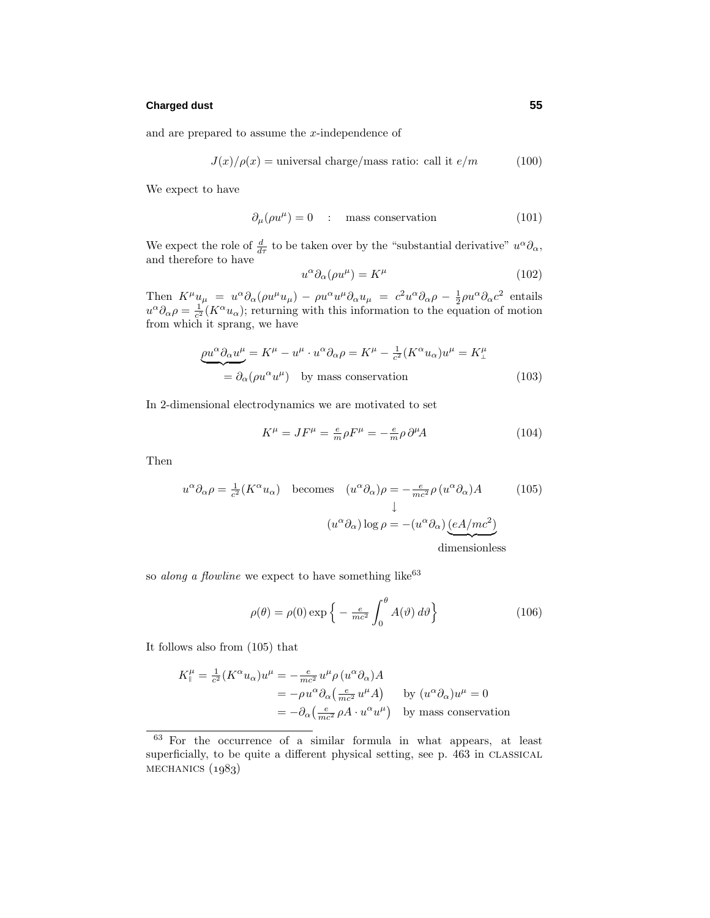# **Charged dust 55**

and are prepared to assume the *x*-independence of

$$
J(x)/\rho(x) = \text{universal charge/mass ratio: call it } e/m \tag{100}
$$

We expect to have

$$
\partial_{\mu}(\rho u^{\mu}) = 0 \quad : \quad \text{mass conservation} \tag{101}
$$

We expect the role of  $\frac{d}{d\tau}$  to be taken over by the "substantial derivative"  $u^{\alpha}\partial_{\alpha}$ , and therefore to have

$$
u^{\alpha} \partial_{\alpha} (\rho u^{\mu}) = K^{\mu} \tag{102}
$$

Then  $K^{\mu}u_{\mu} = u^{\alpha}\partial_{\alpha}(\rho u^{\mu}u_{\mu}) - \rho u^{\alpha}u^{\mu}\partial_{\alpha}u_{\mu} = c^2u^{\alpha}\partial_{\alpha}\rho - \frac{1}{2}\rho u^{\alpha}\partial_{\alpha}c^2$  entails  $u^{\alpha}\partial_{\alpha}\rho = \frac{1}{c^2}(K^{\alpha}u_{\alpha})$ ; returning with this information to the equation of motion from which it sprang, we have

$$
\underbrace{\rho u^{\alpha} \partial_{\alpha} u^{\mu}}_{\sigma} = K^{\mu} - u^{\mu} \cdot u^{\alpha} \partial_{\alpha} \rho = K^{\mu} - \frac{1}{c^2} (K^{\alpha} u_{\alpha}) u^{\mu} = K^{\mu}_{\perp}
$$
\n
$$
= \partial_{\alpha} (\rho u^{\alpha} u^{\mu}) \quad \text{by mass conservation} \tag{103}
$$

In 2-dimensional electrodynamics we are motivated to set

$$
K^{\mu} = JF^{\mu} = \frac{e}{m}\rho F^{\mu} = -\frac{e}{m}\rho \,\partial^{\mu}A \tag{104}
$$

Then

$$
u^{\alpha}\partial_{\alpha}\rho = \frac{1}{c^2}(K^{\alpha}u_{\alpha}) \quad \text{becomes} \quad (u^{\alpha}\partial_{\alpha})\rho = -\frac{e}{mc^2}\rho(u^{\alpha}\partial_{\alpha})A \qquad (105)
$$

$$
\downarrow
$$

$$
(u^{\alpha}\partial_{\alpha})\log\rho = -(u^{\alpha}\partial_{\alpha})\underbrace{(eA/mc^2)}\text{dimensionless}
$$

so along a flowline we expect to have something like $63$ 

$$
\rho(\theta) = \rho(0) \exp\left\{-\frac{e}{mc^2} \int_0^{\theta} A(\vartheta) d\vartheta\right\}
$$
\n(106)

It follows also from  $(105)$  that

$$
K_{\parallel}^{\mu} = \frac{1}{c^2} (K^{\alpha} u_{\alpha}) u^{\mu} = -\frac{e}{mc^2} u^{\mu} \rho (u^{\alpha} \partial_{\alpha}) A
$$
  
=  $-\rho u^{\alpha} \partial_{\alpha} (\frac{e}{mc^2} u^{\mu} A)$  by  $(u^{\alpha} \partial_{\alpha}) u^{\mu} = 0$   
=  $-\partial_{\alpha} (\frac{e}{mc^2} \rho A \cdot u^{\alpha} u^{\mu})$  by mass conservation

<sup>63</sup> For the occurrence of a similar formula in what appears, at least superficially, to be quite a different physical setting, see p. 463 in CLASSICAL  $MECHANICS (1983)$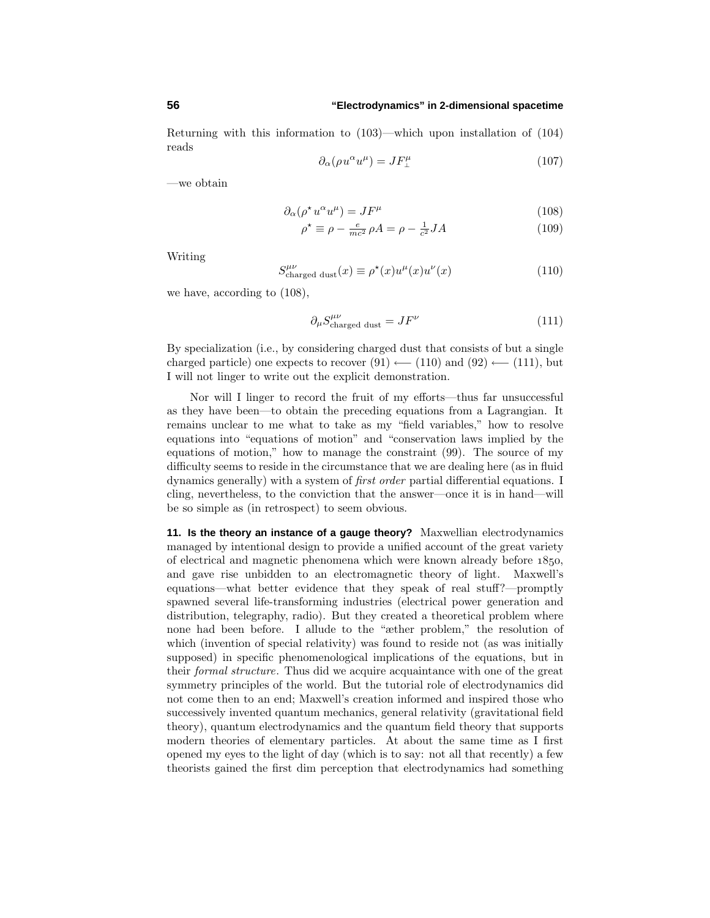Returning with this information to (103)—which upon installation of (104) reads

$$
\partial_{\alpha}(\rho u^{\alpha}u^{\mu}) = JF^{\mu}_{\perp} \tag{107}
$$

—we obtain

$$
\partial_{\alpha}(\rho^{\star}u^{\alpha}u^{\mu}) = JF^{\mu} \tag{108}
$$

$$
\rho^* \equiv \rho - \frac{e}{mc^2} \rho A = \rho - \frac{1}{c^2} JA \tag{109}
$$

Writing

$$
S_{\text{charged dust}}^{\mu\nu}(x) \equiv \rho^{\star}(x)u^{\mu}(x)u^{\nu}(x) \tag{110}
$$

we have, according to (108),

$$
\partial_{\mu}S_{\rm charged \ dust}^{\mu\nu} = JF^{\nu} \eqno{(111)}
$$

By specialization (i.e., by considering charged dust that consists of but a single charged particle) one expects to recover  $(91) \leftarrow (110)$  and  $(92) \leftarrow (111)$ , but I will not linger to write out the explicit demonstration.

Nor will I linger to record the fruit of my efforts—thus far unsuccessful as they have been—to obtain the preceding equations from a Lagrangian. It remains unclear to me what to take as my "field variables," how to resolve equations into "equations of motion" and "conservation laws implied by the equations of motion," how to manage the constraint (99). The source of my difficulty seems to reside in the circumstance that we are dealing here (as in fluid dynamics generally) with a system of *first order* partial differential equations. I cling, nevertheless, to the conviction that the answer—once it is in hand—will be so simple as (in retrospect) to seem obvious.

**11. Is the theory an instance of a gauge theory?** Maxwellian electrodynamics managed by intentional design to provide a unified account of the great variety of electrical and magnetic phenomena which were known already before  $1850$ , and gave rise unbidden to an electromagnetic theory of light. Maxwell's equations—what better evidence that they speak of real stuff?—promptly spawned several life-transforming industries (electrical power generation and distribution, telegraphy, radio). But they created a theoretical problem where none had been before. I allude to the "æther problem," the resolution of which (invention of special relativity) was found to reside not (as was initially supposed) in specific phenomenological implications of the equations, but in their formal structure. Thus did we acquire acquaintance with one of the great symmetry principles of the world. But the tutorial role of electrodynamics did not come then to an end; Maxwell's creation informed and inspired those who successively invented quantum mechanics, general relativity (gravitational field theory), quantum electrodynamics and the quantum field theory that supports modern theories of elementary particles. At about the same time as I first opened my eyes to the light of day (which is to say: not all that recently) a few theorists gained the first dim perception that electrodynamics had something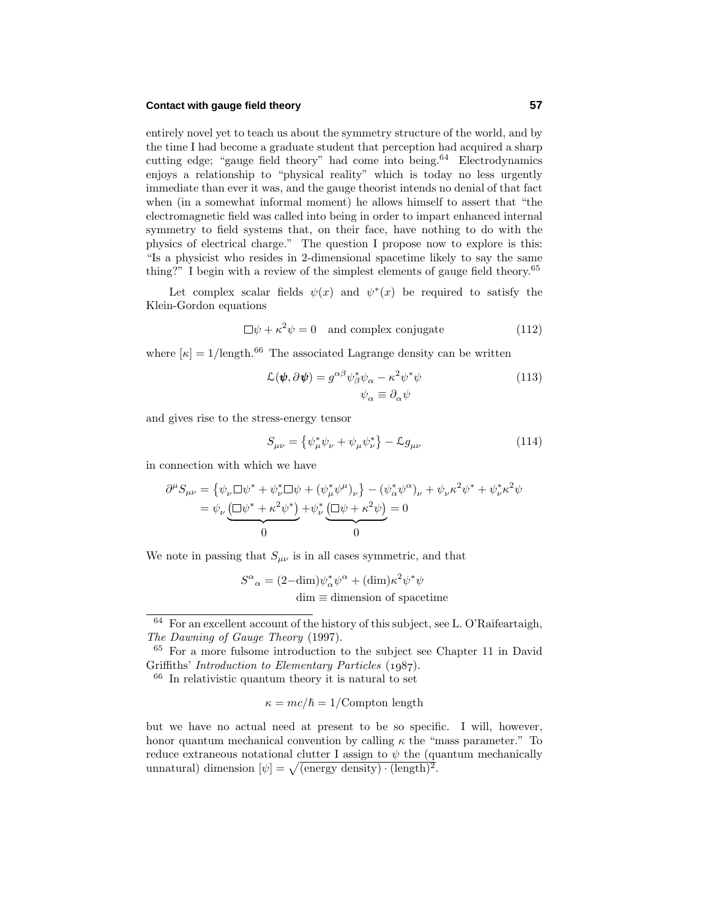# **Contact with gauge field theory 57**

entirely novel yet to teach us about the symmetry structure of the world, and by the time I had become a graduate student that perception had acquired a sharp cutting edge; "gauge field theory" had come into being. $64$  Electrodynamics enjoys a relationship to "physical reality" which is today no less urgently immediate than ever it was, and the gauge theorist intends no denial of that fact when (in a somewhat informal moment) he allows himself to assert that "the electromagnetic field was called into being in order to impart enhanced internal symmetry to field systems that, on their face, have nothing to do with the physics of electrical charge." The question I propose now to explore is this: "Is a physicist who resides in 2-dimensional spacetime likely to say the same thing?" I begin with a review of the simplest elements of gauge field theory.<sup>65</sup>

Let complex scalar fields  $\psi(x)$  and  $\psi^*(x)$  be required to satisfy the Klein-Gordon equations

$$
\Box \psi + \kappa^2 \psi = 0 \quad \text{and complex conjugate} \tag{112}
$$

where  $[\kappa] = 1/\text{length}.^{66}$  The associated Lagrange density can be written

$$
\mathcal{L}(\boldsymbol{\psi}, \partial \boldsymbol{\psi}) = g^{\alpha \beta} \psi_{\beta}^* \psi_{\alpha} - \kappa^2 \psi^* \psi
$$
\n
$$
\psi_{\alpha} \equiv \partial_{\alpha} \psi
$$
\n(113)

and gives rise to the stress-energy tensor

$$
S_{\mu\nu} = \left\{ \psi_{\mu}^* \psi_{\nu} + \psi_{\mu} \psi_{\nu}^* \right\} - \mathcal{L}g_{\mu\nu} \tag{114}
$$

in connection with which we have

$$
\partial^{\mu} S_{\mu\nu} = \left\{ \psi_{\nu} \Box \psi^* + \psi_{\nu}^* \Box \psi + (\psi_{\mu}^* \psi^{\mu})_{\nu} \right\} - (\psi_{\alpha}^* \psi^{\alpha})_{\nu} + \psi_{\nu} \kappa^2 \psi^* + \psi_{\nu}^* \kappa^2 \psi
$$
  
=  $\psi_{\nu} \underbrace{(\Box \psi^* + \kappa^2 \psi^*)}_{0} + \psi_{\nu}^* \underbrace{(\Box \psi + \kappa^2 \psi)}_{0} = 0$ 

We note in passing that  $S_{\mu\nu}$  is in all cases symmetric, and that

$$
S^{\alpha}{}_{\alpha} = (2 - \dim) \psi_{\alpha}^* \psi^{\alpha} + (\dim) \kappa^2 \psi^* \psi
$$
  
dim  $\equiv$  dimension of spacetime

$$
\kappa = mc/\hbar = 1/\text{Compton length}
$$

but we have no actual need at present to be so specific. I will, however, honor quantum mechanical convention by calling  $\kappa$  the "mass parameter." To reduce extraneous notational clutter I assign to  $\psi$  the (quantum mechanically unnatural) dimension  $[\psi] = \sqrt{\text{(energy density)} \cdot \text{(length)}}^2$ .

 $64$  For an excellent account of the history of this subject, see L. O'Raifeartaigh, The Dawning of Gauge Theory (1997).

<sup>65</sup> For a more fulsome introduction to the subject see Chapter 11 in David Griffiths' Introduction to Elementary Particles (1987).

<sup>66</sup> In relativistic quantum theory it is natural to set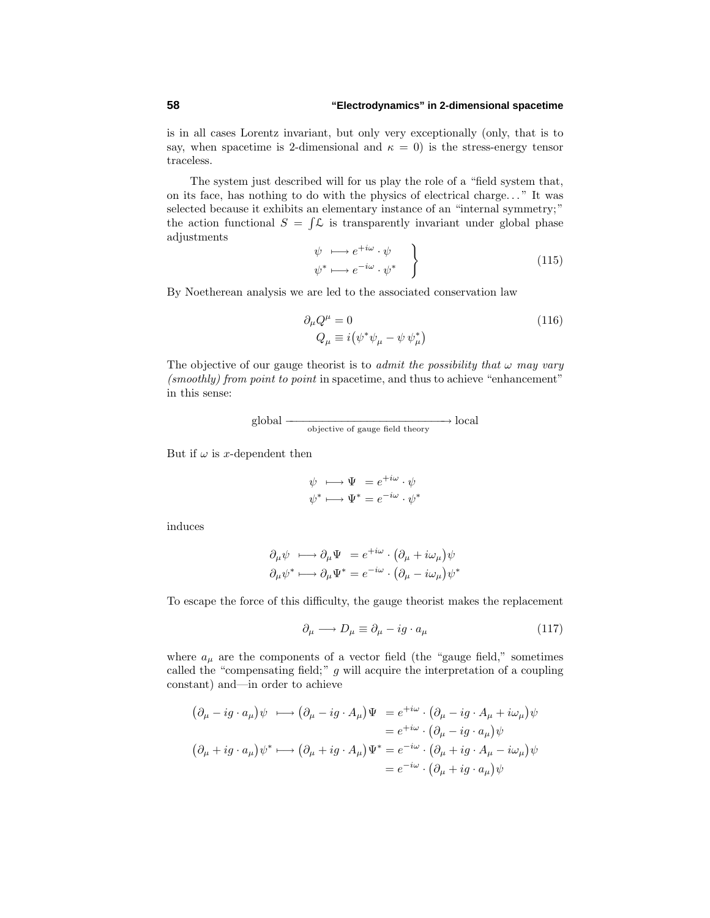is in all cases Lorentz invariant, but only very exceptionally (only, that is to say, when spacetime is 2-dimensional and  $\kappa = 0$  is the stress-energy tensor traceless.

The system just described will for us play the role of a "field system that, on its face, has nothing to do with the physics of electrical charge*...* " It was selected because it exhibits an elementary instance of an "internal symmetry;" the action functional  $S = \int \mathcal{L}$  is transparently invariant under global phase adjustments

$$
\psi \longmapsto e^{+i\omega} \cdot \psi \n\psi^* \longmapsto e^{-i\omega} \cdot \psi^* \qquad (115)
$$

By Noetherean analysis we are led to the associated conservation law

$$
\partial_{\mu}Q^{\mu} = 0
$$
  
\n
$$
Q_{\mu} \equiv i(\psi^* \psi_{\mu} - \psi \psi_{\mu}^*)
$$
\n(116)

The objective of our gauge theorist is to *admit the possibility that*  $\omega$  may vary (smoothly) from point to point in spacetime, and thus to achieve "enhancement" in this sense:

$$
global \xrightarrow{\text{objective of gauge field theory}} local
$$

But if  $\omega$  is *x*-dependent then

$$
\psi \longmapsto \Psi = e^{+i\omega} \cdot \psi
$$

$$
\psi^* \longmapsto \Psi^* = e^{-i\omega} \cdot \psi^*
$$

induces

$$
\partial_{\mu}\psi \longrightarrow \partial_{\mu}\Psi = e^{+i\omega} \cdot (\partial_{\mu} + i\omega_{\mu})\psi
$$
  

$$
\partial_{\mu}\psi^* \longmapsto \partial_{\mu}\Psi^* = e^{-i\omega} \cdot (\partial_{\mu} - i\omega_{\mu})\psi^*
$$

To escape the force of this difficulty, the gauge theorist makes the replacement

$$
\partial_{\mu} \longrightarrow D_{\mu} \equiv \partial_{\mu} - ig \cdot a_{\mu} \tag{117}
$$

where  $a_{\mu}$  are the components of a vector field (the "gauge field," sometimes called the "compensating field;" *g* will acquire the interpretation of a coupling constant) and—in order to achieve

$$
(\partial_{\mu} - ig \cdot a_{\mu})\psi \longrightarrow (\partial_{\mu} - ig \cdot A_{\mu})\Psi = e^{+i\omega} \cdot (\partial_{\mu} - ig \cdot A_{\mu} + i\omega_{\mu})\psi
$$
  

$$
= e^{+i\omega} \cdot (\partial_{\mu} - ig \cdot a_{\mu})\psi
$$
  

$$
(\partial_{\mu} + ig \cdot a_{\mu})\psi^* \longmapsto (\partial_{\mu} + ig \cdot A_{\mu})\Psi^* = e^{-i\omega} \cdot (\partial_{\mu} + ig \cdot A_{\mu} - i\omega_{\mu})\psi
$$
  

$$
= e^{-i\omega} \cdot (\partial_{\mu} + ig \cdot a_{\mu})\psi
$$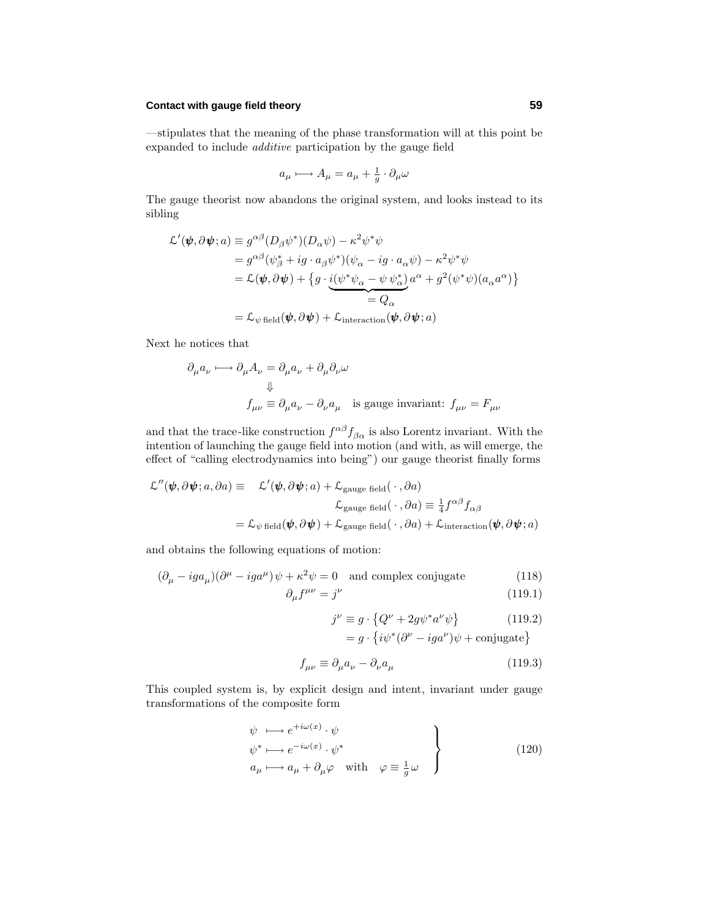# **Contact with gauge field theory 59**

—stipulates that the meaning of the phase transformation will at this point be expanded to include additive participation by the gauge field

$$
a_{\mu} \longmapsto A_{\mu} = a_{\mu} + \frac{1}{g} \cdot \partial_{\mu} \omega
$$

The gauge theorist now abandons the original system, and looks instead to its sibling

$$
\mathcal{L}'(\boldsymbol{\psi}, \partial \boldsymbol{\psi}; a) \equiv g^{\alpha \beta} (D_{\beta} \psi^*) (D_{\alpha} \psi) - \kappa^2 \psi^* \psi \n= g^{\alpha \beta} (\psi_{\beta}^* + ig \cdot a_{\beta} \psi^*) (\psi_{\alpha} - ig \cdot a_{\alpha} \psi) - \kappa^2 \psi^* \psi \n= \mathcal{L}(\boldsymbol{\psi}, \partial \boldsymbol{\psi}) + \{g \cdot \underbrace{i(\psi^* \psi_{\alpha} - \psi \psi_{\alpha}^*)}_{= Q_{\alpha}} a^{\alpha} + g^2 (\psi^* \psi) (a_{\alpha} a^{\alpha}) \} \n= \mathcal{L}_{\psi \text{ field}}(\boldsymbol{\psi}, \partial \boldsymbol{\psi}) + \mathcal{L}_{\text{interaction}}(\boldsymbol{\psi}, \partial \boldsymbol{\psi}; a)
$$

Next he notices that

$$
\begin{aligned} \partial_\mu a_\nu &\longmapsto \partial_\mu A_\nu = \partial_\mu a_\nu + \partial_\mu \partial_\nu \omega \\ &\Downarrow \\ f_{\mu\nu} &\equiv \partial_\mu a_\nu - \partial_\nu a_\mu \quad \text{is gauge invariant: } f_{\mu\nu} = F_{\mu\nu} \end{aligned}
$$

and that the trace-like construction  $f^{\alpha\beta} f_{\beta\alpha}$  is also Lorentz invariant. With the intention of launching the gauge field into motion (and with, as will emerge, the effect of "calling electrodynamics into being") our gauge theorist finally forms

$$
\mathcal{L}''(\psi, \partial \psi; a, \partial a) \equiv \mathcal{L}'(\psi, \partial \psi; a) + \mathcal{L}_{\text{gauge field}}(\cdot, \partial a)
$$
  

$$
\mathcal{L}_{\text{gauge field}}(\cdot, \partial a) \equiv \frac{1}{4} f^{\alpha \beta} f_{\alpha \beta}
$$
  

$$
= \mathcal{L}_{\psi \text{ field}}(\psi, \partial \psi) + \mathcal{L}_{\text{gauge field}}(\cdot, \partial a) + \mathcal{L}_{\text{interaction}}(\psi, \partial \psi; a)
$$

and obtains the following equations of motion:

$$
(\partial_{\mu} - iga_{\mu})(\partial^{\mu} - iga^{\mu})\psi + \kappa^{2}\psi = 0 \text{ and complex conjugate}
$$
 (118)  

$$
\partial_{\mu}f^{\mu\nu} = j^{\nu}
$$
 (119.1)

$$
j^{\nu} \equiv g \cdot \left\{ Q^{\nu} + 2g\psi^* a^{\nu}\psi \right\} \tag{119.2}
$$

$$
= g \cdot \left\{ i\psi^*(\partial^\nu - i g a^\nu) \psi + \text{conjugate} \right\}
$$

$$
f_{\mu\nu} \equiv \partial_{\mu} a_{\nu} - \partial_{\nu} a_{\mu} \tag{119.3}
$$

This coupled system is, by explicit design and intent, invariant under gauge transformations of the composite form

$$
\psi \mapsto e^{+i\omega(x)} \cdot \psi
$$
  
\n
$$
\psi^* \mapsto e^{-i\omega(x)} \cdot \psi^*
$$
  
\n
$$
a_{\mu} \mapsto a_{\mu} + \partial_{\mu} \varphi \quad \text{with} \quad \varphi \equiv \frac{1}{g} \omega
$$
\n(120)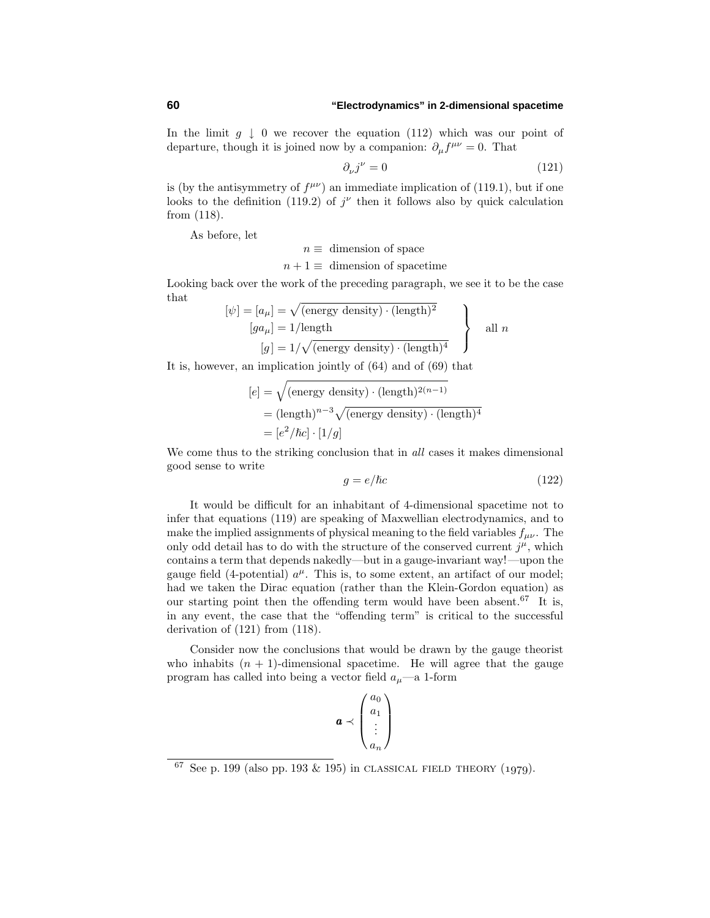In the limit  $g \downarrow 0$  we recover the equation (112) which was our point of departure, though it is joined now by a companion:  $\partial_{\mu} f^{\mu\nu} = 0$ . That

$$
\partial_{\nu}j^{\nu} = 0 \tag{121}
$$

is (by the antisymmetry of  $f^{\mu\nu}$ ) an immediate implication of (119.1), but if one looks to the definition (119.2) of  $j^{\nu}$  then it follows also by quick calculation from (118).

As before, let

 $n \equiv$  dimension of space

 $n + 1 \equiv$  dimension of spacetime

Looking back over the work of the preceding paragraph, we see it to be the case that

$$
[\psi] = [a_{\mu}] = \sqrt{\text{(energy density)} \cdot (\text{length})^2}
$$
  
\n
$$
[ga_{\mu}] = 1/\text{length}
$$
  
\n
$$
[g] = 1/\sqrt{\text{(energy density)} \cdot (\text{length})^4}
$$
 all *n*

It is, however, an implication jointly of  $(64)$  and of  $(69)$  that

$$
[e] = \sqrt{\text{(energy density)} \cdot (\text{length})^{2(n-1)}}
$$

$$
= (\text{length})^{n-3} \sqrt{\text{(energy density)} \cdot (\text{length})^4}
$$

$$
= [e^2/\hbar c] \cdot [1/g]
$$

We come thus to the striking conclusion that in all cases it makes dimensional good sense to write

$$
g = e/\hbar c \tag{122}
$$

It would be difficult for an inhabitant of 4-dimensional spacetime not to infer that equations (119) are speaking of Maxwellian electrodynamics, and to make the implied assignments of physical meaning to the field variables  $f_{\mu\nu}$ . The only odd detail has to do with the structure of the conserved current  $j^{\mu}$ , which contains a term that depends nakedly—but in a gauge-invariant way!—upon the gauge field (4-potential)  $a^{\mu}$ . This is, to some extent, an artifact of our model; had we taken the Dirac equation (rather than the Klein-Gordon equation) as our starting point then the offending term would have been absent.<sup>67</sup> It is, in any event, the case that the "offending term" is critical to the successful derivation of  $(121)$  from  $(118)$ .

Consider now the conclusions that would be drawn by the gauge theorist who inhabits  $(n + 1)$ -dimensional spacetime. He will agree that the gauge program has called into being a vector field *aµ*—a 1-form

$$
\boldsymbol{a} \prec \begin{pmatrix} a_0 \\ a_1 \\ \vdots \\ a_n \end{pmatrix}
$$

 $67$  See p. 199 (also pp. 193 & 195) in CLASSICAL FIELD THEORY (1979).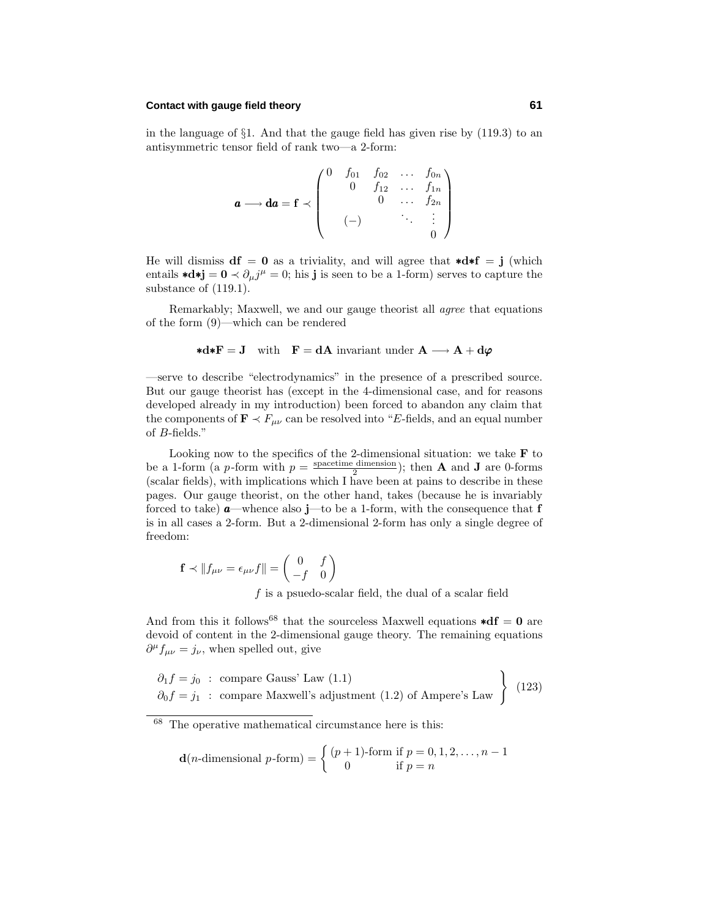# **Contact with gauge field theory 61**

in the language of  $\S1$ . And that the gauge field has given rise by  $(119.3)$  to an antisymmetric tensor field of rank two—a 2-form:

$$
\mathbf{a} \longrightarrow \mathbf{d}\mathbf{a} = \mathbf{f} \prec \begin{pmatrix} 0 & f_{01} & f_{02} & \dots & f_{0n} \\ & 0 & f_{12} & \dots & f_{1n} \\ & & 0 & \dots & f_{2n} \\ & & & & \ddots & \vdots \\ & & & & 0 \end{pmatrix}
$$

He will dismiss  $df = 0$  as a triviality, and will agree that  $*d*f = j$  (which entails  $\star d \star j = 0 \prec \partial_{\mu} j^{\mu} = 0$ ; his j is seen to be a 1-form) serves to capture the substance of  $(119.1)$ .

Remarkably; Maxwell, we and our gauge theorist all agree that equations of the form (9)—which can be rendered

$$
*d*F = J \quad \text{with} \quad F = dA \text{ invariant under } A \longrightarrow A + d\varphi
$$

—serve to describe "electrodynamics" in the presence of a prescribed source. But our gauge theorist has (except in the 4-dimensional case, and for reasons developed already in my introduction) been forced to abandon any claim that the components of  $\mathbf{F} \prec F_{\mu\nu}$  can be resolved into "*E*-fields, and an equal number of *B*-fields."

Looking now to the specifics of the 2-dimensional situation: we take **F** to be a 1-form (a *p*-form with  $p = \frac{\text{spacetime dimension}}{2}$ ); then **A** and **J** are 0-forms (scalar fields), with implications which I have been at pains to describe in these pages. Our gauge theorist, on the other hand, takes (because he is invariably forced to take) *a*—whence also **j**—to be a 1-form, with the consequence that **f** is in all cases a 2-form. But a 2-dimensional 2-form has only a single degree of freedom:

$$
\mathbf{f} \prec ||f_{\mu\nu} = \epsilon_{\mu\nu} f|| = \begin{pmatrix} 0 & f \\ -f & 0 \end{pmatrix}
$$

*f* is a psuedo-scalar field, the dual of a scalar field

And from this it follows<sup>68</sup> that the sourceless Maxwell equations  $*df = 0$  are devoid of content in the 2-dimensional gauge theory. The remaining equations  $\partial^{\mu} f_{\mu\nu} = j_{\nu}$ , when spelled out, give

$$
\partial_1 f = j_0 : \text{compare Gauss' Law (1.1)}\n\partial_0 f = j_1 : \text{compare Maxwell's adjustment (1.2) of Ampere's Law} \n\qquad (123)
$$

$$
\mathbf{d}(n\text{-dimensional }p\text{-form}) = \begin{cases} (p+1)\text{-form if } p = 0, 1, 2, \dots, n-1 \\ 0 & \text{if } p = n \end{cases}
$$

<sup>68</sup> The operative mathematical circumstance here is this: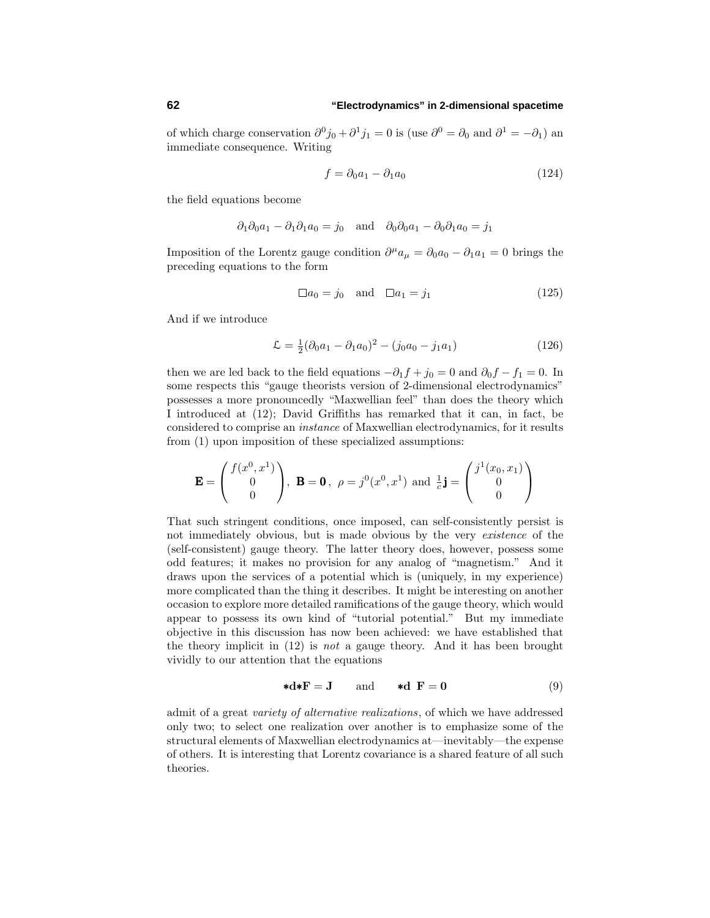of which charge conservation  $\partial^0 j_0 + \partial^1 j_1 = 0$  is (use  $\partial^0 = \partial_0$  and  $\partial^1 = -\partial_1$ ) and immediate consequence. Writing

$$
f = \partial_0 a_1 - \partial_1 a_0 \tag{124}
$$

the field equations become

$$
\partial_1 \partial_0 a_1 - \partial_1 \partial_1 a_0 = j_0
$$
 and  $\partial_0 \partial_0 a_1 - \partial_0 \partial_1 a_0 = j_1$ 

Imposition of the Lorentz gauge condition  $\partial^{\mu} a_{\mu} = \partial_0 a_0 - \partial_1 a_1 = 0$  brings the preceding equations to the form

$$
\Box a_0 = j_0 \quad \text{and} \quad \Box a_1 = j_1 \tag{125}
$$

And if we introduce

$$
\mathcal{L} = \frac{1}{2}(\partial_0 a_1 - \partial_1 a_0)^2 - (j_0 a_0 - j_1 a_1) \tag{126}
$$

then we are led back to the field equations  $-\partial_1 f + j_0 = 0$  and  $\partial_0 f - f_1 = 0$ . In some respects this "gauge theorists version of 2-dimensional electrodynamics" possesses a more pronouncedly "Maxwellian feel" than does the theory which I introduced at (12); David Griffiths has remarked that it can, in fact, be considered to comprise an instance of Maxwellian electrodynamics, for it results from  $(1)$  upon imposition of these specialized assumptions:

$$
\mathbf{E} = \begin{pmatrix} f(x^0, x^1) \\ 0 \\ 0 \end{pmatrix}, \ \mathbf{B} = \mathbf{0}, \ \rho = j^0(x^0, x^1) \text{ and } \frac{1}{c}\mathbf{j} = \begin{pmatrix} j^1(x_0, x_1) \\ 0 \\ 0 \end{pmatrix}
$$

That such stringent conditions, once imposed, can self-consistently persist is not immediately obvious, but is made obvious by the very existence of the (self-consistent) gauge theory. The latter theory does, however, possess some odd features; it makes no provision for any analog of "magnetism." And it draws upon the services of a potential which is (uniquely, in my experience) more complicated than the thing it describes. It might be interesting on another occasion to explore more detailed ramifications of the gauge theory, which would appear to possess its own kind of "tutorial potential." But my immediate objective in this discussion has now been achieved: we have established that the theory implicit in  $(12)$  is not a gauge theory. And it has been brought vividly to our attention that the equations

$$
\ast \mathbf{d} \ast \mathbf{F} = \mathbf{J} \qquad \text{and} \qquad \ast \mathbf{d} \ \mathbf{F} = \mathbf{0} \tag{9}
$$

admit of a great variety of alternative realizations, of which we have addressed only two; to select one realization over another is to emphasize some of the structural elements of Maxwellian electrodynamics at—inevitably—the expense of others. It is interesting that Lorentz covariance is a shared feature of all such theories.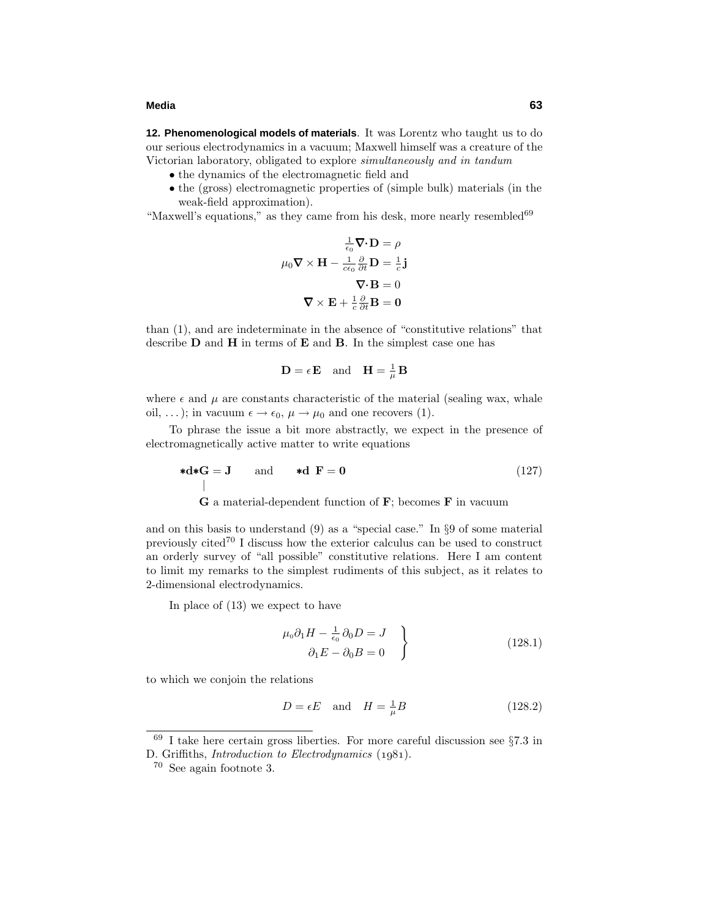#### **Media 63**

**12. Phenomenological models of materials**. It was Lorentz who taught us to do our serious electrodynamics in a vacuum; Maxwell himself was a creature of the Victorian laboratory, obligated to explore simultaneously and in tandum

- the dynamics of the electromagnetic field and
- $\bullet$  the (gross) electromagnetic properties of (simple bulk) materials (in the weak-field approximation).

"Maxwell's equations," as they came from his desk, more nearly resembled<sup>69</sup>

$$
\frac{1}{\epsilon_0} \nabla \cdot \mathbf{D} = \rho
$$

$$
\mu_0 \nabla \times \mathbf{H} - \frac{1}{c\epsilon_0} \frac{\partial}{\partial t} \mathbf{D} = \frac{1}{c} \mathbf{j}
$$

$$
\nabla \cdot \mathbf{B} = 0
$$

$$
\nabla \times \mathbf{E} + \frac{1}{c} \frac{\partial}{\partial t} \mathbf{B} = \mathbf{0}
$$

than (1), and are indeterminate in the absence of "constitutive relations" that describe **D** and **H** in terms of **E** and **B**. In the simplest case one has

$$
\mathbf{D} = \epsilon \mathbf{E} \quad \text{and} \quad \mathbf{H} = \frac{1}{\mu} \mathbf{B}
$$

where  $\epsilon$  and  $\mu$  are constants characteristic of the material (sealing wax, whale oil, ...); in vacuum  $\epsilon \to \epsilon_0$ ,  $\mu \to \mu_0$  and one recovers (1).

To phrase the issue a bit more abstractly, we expect in the presence of electromagnetically active matter to write equations

$$
\ast \mathbf{d} \ast \mathbf{G} = \mathbf{J} \quad \text{and} \quad \ast \mathbf{d} \ \mathbf{F} = \mathbf{0} \tag{127}
$$

**G** a material-dependent function of **F**; becomes **F** in vacuum

and on this basis to understand  $(9)$  as a "special case." In §9 of some material previously cited<sup>70</sup> I discuss how the exterior calculus can be used to construct an orderly survey of "all possible" constitutive relations. Here I am content to limit my remarks to the simplest rudiments of this subject, as it relates to 2-dimensional electrodynamics.

In place of  $(13)$  we expect to have

$$
\mu_0 \partial_1 H - \frac{1}{\epsilon_0} \partial_0 D = J
$$
\n
$$
\partial_1 E - \partial_0 B = 0
$$
\n(128.1)

to which we conjoin the relations

$$
D = \epsilon E \quad \text{and} \quad H = \frac{1}{\mu}B \tag{128.2}
$$

 $69$  I take here certain gross liberties. For more careful discussion see  $\S 7.3$  in D. Griffiths, *Introduction to Electrodynamics*  $(1981)$ .

<sup>70</sup> See again footnote 3.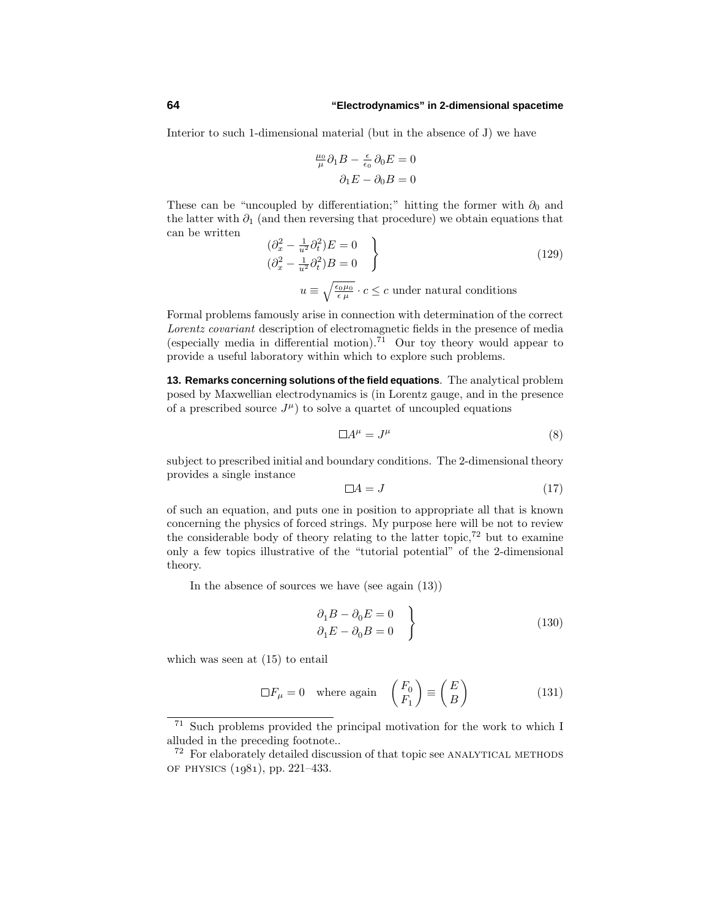Interior to such 1-dimensional material (but in the absence of  $J$ ) we have

$$
\frac{\mu_0}{\mu} \partial_1 B - \frac{\epsilon}{\epsilon_0} \partial_0 E = 0
$$

$$
\partial_1 E - \partial_0 B = 0
$$

These can be "uncoupled by differentiation;" hitting the former with  $\partial_0$  and the latter with  $\partial_1$  (and then reversing that procedure) we obtain equations that can be written

$$
\left(\partial_x^2 - \frac{1}{u^2} \partial_t^2\right) E = 0
$$
\n
$$
\left(\partial_x^2 - \frac{1}{u^2} \partial_t^2\right) B = 0
$$
\n
$$
u \equiv \sqrt{\frac{\epsilon_0 \mu_0}{\epsilon \mu}} \cdot c \le c \text{ under natural conditions}
$$
\n(129)

Formal problems famously arise in connection with determination of the correct Lorentz covariant description of electromagnetic fields in the presence of media (especially media in differential motion).<sup>71</sup> Our toy theory would appear to provide a useful laboratory within which to explore such problems.

**13. Remarks concerning solutions of the field equations**. The analytical problem posed by Maxwellian electrodynamics is (in Lorentz gauge, and in the presence of a prescribed source  $J^{\mu}$  to solve a quartet of uncoupled equations

$$
\Box A^{\mu} = J^{\mu} \tag{8}
$$

subject to prescribed initial and boundary conditions. The 2-dimensional theory provides a single instance

$$
\Box A = J \tag{17}
$$

of such an equation, and puts one in position to appropriate all that is known concerning the physics of forced strings. My purpose here will be not to review the considerable body of theory relating to the latter topic,<sup> $72$ </sup> but to examine only a few topics illustrative of the "tutorial potential" of the 2-dimensional theory.

In the absence of sources we have (see again (13))

$$
\left\{\n\begin{aligned}\n\partial_1 B - \partial_0 E &= 0 \\
\partial_1 E - \partial_0 B &= 0\n\end{aligned}\n\right\} \tag{130}
$$

which was seen at  $(15)$  to entail

$$
\Box F_{\mu} = 0 \quad \text{where again} \quad \begin{pmatrix} F_0 \\ F_1 \end{pmatrix} \equiv \begin{pmatrix} E \\ B \end{pmatrix} \tag{131}
$$

<sup>71</sup> Such problems provided the principal motivation for the work to which I alluded in the preceding footnote..

 $72$  For elaborately detailed discussion of that topic see ANALYTICAL METHODS OF PHYSICS  $(1981)$ , pp. 221-433.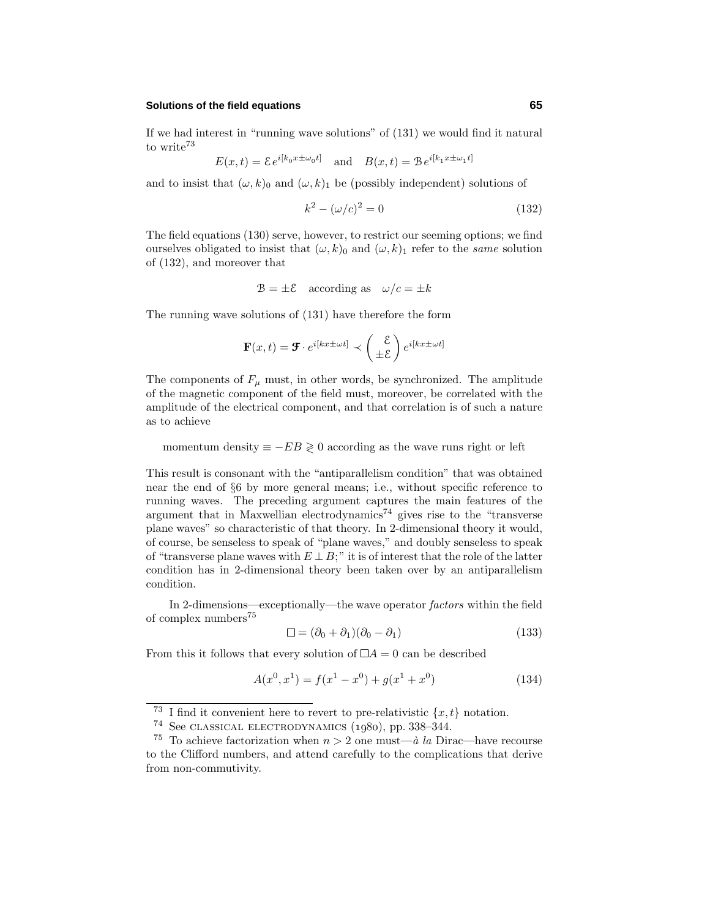# **Solutions of the field equations 65**

If we had interest in "running wave solutions" of  $(131)$  we would find it natural to write $^{73}$ 

$$
E(x,t) = \mathcal{E}e^{i[k_0x \pm \omega_0 t]} \quad \text{and} \quad B(x,t) = \mathcal{B}e^{i[k_1x \pm \omega_1 t]}
$$

and to insist that  $(\omega, k)_0$  and  $(\omega, k)_1$  be (possibly independent) solutions of

$$
k^2 - (\omega/c)^2 = 0 \tag{132}
$$

The field equations  $(130)$  serve, however, to restrict our seeming options; we find ourselves obligated to insist that  $(\omega, k)_0$  and  $(\omega, k)_1$  refer to the *same* solution of (132), and moreover that

$$
\mathcal{B} = \pm \mathcal{E} \quad \text{according as} \quad \omega/c = \pm k
$$

The running wave solutions of  $(131)$  have therefore the form

$$
\mathbf{F}(x,t) = \mathbf{F} \cdot e^{i[kx \pm \omega t]} \prec \begin{pmatrix} \mathcal{E} \\ \pm \mathcal{E} \end{pmatrix} e^{i[kx \pm \omega t]}
$$

The components of  $F_\mu$  must, in other words, be synchronized. The amplitude of the magnetic component of the field must, moreover, be correlated with the amplitude of the electrical component, and that correlation is of such a nature as to achieve

momentum density  $\equiv -EB \geq 0$  according as the wave runs right or left

This result is consonant with the "antiparallelism condition" that was obtained near the end of §6 by more general means; i.e., without specific reference to running waves. The preceding argument captures the main features of the argument that in Maxwellian electrodynamics<sup>74</sup> gives rise to the "transverse plane waves" so characteristic of that theory. In 2-dimensional theory it would, of course, be senseless to speak of "plane waves," and doubly senseless to speak of "transverse plane waves with  $E \perp B$ ;" it is of interest that the role of the latter condition has in 2-dimensional theory been taken over by an antiparallelism condition.

In 2-dimensions—exceptionally—the wave operator factors within the field of complex numbers<sup>75</sup>

$$
\Box = (\partial_0 + \partial_1)(\partial_0 - \partial_1) \tag{133}
$$

From this it follows that every solution of  $\Box A = 0$  can be described

$$
A(x^{0}, x^{1}) = f(x^{1} - x^{0}) + g(x^{1} + x^{0})
$$
\n(134)

<sup>&</sup>lt;sup>73</sup> I find it convenient here to revert to pre-relativistic  $\{x, t\}$  notation.

 $74$  See CLASSICAL ELECTRODYNAMICS  $(1980)$ , pp. 338–344.

 $^{75}$  To achieve factorization when  $n>2$  one must— $\grave{a}$  la Dirac—have recourse to the Clifford numbers, and attend carefully to the complications that derive from non-commutivity.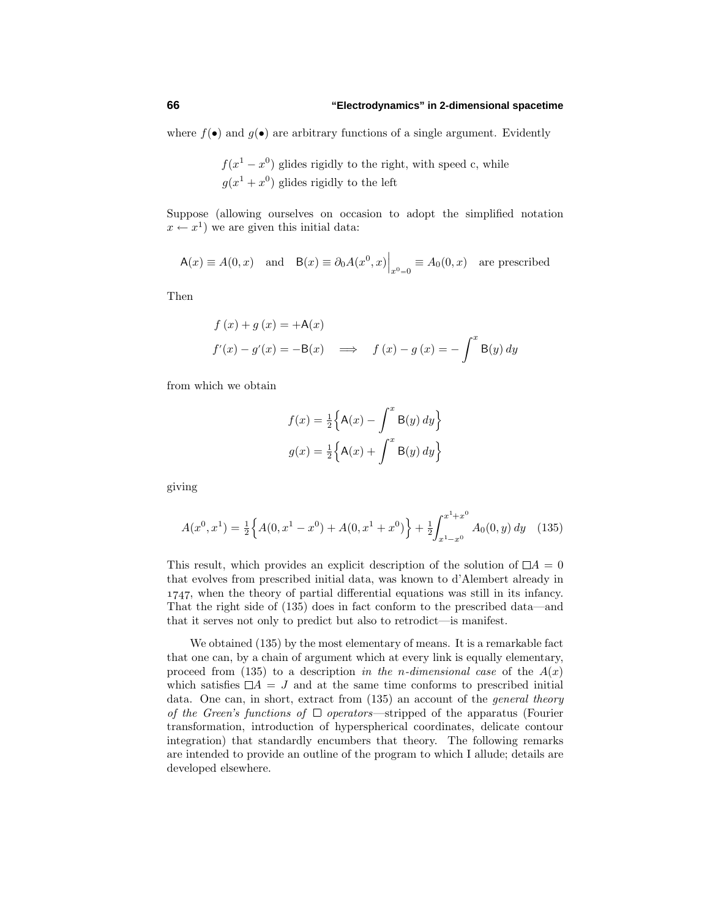where  $f(\bullet)$  and  $g(\bullet)$  are arbitrary functions of a single argument. Evidently

 $f(x^1 - x^0)$  glides rigidly to the right, with speed c, while  $g(x^1 + x^0)$  glides rigidly to the left

Suppose (allowing ourselves on occasion to adopt the simplified notation  $x \leftarrow x^1$  we are given this initial data:

$$
\mathsf{A}(x) \equiv A(0, x) \quad \text{and} \quad \mathsf{B}(x) \equiv \partial_0 A(x^0, x)\Big|_{x^0 = 0} \equiv A_0(0, x) \quad \text{are prescribed}
$$

Then

$$
f(x) + g(x) = +A(x)
$$
  

$$
f'(x) - g'(x) = -B(x) \implies f(x) - g(x) = -\int^x B(y) dy
$$

from which we obtain

$$
f(x) = \frac{1}{2} \Big\{ A(x) - \int^x B(y) dy \Big\}
$$

$$
g(x) = \frac{1}{2} \Big\{ A(x) + \int^x B(y) dy \Big\}
$$

giving

$$
A(x^{0}, x^{1}) = \frac{1}{2} \Big\{ A(0, x^{1} - x^{0}) + A(0, x^{1} + x^{0}) \Big\} + \frac{1}{2} \int_{x^{1} - x^{0}}^{x^{1} + x^{0}} A_{0}(0, y) dy \quad (135)
$$

This result, which provides an explicit description of the solution of  $\Box A = 0$ that evolves from prescribed initial data, was known to d'Alembert already in , when the theory of partial differential equations was still in its infancy. That the right side of  $(135)$  does in fact conform to the prescribed data—and that it serves not only to predict but also to retrodict—is manifest.

We obtained  $(135)$  by the most elementary of means. It is a remarkable fact that one can, by a chain of argument which at every link is equally elementary, proceed from (135) to a description in the *n*-dimensional case of the  $A(x)$ which satisfies  $\Box A = J$  and at the same time conforms to prescribed initial data. One can, in short, extract from  $(135)$  an account of the *general theory* of the Green's functions of  $\Box$  operators—stripped of the apparatus (Fourier transformation, introduction of hyperspherical coordinates, delicate contour integration) that standardly encumbers that theory. The following remarks are intended to provide an outline of the program to which I allude; details are developed elsewhere.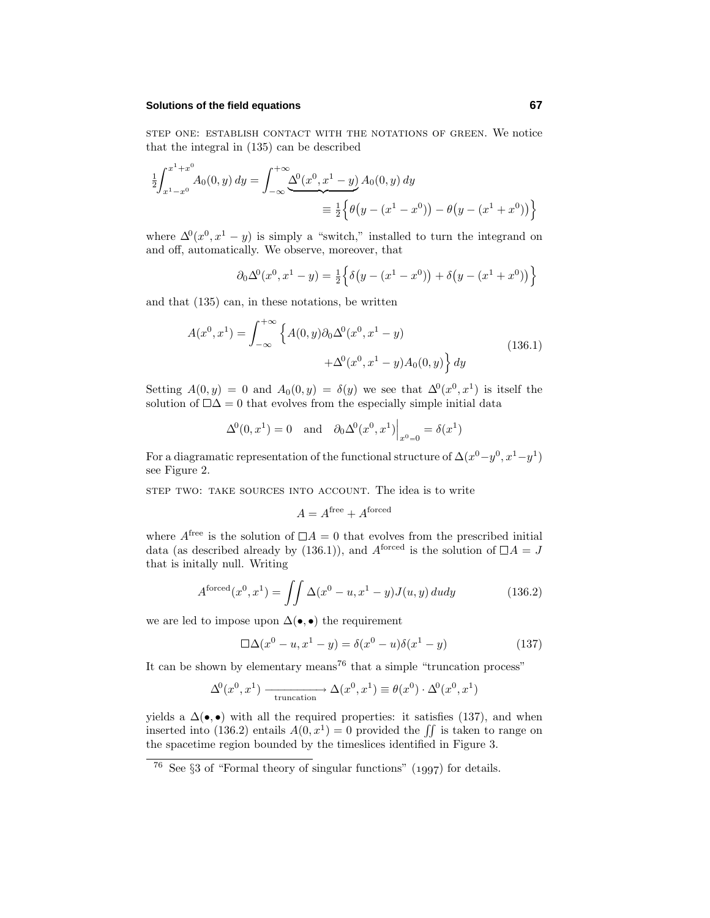## **Solutions of the field equations 67**

step one: establish contact with the notations of green. We notice that the integral in  $(135)$  can be described

$$
\frac{1}{2} \int_{x^1 - x^0}^{x^1 + x^0} A_0(0, y) dy = \int_{-\infty}^{+\infty} \underbrace{\Delta^0(x^0, x^1 - y)}_{\equiv \frac{1}{2} \left\{ \theta \left( y - (x^1 - x^0) \right) - \theta \left( y - (x^1 + x^0) \right) \right\}}^{\equiv \frac{1}{2} \left\{ \theta \left( y - (x^1 - x^0) \right) - \theta \left( y - (x^1 + x^0) \right) \right\}}
$$

where  $\Delta^{0}(x^{0},x^{1}-y)$  is simply a "switch," installed to turn the integrand on and off, automatically. We observe, moreover, that

$$
\partial_0 \Delta^0(x^0, x^1 - y) = \frac{1}{2} \left\{ \delta \left( y - (x^1 - x^0) \right) + \delta \left( y - (x^1 + x^0) \right) \right\}
$$

and that  $(135)$  can, in these notations, be written

$$
A(x^{0}, x^{1}) = \int_{-\infty}^{+\infty} \left\{ A(0, y) \partial_{0} \Delta^{0}(x^{0}, x^{1} - y) + \Delta^{0}(x^{0}, x^{1} - y) A_{0}(0, y) \right\} dy
$$
\n(136.1)

Setting  $A(0, y) = 0$  and  $A_0(0, y) = \delta(y)$  we see that  $\Delta^0(x^0, x^1)$  is itself the solution of  $\square \Delta = 0$  that evolves from the especially simple initial data

$$
\Delta^{0}(0, x^{1}) = 0
$$
 and  $\partial_{0}\Delta^{0}(x^{0}, x^{1})\Big|_{x^{0}=0} = \delta(x^{1})$ 

For a diagramatic representation of the functional structure of  $\Delta(x^0-y^0, x^1-y^1)$ see Figure 2.

step two: take sources into account. The idea is to write

$$
A = A^{\text{free}} + A^{\text{forced}}
$$

where  $A^{\text{free}}$  is the solution of  $\Box A = 0$  that evolves from the prescribed initial data (as described already by (136.1)), and  $A^{forced}$  is the solution of  $\Box A = J$ that is initally null. Writing

$$
A^{forced}(x^0, x^1) = \iint \Delta(x^0 - u, x^1 - y) J(u, y) \, du \, dy \tag{136.2}
$$

we are led to impose upon  $\Delta(\bullet, \bullet)$  the requirement

$$
\Box \Delta(x^{0} - u, x^{1} - y) = \delta(x^{0} - u)\delta(x^{1} - y)
$$
\n(137)

It can be shown by elementary means<sup>76</sup> that a simple "truncation process"

$$
\Delta^{0}(x^{0}, x^{1}) \longrightarrow_{\text{truncation}} \Delta(x^{0}, x^{1}) \equiv \theta(x^{0}) \cdot \Delta^{0}(x^{0}, x^{1})
$$

yields a  $\Delta(\bullet, \bullet)$  with all the required properties: it satisfies (137), and when inserted into (136.2) entails  $A(0, x^1) = 0$  provided the  $\iint$  is taken to range on the spacetime region bounded by the timeslices identified in Figure 3.

 $76$  See §3 of "Formal theory of singular functions" (1997) for details.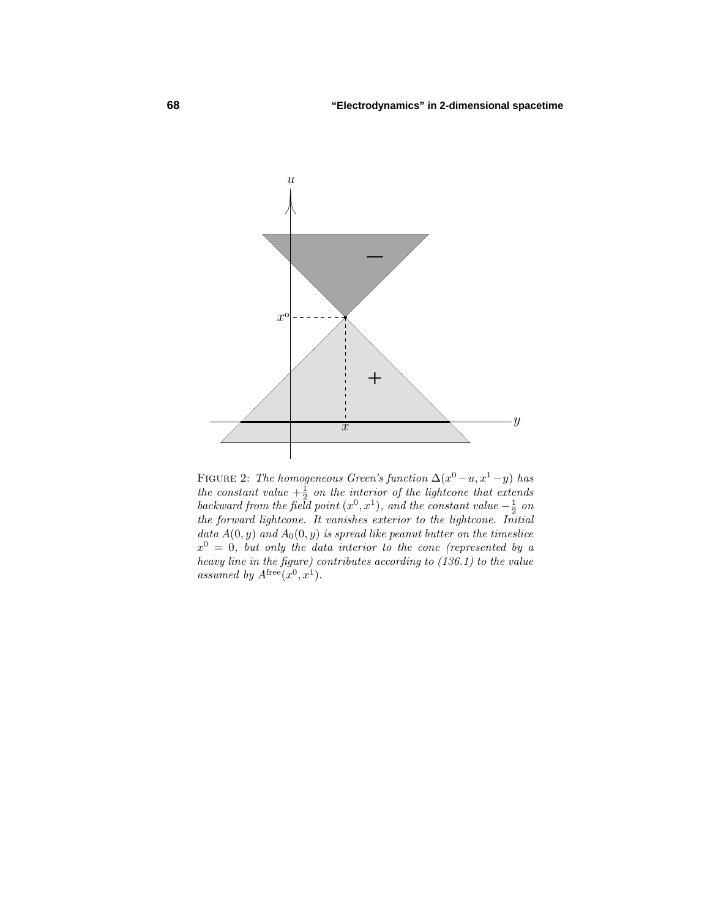

FIGURE 2: The homogeneous Green's function  $\Delta(x^0-u, x^1-y)$  has the constant value  $+\frac{1}{2}$  on the interior of the lightcone that extends backward from the field point  $(x^0, x^1)$ , and the constant value  $-\frac{1}{2}$  on the forward lightcone.It vanishes exterior to the lightcone.Initial  $data A(0, y)$  and  $A_0(0, y)$  is spread like peanut butter on the timeslice  $x^0 = 0$ , but only the data interior to the cone (represented by a heavy line in the figure) contributes according to (136.1) to the value assumed by  $A^{\text{free}}(x^0, x^1)$ .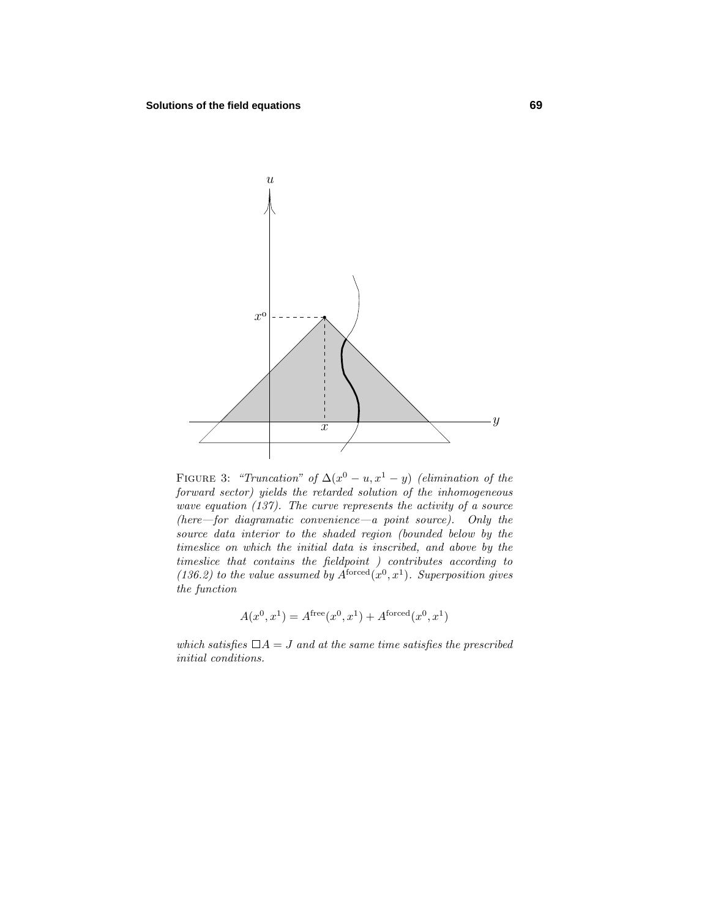

FIGURE 3: "Truncation" of  $\Delta(x^0 - u, x^1 - y)$  (elimination of the forward sector) yields the retarded solution of the inhomogeneous wave equation  $(137)$ . The curve represents the activity of a source (here—for diagramatic convenience—a point source). Only the source data interior to the shaded region (bounded below by the timeslice on which the initial data is inscribed, and above by the timeslice that contains the fieldpoint ) contributes according to (136.2) to the value assumed by  $\tilde{A}^{\text{forced}}(x^0, x^1)$ . Superposition gives the function

$$
A(x^{0}, x^{1}) = A^{\text{free}}(x^{0}, x^{1}) + A^{\text{forced}}(x^{0}, x^{1})
$$

which satisfies  $\Box A = J$  and at the same time satisfies the prescribed initial conditions.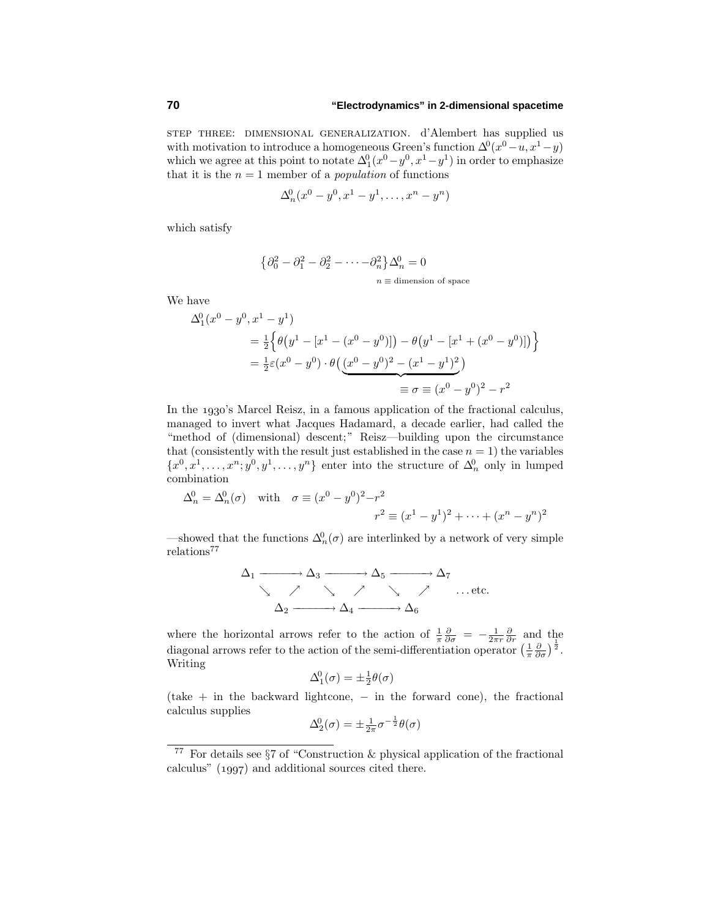step three: dimensional generalization. d'Alembert has supplied us with motivation to introduce a homogeneous Green's function  $\Delta^0(x^0 - u, x^1 - y)$ which we agree at this point to notate  $\Delta_1^0(x^0 - y^0, x^1 - y^1)$  in order to emphasize that it is the  $n = 1$  member of a *population* of functions

$$
\Delta_n^0(x^0 - y^0, x^1 - y^1, \dots, x^n - y^n)
$$

which satisfy

$$
\left\{\partial_0^2 - \partial_1^2 - \partial_2^2 - \dots - \partial_n^2\right\} \Delta_n^0 = 0
$$
  

$$
n \equiv \text{dimension of space}
$$

We have

$$
\Delta_1^0(x^0 - y^0, x^1 - y^1)
$$
  
=  $\frac{1}{2} \Big\{ \theta(y^1 - [x^1 - (x^0 - y^0)]) - \theta(y^1 - [x^1 + (x^0 - y^0)]) \Big\}$   
=  $\frac{1}{2} \varepsilon (x^0 - y^0) \cdot \theta \Big( \underbrace{(x^0 - y^0)^2 - (x^1 - y^1)^2}_{\equiv \sigma \equiv (x^0 - y^0)^2 - r^2} \Big)$ 

In the 1930's Marcel Reisz, in a famous application of the fractional calculus, managed to invert what Jacques Hadamard, a decade earlier, had called the "method of (dimensional) descent;" Reisz—building upon the circumstance that (consistently with the result just established in the case  $n = 1$ ) the variables  ${x^0, x^1, \ldots, x^n; y^0, y^1, \ldots, y^n}$  enter into the structure of  $\Delta_n^0$  only in lumped combination

$$
\Delta_n^0 = \Delta_n^0(\sigma) \quad \text{with} \quad \sigma \equiv (x^0 - y^0)^2 - r^2
$$

$$
r^2 \equiv (x^1 - y^1)^2 + \dots + (x^n - y^n)^2
$$

—showed that the functions  $\Delta_n^0(\sigma)$  are interlinked by a network of very simple relations<sup>77</sup>

$$
\begin{array}{cccc}\n\Delta_1 & \xrightarrow{\quad} \Delta_3 & \xrightarrow{\quad} \Delta_5 & \xrightarrow{\quad} \Delta_7 \\
\searrow & \searrow & \searrow & \searrow & \nearrow & \dots \text{etc.} \\
\Delta_2 & \xrightarrow{\quad} \Delta_4 & \xrightarrow{\quad} \Delta_6 & \n\end{array}
$$

where the horizontal arrows refer to the action of  $\frac{1}{\pi} \frac{\partial}{\partial \sigma} = -\frac{1}{2\pi r} \frac{\partial}{\partial r}$  and the diagonal arrows refer to the action of the semi-differentiation operator  $\left(\frac{1}{\pi} \frac{\partial}{\partial \sigma}\right)^{\frac{1}{2}}$ . Writing

$$
\Delta_1^0(\sigma) = \pm \frac{1}{2}\theta(\sigma)
$$

 $(take + in the backward lightcone, - in the forward cone)$ , the fractional calculus supplies

$$
\Delta_2^0(\sigma) = \pm \tfrac{1}{2\pi} \sigma^{-\frac{1}{2}} \theta(\sigma)
$$

<sup>&</sup>lt;sup>77</sup> For details see  $\S7$  of "Construction & physical application of the fractional calculus"  $(1997)$  and additional sources cited there.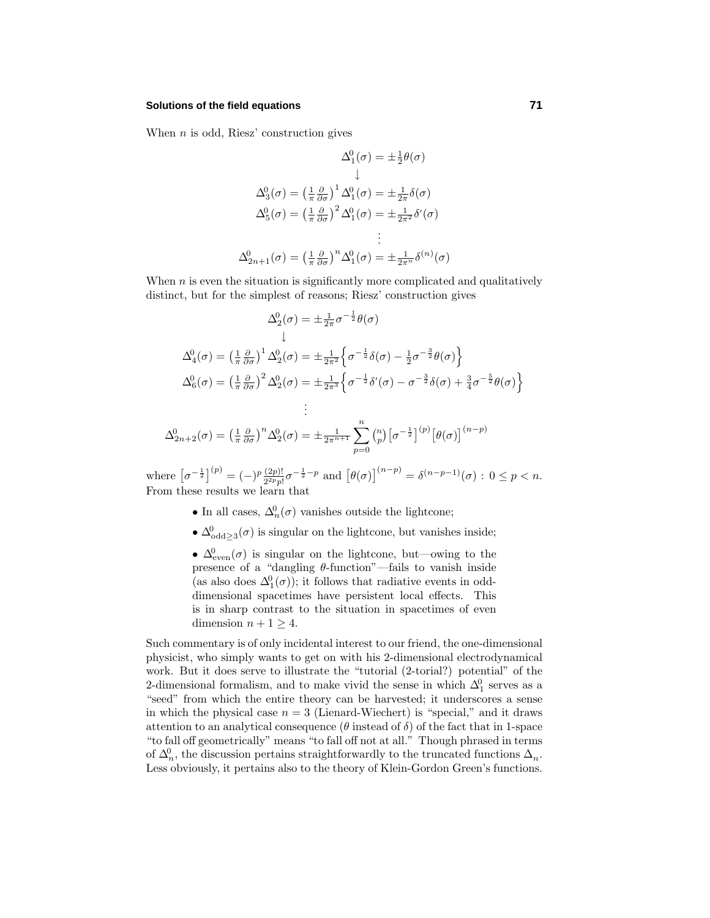## **Solutions of the field equations 71**

When *n* is odd, Riesz' construction gives

$$
\Delta_1^0(\sigma) = \pm \frac{1}{2}\theta(\sigma)
$$

$$
\downarrow
$$

$$
\Delta_3^0(\sigma) = \left(\frac{1}{\pi} \frac{\partial}{\partial \sigma}\right)^1 \Delta_1^0(\sigma) = \pm \frac{1}{2\pi} \delta(\sigma)
$$

$$
\Delta_5^0(\sigma) = \left(\frac{1}{\pi} \frac{\partial}{\partial \sigma}\right)^2 \Delta_1^0(\sigma) = \pm \frac{1}{2\pi^2} \delta'(\sigma)
$$

$$
\vdots
$$

$$
\Delta_{2n+1}^0(\sigma) = \left(\frac{1}{\pi} \frac{\partial}{\partial \sigma}\right)^n \Delta_1^0(\sigma) = \pm \frac{1}{2\pi^2} \delta^{(n)}(\sigma)
$$

When  $n$  is even the situation is significantly more complicated and qualitatively distinct, but for the simplest of reasons; Riesz' construction gives

$$
\Delta_2^0(\sigma) = \pm \frac{1}{2\pi} \sigma^{-\frac{1}{2}} \theta(\sigma)
$$
\n
$$
\downarrow
$$
\n
$$
\Delta_4^0(\sigma) = \left(\frac{1}{\pi} \frac{\partial}{\partial \sigma}\right)^1 \Delta_2^0(\sigma) = \pm \frac{1}{2\pi^2} \left\{ \sigma^{-\frac{1}{2}} \delta(\sigma) - \frac{1}{2} \sigma^{-\frac{3}{2}} \theta(\sigma) \right\}
$$
\n
$$
\Delta_6^0(\sigma) = \left(\frac{1}{\pi} \frac{\partial}{\partial \sigma}\right)^2 \Delta_2^0(\sigma) = \pm \frac{1}{2\pi^3} \left\{ \sigma^{-\frac{1}{2}} \delta'(\sigma) - \sigma^{-\frac{3}{2}} \delta(\sigma) + \frac{3}{4} \sigma^{-\frac{5}{2}} \theta(\sigma) \right\}
$$
\n
$$
\vdots
$$
\n
$$
\Delta_{2n+2}^0(\sigma) = \left(\frac{1}{\pi} \frac{\partial}{\partial \sigma}\right)^n \Delta_2^0(\sigma) = \pm \frac{1}{2\pi^{n+1}} \sum_{p=0}^n {n \choose p} \left[\sigma^{-\frac{1}{2}}\right]^{(p)} \left[\theta(\sigma)\right]^{(n-p)}
$$

where  $[\sigma^{-\frac{1}{2}}]^{(p)} = (-)^p \frac{(2p)!}{2^{2p}p!} \sigma^{-\frac{1}{2}-p}$  and  $[\theta(\sigma)]^{(n-p)} = \delta^{(n-p-1)}(\sigma) : 0 \le p < n$ . From these results we learn that

- In all cases,  $\Delta_n^0(\sigma)$  vanishes outside the lightcone;
- $\Delta^0_{\text{odd}\geq 3}(\sigma)$  is singular on the lightcone, but vanishes inside;
- $\Delta_{even}^0(\sigma)$  is singular on the lightcone, but—owing to the presence of a "dangling *θ*-function"—fails to vanish inside (as also does  $\Delta_1^0(\sigma)$ ); it follows that radiative events in odddimensional spacetimes have persistent local effects. This is in sharp contrast to the situation in spacetimes of even dimension  $n + 1 \geq 4$ .

Such commentary is of only incidental interest to our friend, the one-dimensional physicist, who simply wants to get on with his 2-dimensional electrodynamical work. But it does serve to illustrate the "tutorial  $(2\tt-torial?)$  potential" of the 2-dimensional formalism, and to make vivid the sense in which  $\Delta_1^0$  serves as a "seed" from which the entire theory can be harvested; it underscores a sense in which the physical case  $n = 3$  (Lienard-Wiechert) is "special," and it draws attention to an analytical consequence  $(\theta \text{ instead of } \delta)$  of the fact that in 1-space "to fall off geometrically" means "to fall off not at all." Though phrased in terms of  $\Delta_n^0$ , the discussion pertains straightforwardly to the truncated functions  $\Delta_n$ . Less obviously, it pertains also to the theory of Klein-Gordon Green's functions.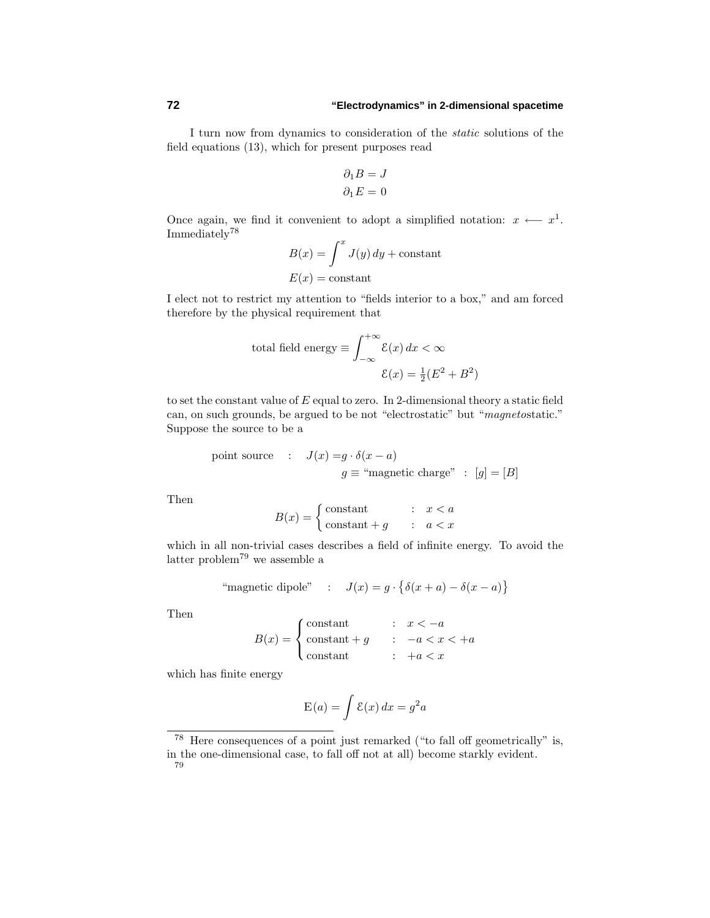I turn now from dynamics to consideration of the static solutions of the field equations (13), which for present purposes read

$$
\partial_1 B = J
$$

$$
\partial_1 E = 0
$$

Once again, we find it convenient to adopt a simplified notation:  $x \leftarrow x^1$ . Immediately<sup>78</sup>

$$
B(x) = \int_{}^{x} J(y) dy + \text{constant}
$$
  

$$
E(x) = \text{constant}
$$

I elect not to restrict my attention to "fields interior to a box," and am forced therefore by the physical requirement that

total field energy 
$$
\equiv \int_{-\infty}^{+\infty} \mathcal{E}(x) dx < \infty
$$
  

$$
\mathcal{E}(x) = \frac{1}{2} (E^2 + B^2)
$$

to set the constant value of *E* equal to zero. In 2-dimensional theory a static field can, on such grounds, be argued to be not "electrostatic" but "magnetostatic." Suppose the source to be a

point source : 
$$
J(x) = g \cdot \delta(x - a)
$$
  
 $g \equiv \text{``magnetic charge''} : [g] = [B]$ 

Then

$$
B(x) = \begin{cases} \text{constant} & : x < a \\ \text{constant} + g & : a < x \end{cases}
$$

which in all non-trivial cases describes a field of infinite energy. To avoid the latter problem<sup>79</sup> we assemble a

"magnetic dipole" : 
$$
J(x) = g \cdot \{\delta(x+a) - \delta(x-a)\}\
$$

Then

$$
B(x) = \begin{cases} \text{constant} & : x < -a \\ \text{constant} + g & : -a < x < +a \\ \text{constant} & : +a < x \end{cases}
$$

which has finite energy

$$
E(a) = \int \mathcal{E}(x) dx = g^2 a
$$

<sup>78</sup> Here consequences of a point just remarked ("to fall off geometrically" is, in the one-dimensional case, to fall off not at all) become starkly evident. 79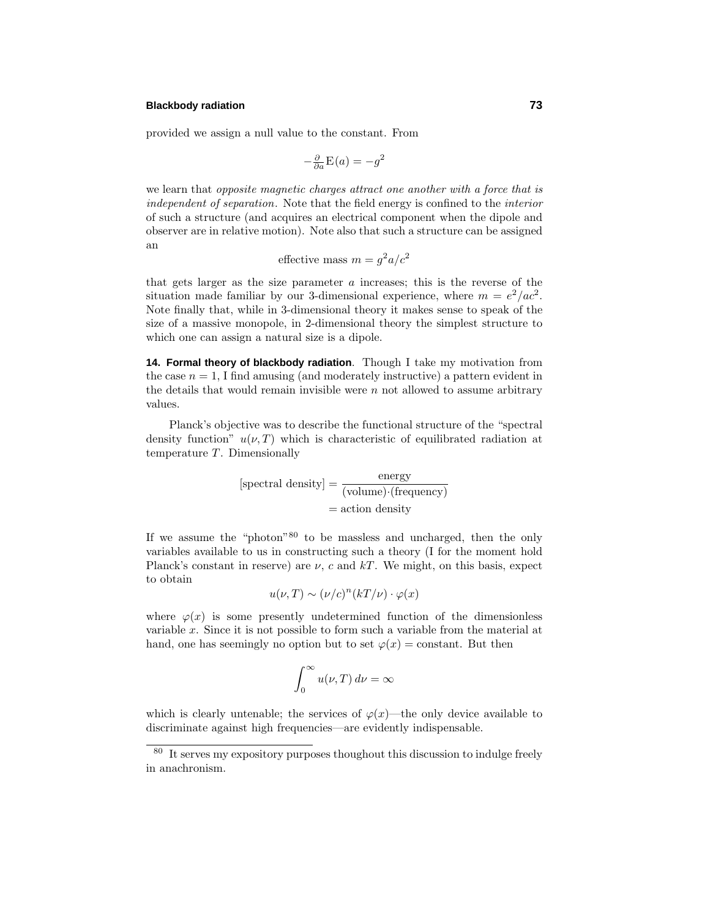## **Blackbody radiation 73**

provided we assign a null value to the constant. From

$$
-\frac{\partial}{\partial a}E(a) = -g^2
$$

we learn that *opposite magnetic charges attract one another with a force that is* independent of separation. Note that the field energy is confined to the interior of such a structure (and acquires an electrical component when the dipole and observer are in relative motion). Note also that such a structure can be assigned an

effective mass 
$$
m = g^2 a/c^2
$$

that gets larger as the size parameter *a* increases; this is the reverse of the situation made familiar by our 3-dimensional experience, where  $m = e^2/ac^2$ . Note finally that, while in 3-dimensional theory it makes sense to speak of the size of a massive monopole, in 2-dimensional theory the simplest structure to which one can assign a natural size is a dipole.

**14. Formal theory of blackbody radiation**. Though I take my motivation from the case  $n = 1$ , I find amusing (and moderately instructive) a pattern evident in the details that would remain invisible were *n* not allowed to assume arbitrary values.

Planck's objective was to describe the functional structure of the "spectral density function"  $u(\nu, T)$  which is characteristic of equilibrated radiation at temperature *T*. Dimensionally

> $[spectral density] = \frac{\text{energy}}{(volume) \cdot (frequency)}$ = action density

If we assume the "photon"<sup>80</sup> to be massless and uncharged, then the only variables available to us in constructing such a theory (I for the moment hold Planck's constant in reserve) are  $\nu$ , *c* and  $kT$ . We might, on this basis, expect to obtain

$$
u(\nu, T) \sim (\nu/c)^n (kT/\nu) \cdot \varphi(x)
$$

where  $\varphi(x)$  is some presently undetermined function of the dimensionless variable *x*. Since it is not possible to form such a variable from the material at hand, one has seemingly no option but to set  $\varphi(x)$  = constant. But then

$$
\int_0^\infty u(\nu, T) \, d\nu = \infty
$$

which is clearly untenable; the services of  $\varphi(x)$ —the only device available to discriminate against high frequencies—are evidently indispensable.

<sup>&</sup>lt;sup>80</sup> It serves my expository purposes thoughout this discussion to indulge freely in anachronism.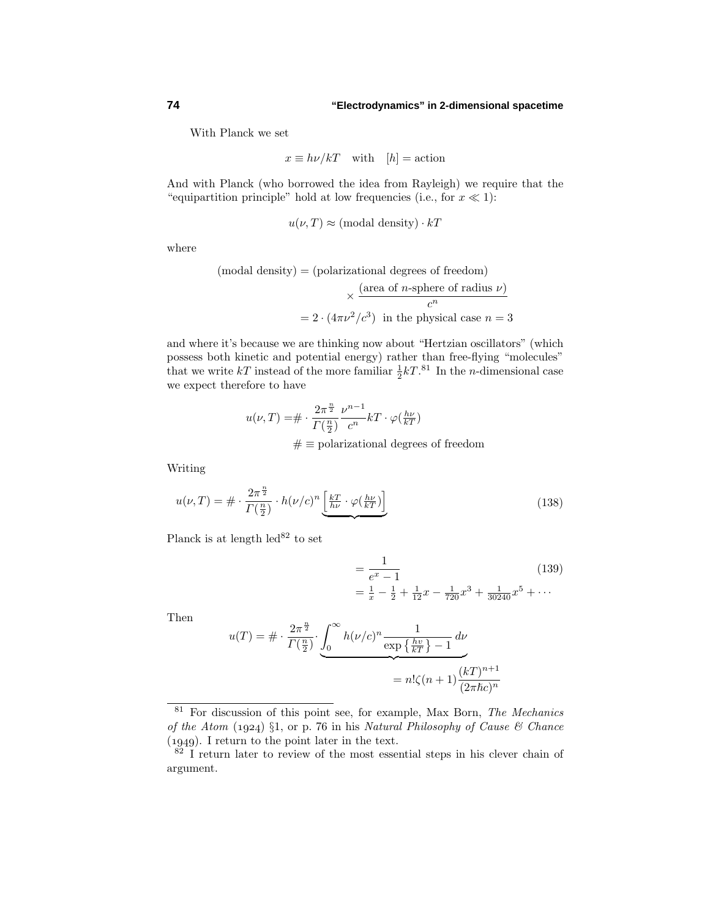With Planck we set

$$
x \equiv h\nu/kT
$$
 with  $[h]$  = action

And with Planck (who borrowed the idea from Rayleigh) we require that the "equipartition principle" hold at low frequencies (i.e., for  $x \ll 1$ ):

$$
u(\nu, T) \approx
$$
 (modal density) ·  $kT$ 

where

(modal density) = (polarizational degrees of freedom)  

$$
\times \frac{(\text{area of } n\text{-sphere of radius }\nu)}{c^n}
$$

$$
= 2 \cdot (4\pi\nu^2/c^3) \text{ in the physical case } n = 3
$$

and where it's because we are thinking now about "Hertzian oscillators" (which possess both kinetic and potential energy) rather than free-flying "molecules" that we write  $kT$  instead of the more familiar  $\frac{1}{2}kT$ .<sup>81</sup> In the *n*-dimensional case we expect therefore to have

$$
u(\nu, T) = # \cdot \frac{2\pi^{\frac{n}{2}}}{\Gamma(\frac{n}{2})} \frac{\nu^{n-1}}{c^n} kT \cdot \varphi(\frac{h\nu}{kT})
$$
  

$$
\# \equiv \text{polarizational degrees of freedom}
$$

Writing

$$
u(\nu, T) = # \cdot \frac{2\pi^{\frac{n}{2}}}{\Gamma(\frac{n}{2})} \cdot h(\nu/c)^n \underbrace{\left[\frac{kT}{h\nu} \cdot \varphi(\frac{h\nu}{kT})\right]}_{\text{min}} \tag{138}
$$

Planck is at length  $\text{led}^{82}$  to set

$$
= \frac{1}{e^x - 1}
$$
(139)  

$$
= \frac{1}{x} - \frac{1}{2} + \frac{1}{12}x - \frac{1}{720}x^3 + \frac{1}{30240}x^5 + \cdots
$$

Then

$$
u(T) = # \cdot \frac{2\pi^{\frac{n}{2}}}{\Gamma(\frac{n}{2})} \cdot \underbrace{\int_0^\infty h(\nu/c)^n \frac{1}{\exp\left\{\frac{hv}{kT}\right\} - 1} \, d\nu}_{= n! \zeta(n+1) \frac{(kT)^{n+1}}{(2\pi\hbar c)^n}
$$

<sup>81</sup> For discussion of this point see, for example, Max Born, The Mechanics of the Atom  $(1924)$  §1, or p. 76 in his Natural Philosophy of Cause & Chance  $(1949)$ . I return to the point later in the text.

<sup>82</sup> I return later to review of the most essential steps in his clever chain of argument.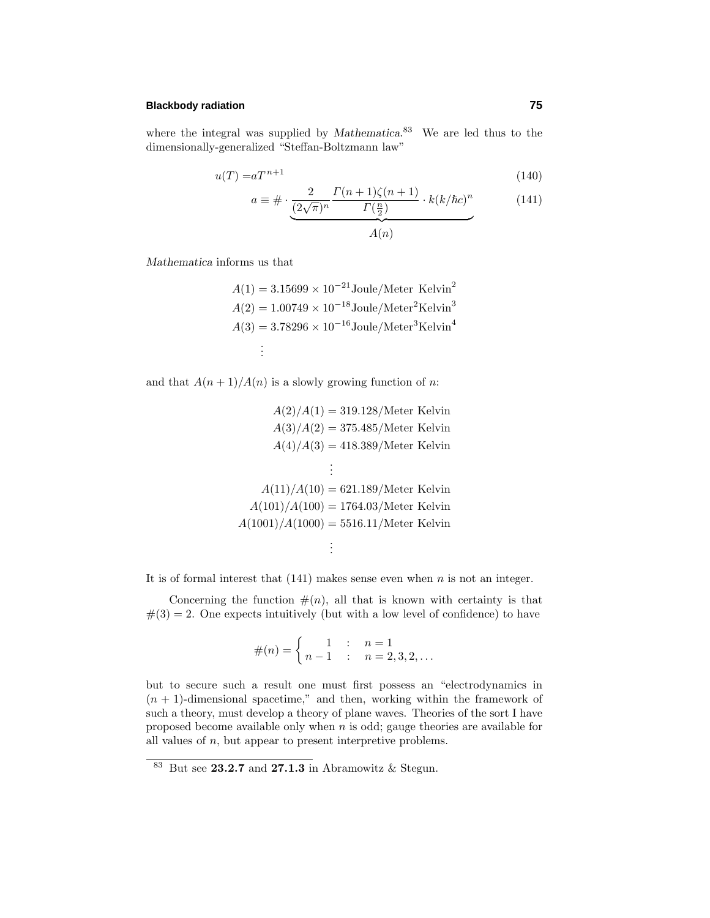## **Blackbody radiation 75**

where the integral was supplied by *Mathematica*. <sup>83</sup> We are led thus to the dimensionally-generalized "Steffan-Boltzmann law"

$$
u(T) = aT^{n+1} \tag{140}
$$

$$
a \equiv \# \cdot \underbrace{\frac{2}{(2\sqrt{\pi})^n} \frac{\Gamma(n+1)\zeta(n+1)}{\Gamma(\frac{n}{2})} \cdot k(k/\hbar c)^n}_{A(n)} \tag{141}
$$

*Mathematica* informs us that

$$
A(1) = 3.15699 \times 10^{-21} \text{Joule/Meter Kelvin}^2
$$
  
\n
$$
A(2) = 1.00749 \times 10^{-18} \text{Joule/Meter}^2 \text{Kelvin}^3
$$
  
\n
$$
A(3) = 3.78296 \times 10^{-16} \text{Joule/Meter}^3 \text{Kelvin}^4
$$
  
\n
$$
\vdots
$$

and that  $A(n+1)/A(n)$  is a slowly growing function of *n*:

$$
A(2)/A(1) = 319.128/\text{Meter Kelvin}
$$
  
\n
$$
A(3)/A(2) = 375.485/\text{Meter Kelvin}
$$
  
\n
$$
A(4)/A(3) = 418.389/\text{Meter Kelvin}
$$
  
\n:  
\n:  
\n
$$
A(11)/A(10) = 621.189/\text{Meter Kelvin}
$$
  
\n
$$
A(101)/A(100) = 1764.03/\text{Meter Kelvin}
$$
  
\n
$$
A(1001)/A(1000) = 5516.11/\text{Meter Kelvin}
$$
  
\n:  
\n:

It is of formal interest that  $(141)$  makes sense even when *n* is not an integer.

Concerning the function  $#(n)$ , all that is known with certainty is that  $\#(3) = 2$ . One expects intuitively (but with a low level of confidence) to have

$$
\#(n) = \begin{cases} 1 & \colon & n = 1 \\ n - 1 & \colon & n = 2, 3, 2, \dots \end{cases}
$$

but to secure such a result one must first possess an "electrodynamics in  $(n + 1)$ -dimensional spacetime," and then, working within the framework of such a theory, must develop a theory of plane waves. Theories of the sort I have proposed become available only when *n* is odd; gauge theories are available for all values of *n*, but appear to present interpretive problems.

<sup>83</sup> But see **23.2.7** and **27.1.3** in Abramowitz & Stegun.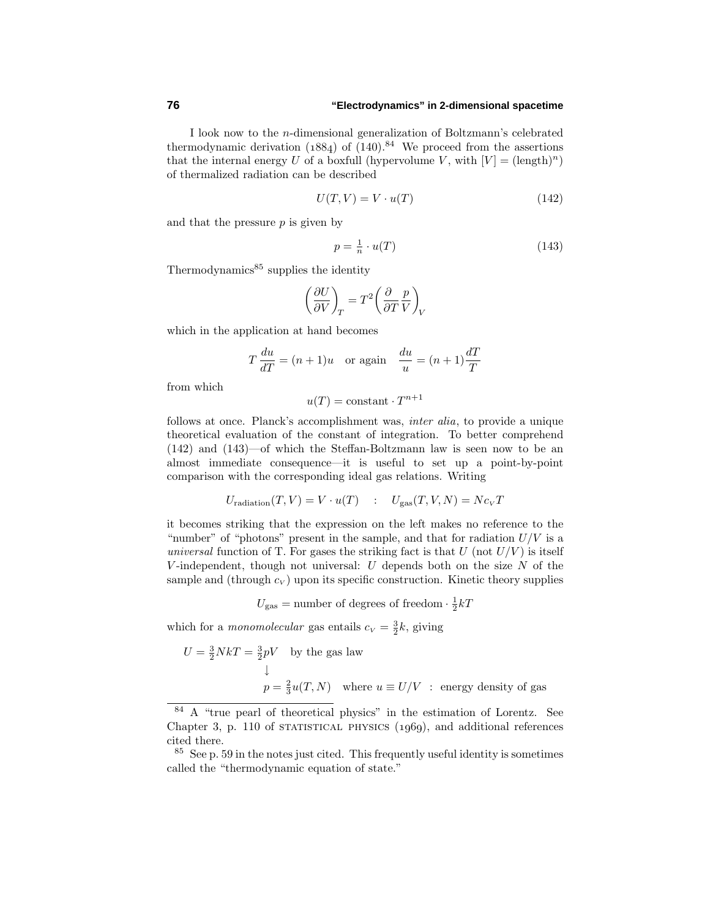## **76 "Electrodynamics" in 2-dimensional spacetime**

I look now to the *n*-dimensional generalization of Boltzmann's celebrated thermodynamic derivation ( $1884$ ) of ( $140$ ).<sup>84</sup> We proceed from the assertions that the internal energy *U* of a boxfull (hypervolume *V*, with  $|V| = (\text{length})^n$ ) of thermalized radiation can be described

$$
U(T, V) = V \cdot u(T) \tag{142}
$$

and that the pressure *p* is given by

$$
p = \frac{1}{n} \cdot u(T) \tag{143}
$$

Thermodynamics $^{85}$  supplies the identity

$$
\left(\frac{\partial U}{\partial V}\right)_T = T^2 \left(\frac{\partial}{\partial T} \frac{p}{V}\right)_V
$$

which in the application at hand becomes

$$
T\frac{du}{dT} = (n+1)u \text{ or again } \frac{du}{u} = (n+1)\frac{dT}{T}
$$

from which

 $u(T) = \text{constant} \cdot T^{n+1}$ 

follows at once. Planck's accomplishment was, inter alia, to provide a unique theoretical evaluation of the constant of integration. To better comprehend  $(142)$  and  $(143)$ —of which the Steffan-Boltzmann law is seen now to be an almost immediate consequence—it is useful to set up a point-by-point comparison with the corresponding ideal gas relations. Writing

$$
U_{\text{radiation}}(T, V) = V \cdot u(T) \quad : \quad U_{\text{gas}}(T, V, N) = N c_V T
$$

it becomes striking that the expression on the left makes no reference to the "number" of "photons" present in the sample, and that for radiation  $U/V$  is a universal function of T. For gases the striking fact is that  $U$  (not  $U/V$ ) is itself *V* -independent, though not universal: *U* depends both on the size *N* of the sample and (through  $c_V$ ) upon its specific construction. Kinetic theory supplies

 $U_{\text{gas}} = \text{number of degrees of freedom} \cdot \frac{1}{2}kT$ 

which for a *monomolecular* gas entails  $c_V = \frac{3}{2}k$ , giving

$$
U=\frac{3}{2}NkT=\frac{3}{2}pV
$$
 by the gas law  
 
$$
\downarrow
$$
 
$$
p=\frac{2}{3}u(T,N)\quad\text{where }u\equiv U/V\;\;:\;\;\text{energy density of gas}
$$

<sup>84</sup> A "true pearl of theoretical physics" in the estimation of Lorentz. See Chapter 3, p. 110 of STATISTICAL PHYSICS  $(1969)$ , and additional references cited there.

 $85$  See p. 59 in the notes just cited. This frequently useful identity is sometimes called the "thermodynamic equation of state."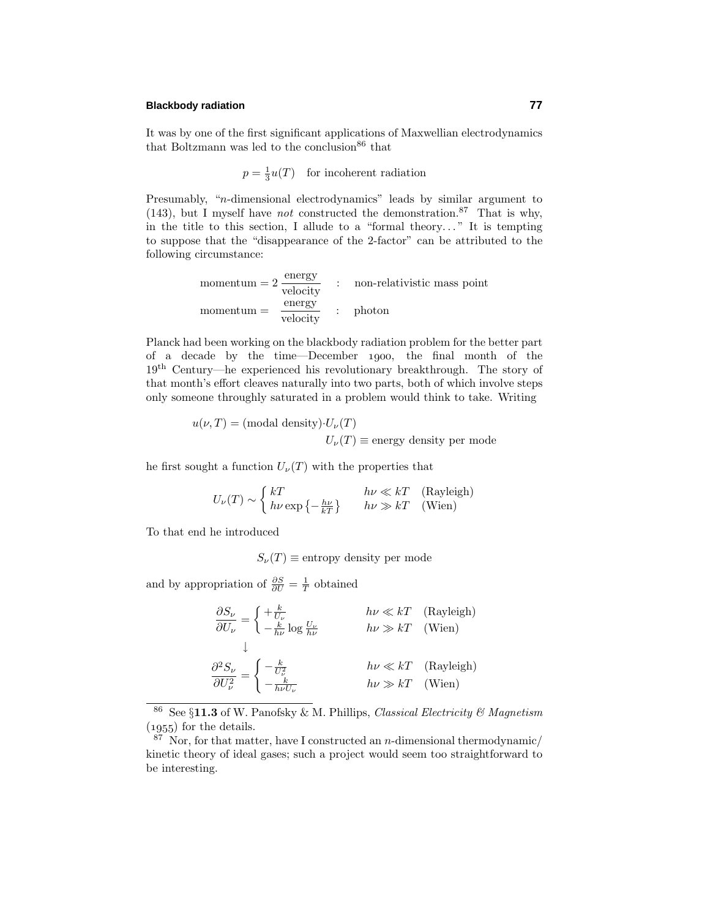## **Blackbody radiation 77**

It was by one of the first significant applications of Maxwellian electrodynamics that Boltzmann was led to the conclusion $86$  that

$$
p = \frac{1}{3}u(T)
$$
 for incoherent radiation

Presumably, "*n*-dimensional electrodynamics" leads by similar argument to (143), but I myself have *not* constructed the demonstration.<sup>87</sup> That is why, in the title to this section, I allude to a "formal theory*...* " It is tempting to suppose that the "disappearance of the 2-factor" can be attributed to the following circumstance:

> momentum =  $2 \frac{\text{energy}}{\text{velocity}}$  : non-relativistic mass point  $momentum = \frac{\text{energy}}{\text{velocity}}$  : photon

Planck had been working on the blackbody radiation problem for the better part of a decade by the time—December 1900, the final month of the 19th Century—he experienced his revolutionary breakthrough. The story of that month's effort cleaves naturally into two parts, both of which involve steps only someone throughly saturated in a problem would think to take. Writing

$$
u(\nu, T) = \text{(modal density)} \cdot U_{\nu}(T)
$$
  

$$
U_{\nu}(T) \equiv \text{energy density per mode}
$$

he first sought a function  $U_{\nu}(T)$  with the properties that

$$
U_{\nu}(T) \sim \begin{cases} kT & h\nu \ll kT & \text{(Rayleigh)}\\ h\nu \exp\left\{-\frac{h\nu}{kT}\right\} & h\nu \gg kT & \text{(Wien)} \end{cases}
$$

To that end he introduced

$$
S_{\nu}(T) \equiv
$$
entropy density per mode

and by appropriation of  $\frac{\partial S}{\partial U} = \frac{1}{T}$  obtained

$$
\frac{\partial S_{\nu}}{\partial U_{\nu}} = \begin{cases}\n+\frac{k}{U_{\nu}} & h\nu \ll kT \quad \text{(Rayleigh)} \\
-\frac{k}{h\nu}\log\frac{U_{\nu}}{h\nu} & h\nu \gg kT \quad \text{(Wien)}\n\end{cases}
$$
\n
$$
\frac{\partial^2 S_{\nu}}{\partial U_{\nu}^2} = \begin{cases}\n-\frac{k}{U_{\nu}^2} & h\nu \ll kT \quad \text{(Rayleigh)} \\
-\frac{k}{h\nu U_{\nu}} & h\nu \gg kT \quad \text{(Wien)}\n\end{cases}
$$

<sup>86</sup> See §11.3 of W. Panofsky & M. Phillips, *Classical Electricity* & Magnetism  $(1955)$  for the details.

<sup>87</sup> Nor, for that matter, have I constructed an *n*-dimensional thermodynamic/ kinetic theory of ideal gases; such a project would seem too straightforward to be interesting.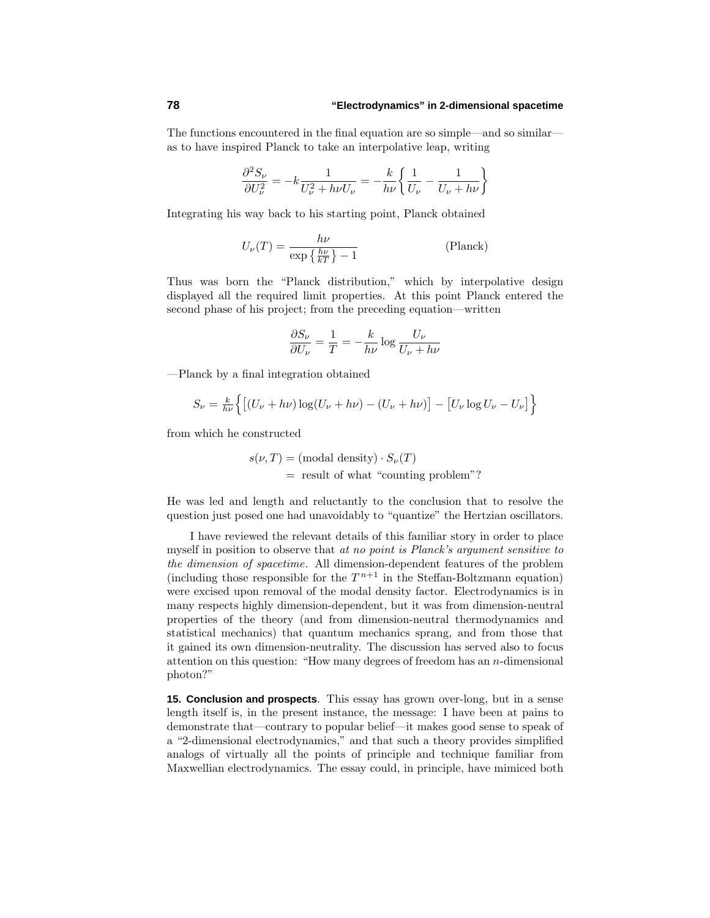## **78 "Electrodynamics" in 2-dimensional spacetime**

The functions encountered in the final equation are so simple—and so similar as to have inspired Planck to take an interpolative leap, writing

$$
\frac{\partial^2 S_\nu}{\partial U_\nu^2} = -k \frac{1}{U_\nu^2 + h\nu U_\nu} = -\frac{k}{h\nu} \bigg\{ \frac{1}{U_\nu} - \frac{1}{U_\nu + h\nu} \bigg\}
$$

Integrating his way back to his starting point, Planck obtained

$$
U_{\nu}(T) = \frac{h\nu}{\exp\left\{\frac{h\nu}{kT}\right\} - 1}
$$
 (Planck)

Thus was born the "Planck distribution," which by interpolative design displayed all the required limit properties. At this point Planck entered the second phase of his project; from the preceding equation—written

$$
\frac{\partial S_{\nu}}{\partial U_{\nu}} = \frac{1}{T} = -\frac{k}{h\nu} \log \frac{U_{\nu}}{U_{\nu} + h\nu}
$$

—Planck by a final integration obtained

$$
S_{\nu} = \frac{k}{h\nu} \Big\{ \big[ (U_{\nu} + h\nu) \log(U_{\nu} + h\nu) - (U_{\nu} + h\nu) \big] - \big[ U_{\nu} \log U_{\nu} - U_{\nu} \big] \Big\}
$$

from which he constructed

$$
s(\nu, T) = \text{(modal density)} \cdot S_{\nu}(T)
$$
  
= result of what "counting problem"?

He was led and length and reluctantly to the conclusion that to resolve the question just posed one had unavoidably to "quantize" the Hertzian oscillators.

I have reviewed the relevant details of this familiar story in order to place myself in position to observe that at no point is Planck's argument sensitive to the dimension of spacetime. All dimension-dependent features of the problem (including those responsible for the  $T^{n+1}$  in the Steffan-Boltzmann equation) were excised upon removal of the modal density factor. Electrodynamics is in many respects highly dimension-dependent, but it was from dimension-neutral properties of the theory (and from dimension-neutral thermodynamics and statistical mechanics) that quantum mechanics sprang, and from those that it gained its own dimension-neutrality. The discussion has served also to focus attention on this question: "How many degrees of freedom has an *n*-dimensional photon?"

**15. Conclusion and prospects**. This essay has grown over-long, but in a sense length itself is, in the present instance, the message: I have been at pains to demonstrate that—contrary to popular belief—it makes good sense to speak of a "2-dimensional electrodynamics," and that such a theory provides simplified analogs of virtually all the points of principle and technique familiar from Maxwellian electrodynamics. The essay could, in principle, have mimiced both